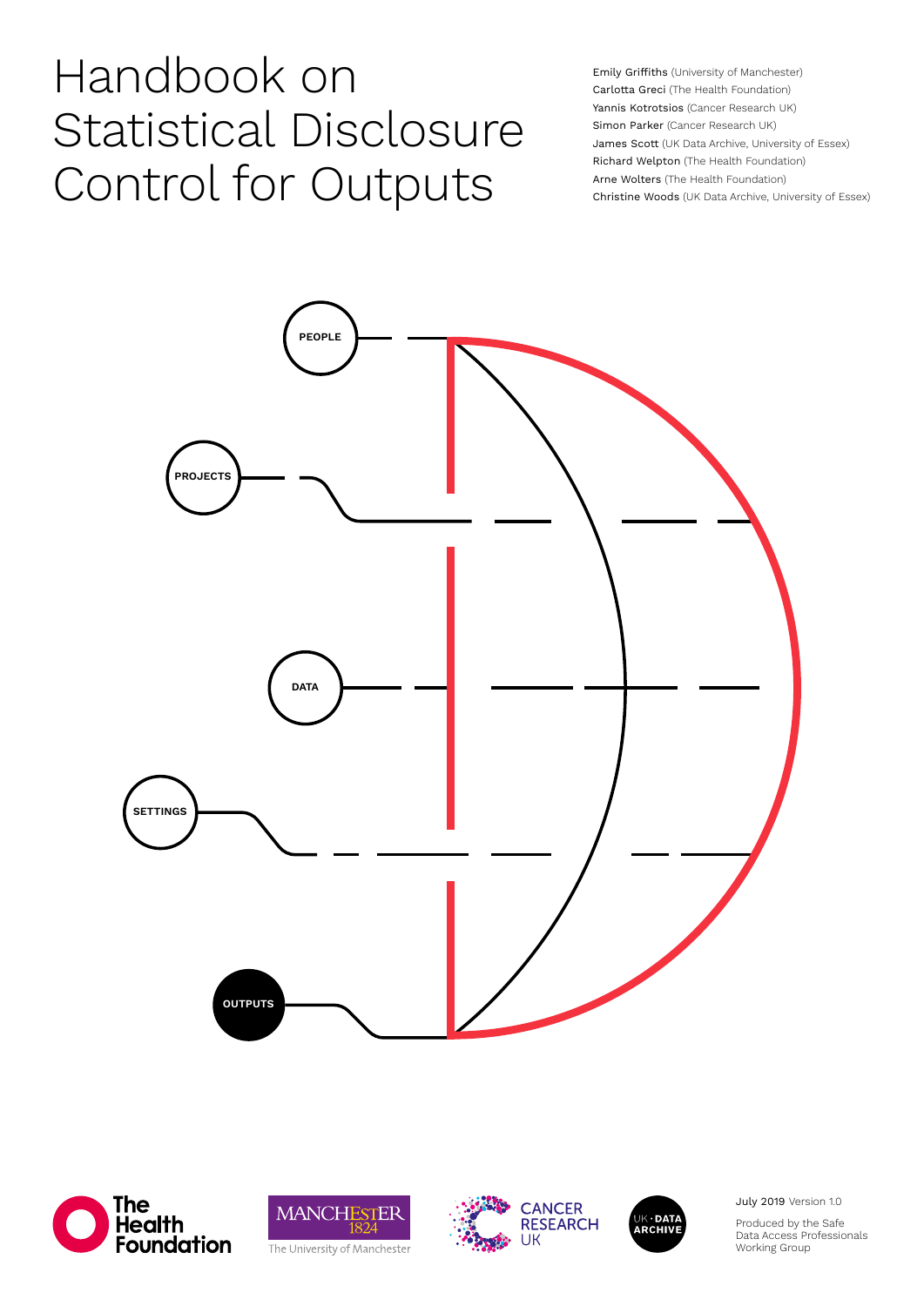# Handbook on Statistical Disclosure Control for Outputs

Emily Griffiths (University of Manchester) Carlotta Greci (The Health Foundation) Yannis Kotrotsios (Cancer Research UK) Simon Parker (Cancer Research UK) James Scott (UK Data Archive, University of Essex) Richard Welpton (The Health Foundation) Arne Wolters (The Health Foundation) Christine Woods (UK Data Archive, University of Essex)











July 2019 Version 1.0

Produced by the Safe Data Access Professionals Working Group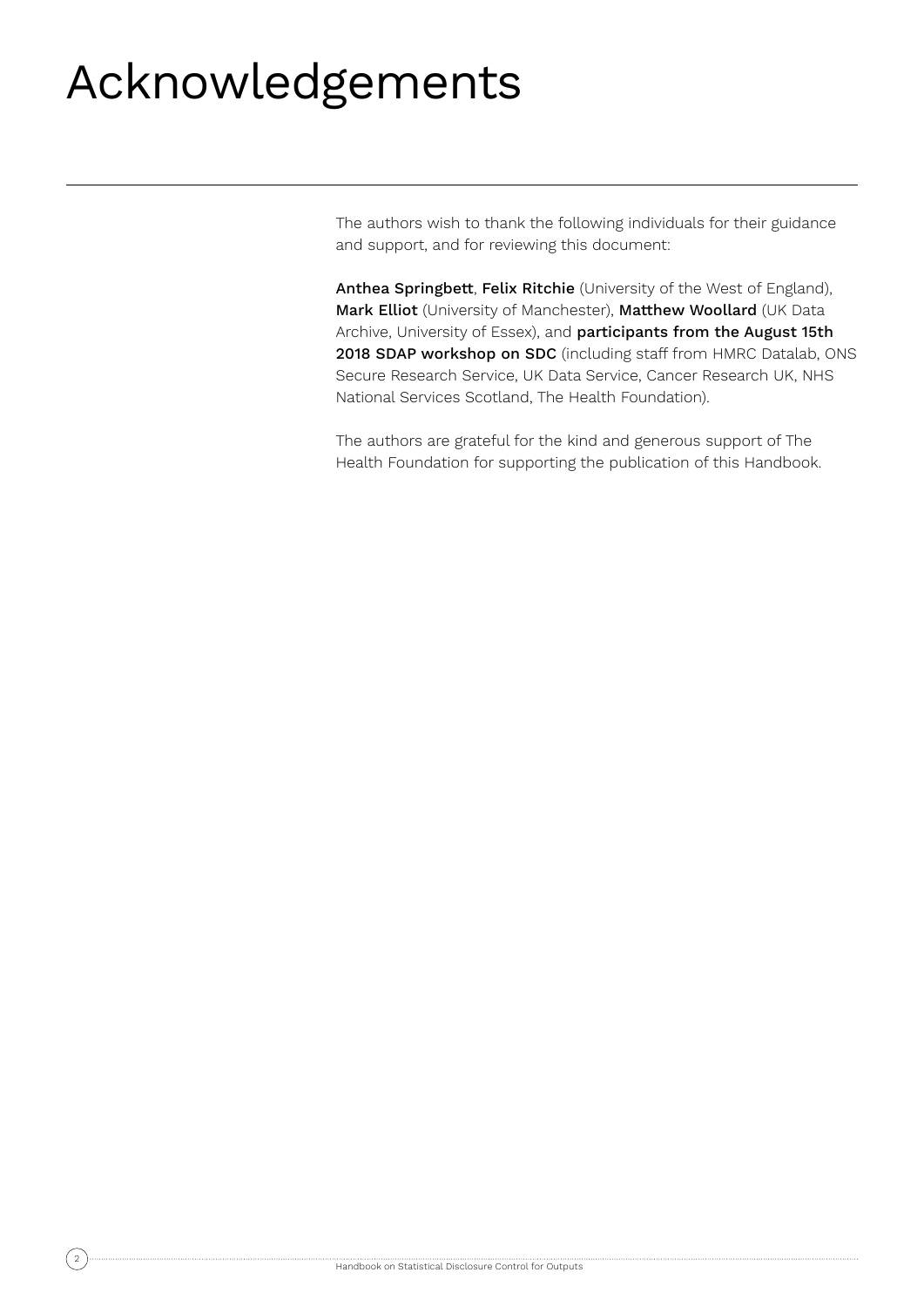# Acknowledgements

The authors wish to thank the following individuals for their guidance and support, and for reviewing this document:

Anthea Springbett, Felix Ritchie (University of the West of England), Mark Elliot (University of Manchester), Matthew Woollard (UK Data Archive, University of Essex), and participants from the August 15th 2018 SDAP workshop on SDC (including staff from HMRC Datalab, ONS Secure Research Service, UK Data Service, Cancer Research UK, NHS National Services Scotland, The Health Foundation).

The authors are grateful for the kind and generous support of The Health Foundation for supporting the publication of this Handbook.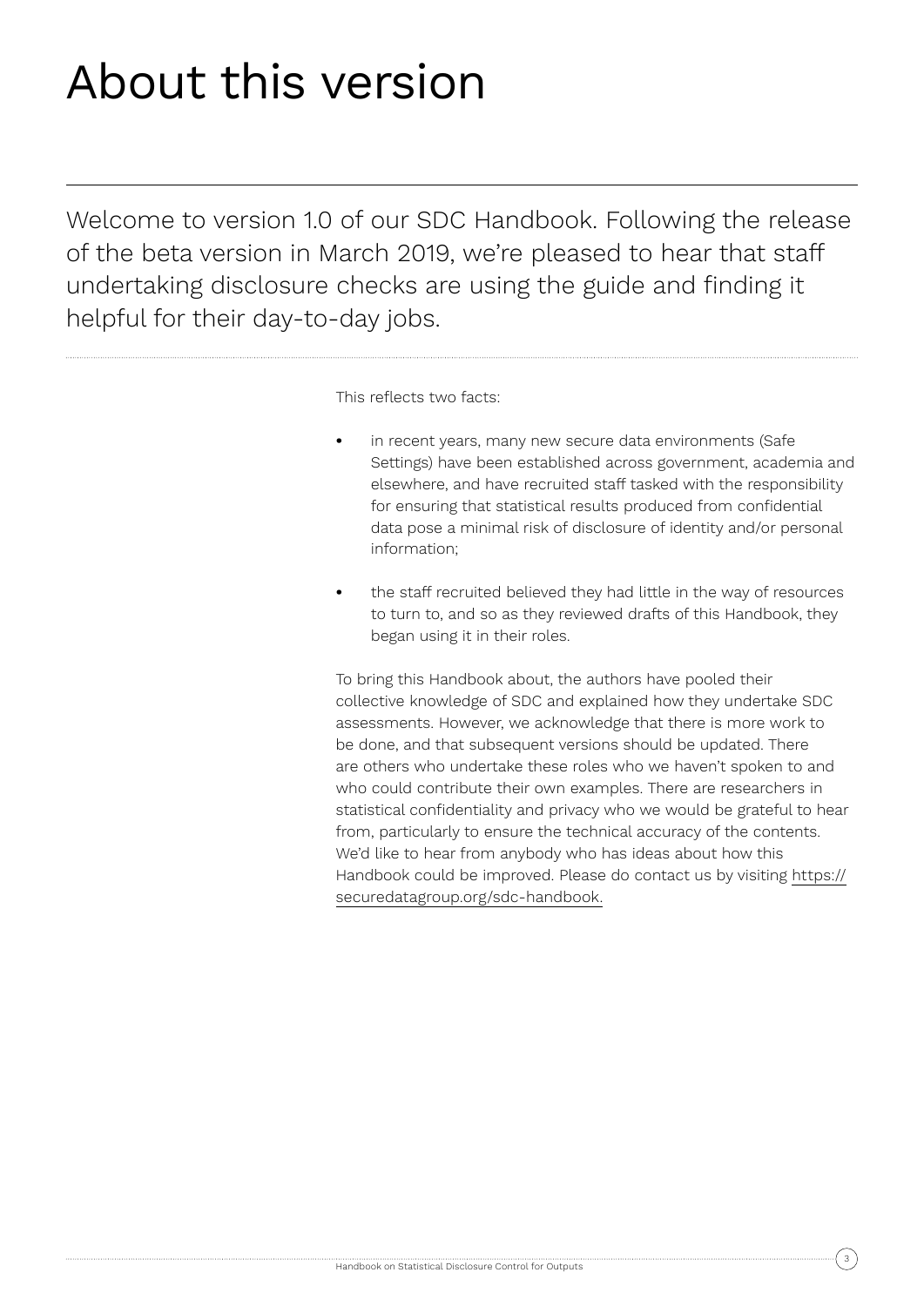# About this version

Welcome to version 1.0 of our SDC Handbook. Following the release of the beta version in March 2019, we're pleased to hear that staff undertaking disclosure checks are using the guide and finding it helpful for their day-to-day jobs.

This reflects two facts:

- **•** in recent years, many new secure data environments (Safe Settings) have been established across government, academia and elsewhere, and have recruited staff tasked with the responsibility for ensuring that statistical results produced from confidential data pose a minimal risk of disclosure of identity and/or personal information;
- **•** the staff recruited believed they had little in the way of resources to turn to, and so as they reviewed drafts of this Handbook, they began using it in their roles.

To bring this Handbook about, the authors have pooled their collective knowledge of SDC and explained how they undertake SDC assessments. However, we acknowledge that there is more work to be done, and that subsequent versions should be updated. There are others who undertake these roles who we haven't spoken to and who could contribute their own examples. There are researchers in statistical confidentiality and privacy who we would be grateful to hear from, particularly to ensure the technical accuracy of the contents. We'd like to hear from anybody who has ideas about how this Handbook could be improved. Please do contact us by visiting https:// securedatagroup.org/sdc-handbook.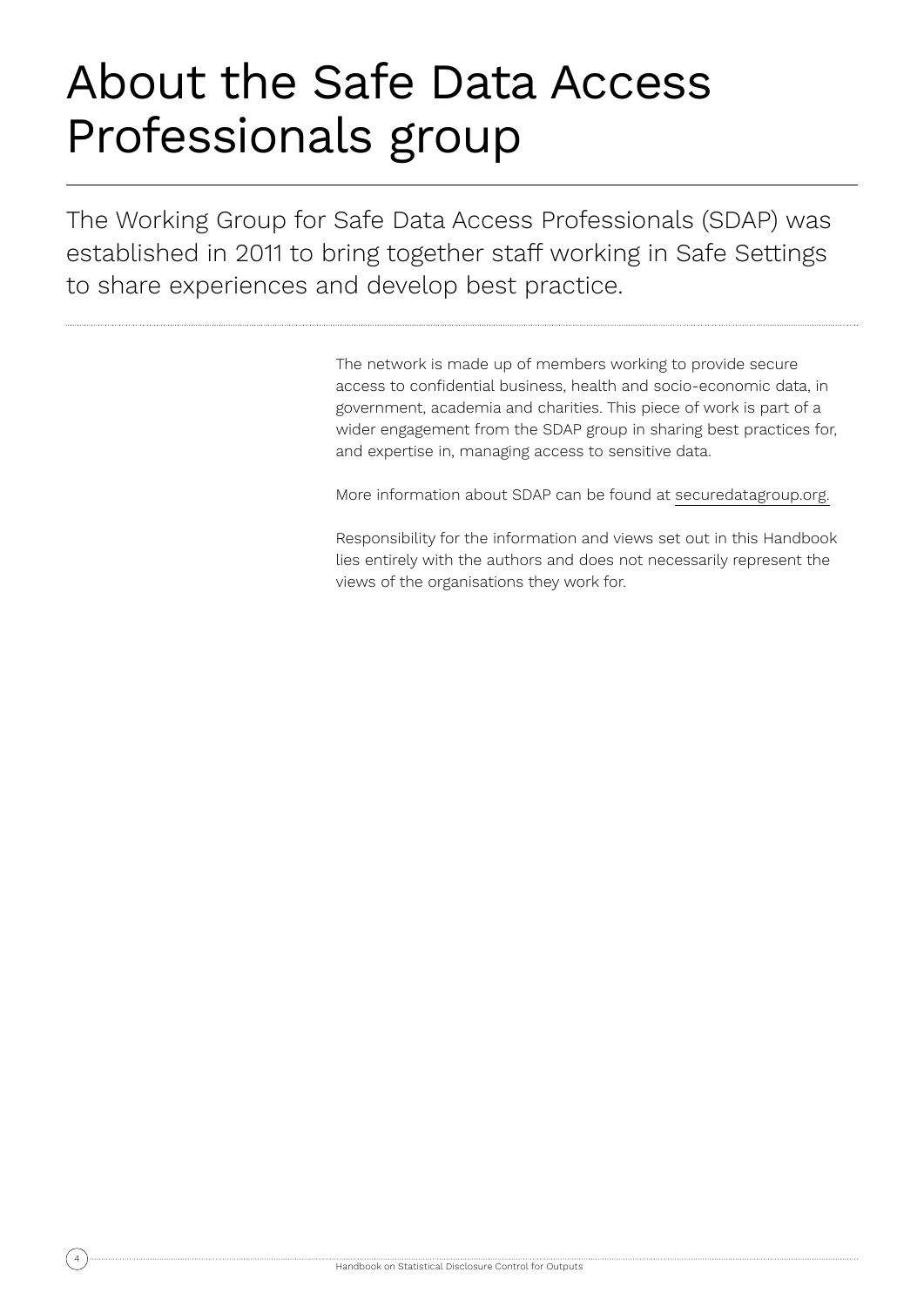# About the Safe Data Access Professionals group

The Working Group for Safe Data Access Professionals (SDAP) was established in 2011 to bring together staff working in Safe Settings to share experiences and develop best practice.

> The network is made up of members working to provide secure access to confidential business, health and socio-economic data, in government, academia and charities. This piece of work is part of a wider engagement from the SDAP group in sharing best practices for, and expertise in, managing access to sensitive data.

More information about SDAP can be found at securedatagroup.org.

Responsibility for the information and views set out in this Handbook lies entirely with the authors and does not necessarily represent the views of the organisations they work for.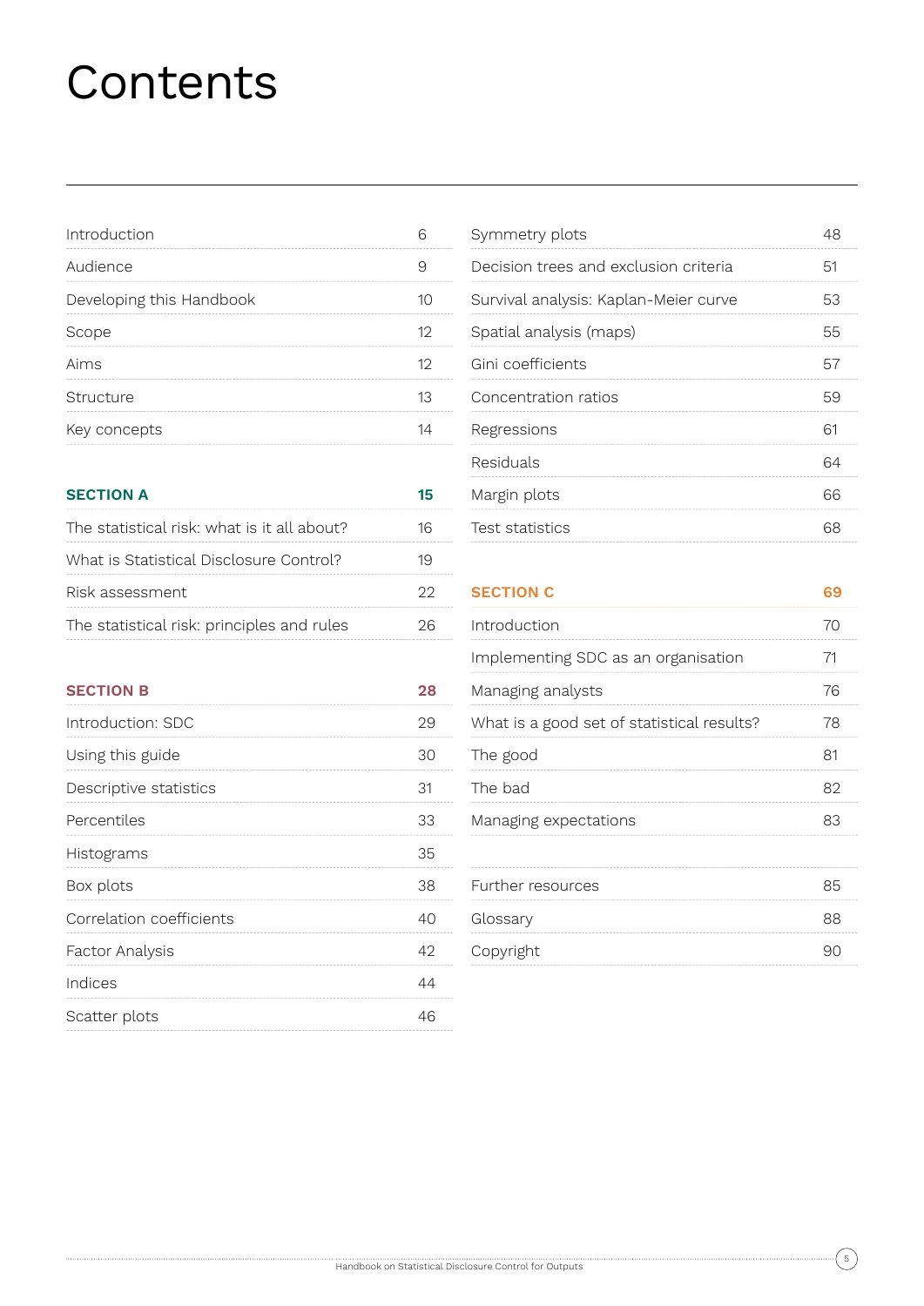# **Contents**

| Introduction             |  |
|--------------------------|--|
| Audience                 |  |
| Developing this Handbook |  |
| Scope                    |  |
| Aims                     |  |
| Structure                |  |
| Key concepts             |  |

| <b>SECTION A</b>                            |  |
|---------------------------------------------|--|
| The statistical risk: what is it all about? |  |
| What is Statistical Disclosure Control?     |  |
| Risk assessment                             |  |
| The statistical risk: principles and rules  |  |

| Symmetry plots                        |    |
|---------------------------------------|----|
| Decision trees and exclusion criteria | 51 |
| Survival analysis: Kaplan-Meier curve | 53 |
| Spatial analysis (maps)               | 55 |
| Gini coefficients                     |    |
| Concentration ratios                  | 59 |
| Regressions                           |    |
| Residuals                             |    |
| Margin plots                          | 66 |
| Test statistics                       |    |

**SECTION C 69**

| s and rules | 26 | Introduction                               | 70 |
|-------------|----|--------------------------------------------|----|
|             |    | Implementing SDC as an organisation        | 71 |
|             | 28 | Managing analysts                          | 76 |
|             | 29 | What is a good set of statistical results? | 78 |
|             | 30 | The good                                   | 81 |
|             | 31 | The bad                                    | 82 |
|             | 33 | Managing expectations                      | 83 |
|             | 35 |                                            |    |
|             | 38 | Further resources                          | 85 |
|             | 40 | Glossary                                   | 88 |
|             | 42 | Copyright                                  | 90 |
|             | 44 |                                            |    |
|             |    |                                            |    |

| <b>SECTION B</b>         |    |
|--------------------------|----|
| Introduction: SDC        | 29 |
| Using this guide         | 30 |
| Descriptive statistics   |    |
| Percentiles              | 33 |
| Histograms               | 35 |
| Box plots                | 38 |
| Correlation coefficients |    |
| Factor Analysis          | 49 |
| Indices                  |    |
| Scatter plots            |    |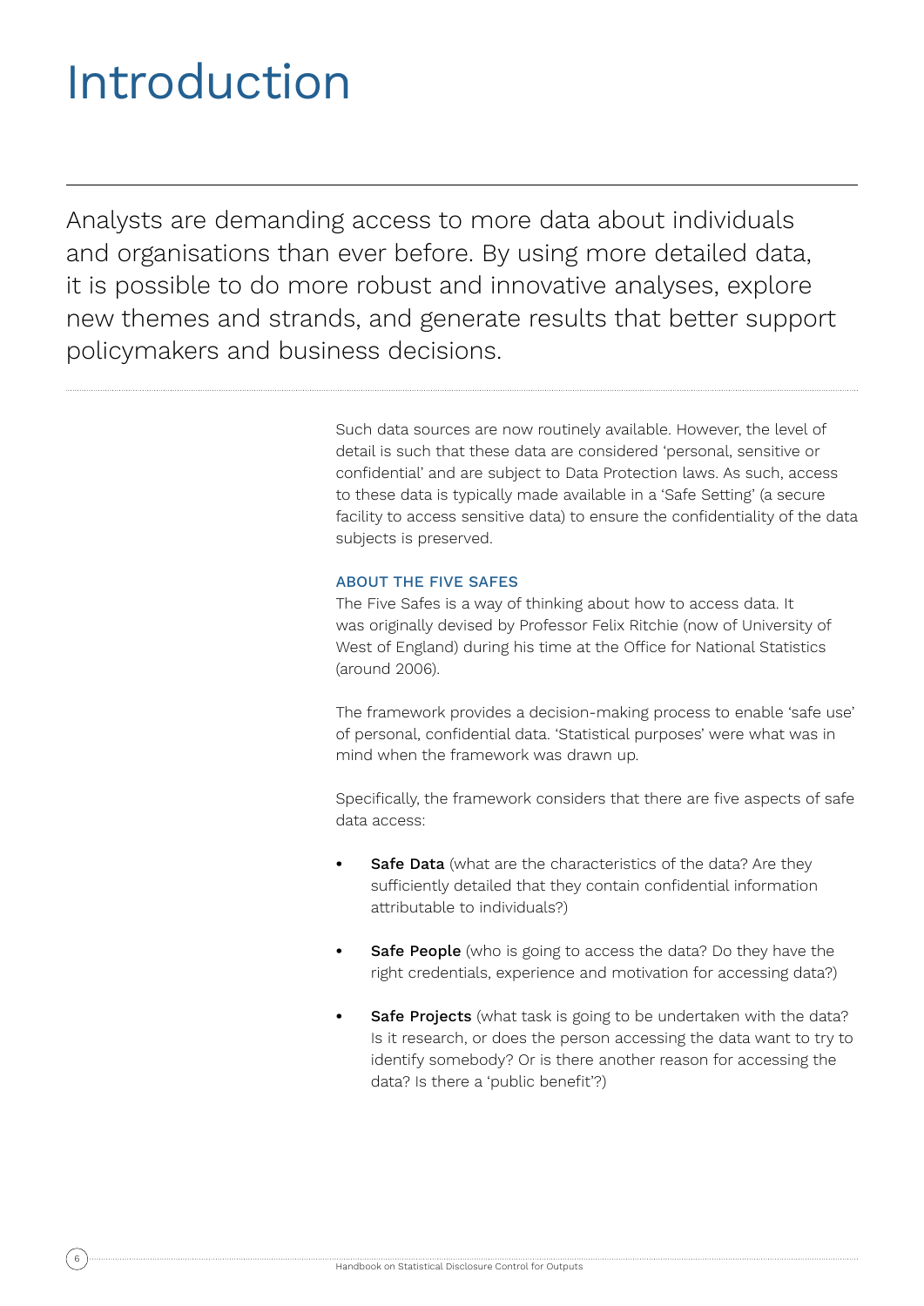# Introduction

Analysts are demanding access to more data about individuals and organisations than ever before. By using more detailed data, it is possible to do more robust and innovative analyses, explore new themes and strands, and generate results that better support policymakers and business decisions.

> Such data sources are now routinely available. However, the level of detail is such that these data are considered 'personal, sensitive or confidential' and are subject to Data Protection laws. As such, access to these data is typically made available in a 'Safe Setting' (a secure facility to access sensitive data) to ensure the confidentiality of the data subjects is preserved.

### ABOUT THE FIVE SAFES

The Five Safes is a way of thinking about how to access data. It was originally devised by Professor Felix Ritchie (now of University of West of England) during his time at the Office for National Statistics (around 2006).

The framework provides a decision-making process to enable 'safe use' of personal, confidential data. 'Statistical purposes' were what was in mind when the framework was drawn up.

Specifically, the framework considers that there are five aspects of safe data access:

- **Safe Data** (what are the characteristics of the data? Are they sufficiently detailed that they contain confidential information attributable to individuals?)
- **•• Safe People** (who is going to access the data? Do they have the right credentials, experience and motivation for accessing data?)
- **•• Safe Projects** (what task is going to be undertaken with the data? Is it research, or does the person accessing the data want to try to identify somebody? Or is there another reason for accessing the data? Is there a 'public benefit'?)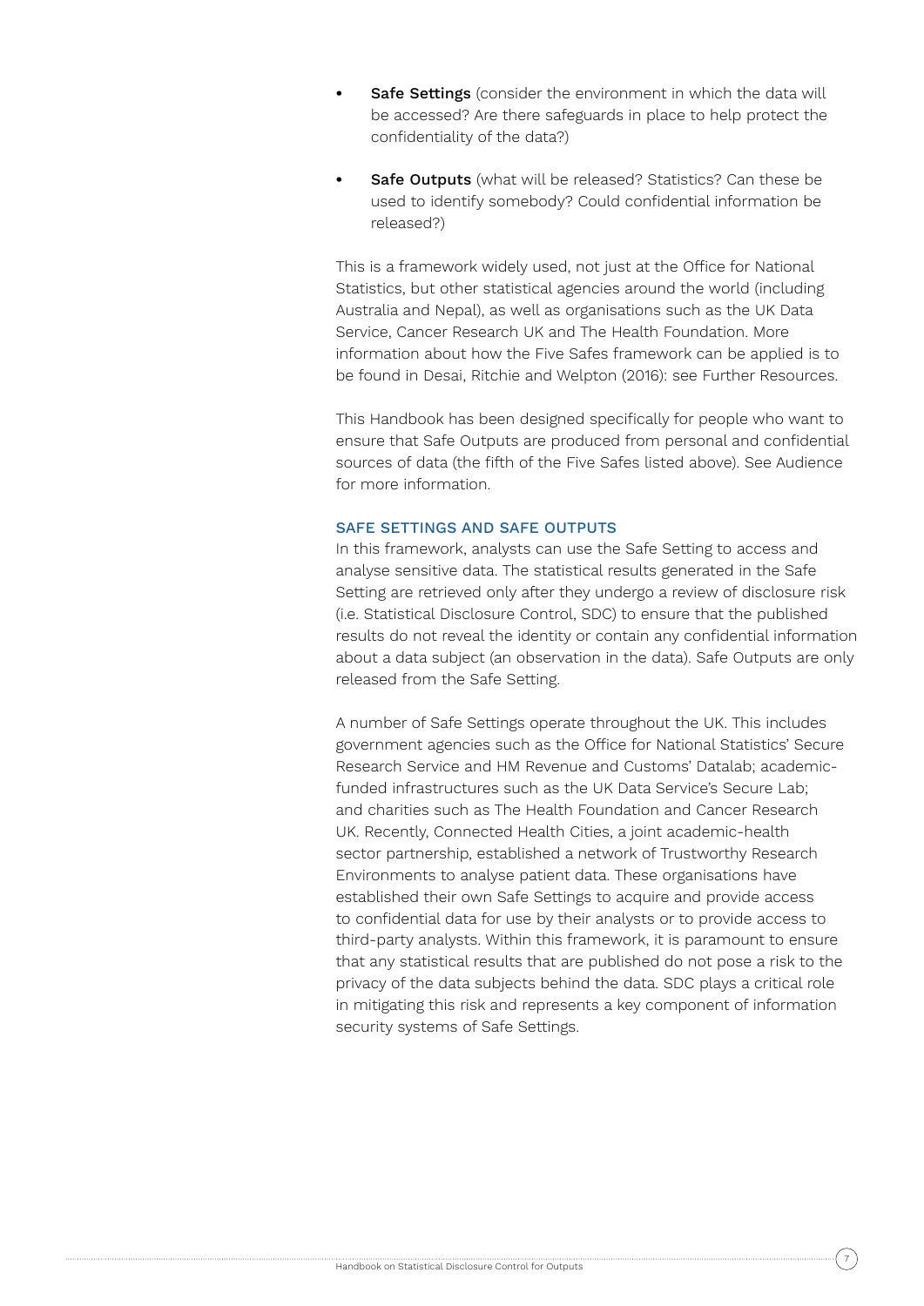- **Safe Settings** (consider the environment in which the data will be accessed? Are there safeguards in place to help protect the confidentiality of the data?)
- **Safe Outputs** (what will be released? Statistics? Can these be used to identify somebody? Could confidential information be released?)

This is a framework widely used, not just at the Office for National Statistics, but other statistical agencies around the world (including Australia and Nepal), as well as organisations such as the UK Data Service, Cancer Research UK and The Health Foundation. More information about how the Five Safes framework can be applied is to be found in Desai, Ritchie and Welpton (2016): see Further Resources.

This Handbook has been designed specifically for people who want to ensure that Safe Outputs are produced from personal and confidential sources of data (the fifth of the Five Safes listed above). See Audience for more information.

#### SAFE SETTINGS AND SAFE OUTPUTS

In this framework, analysts can use the Safe Setting to access and analyse sensitive data. The statistical results generated in the Safe Setting are retrieved only after they undergo a review of disclosure risk (i.e. Statistical Disclosure Control, SDC) to ensure that the published results do not reveal the identity or contain any confidential information about a data subject (an observation in the data). Safe Outputs are only released from the Safe Setting.

A number of Safe Settings operate throughout the UK. This includes government agencies such as the Office for National Statistics' Secure Research Service and HM Revenue and Customs' Datalab; academicfunded infrastructures such as the UK Data Service's Secure Lab; and charities such as The Health Foundation and Cancer Research UK. Recently, Connected Health Cities, a joint academic-health sector partnership, established a network of Trustworthy Research Environments to analyse patient data. These organisations have established their own Safe Settings to acquire and provide access to confidential data for use by their analysts or to provide access to third-party analysts. Within this framework, it is paramount to ensure that any statistical results that are published do not pose a risk to the privacy of the data subjects behind the data. SDC plays a critical role in mitigating this risk and represents a key component of information security systems of Safe Settings.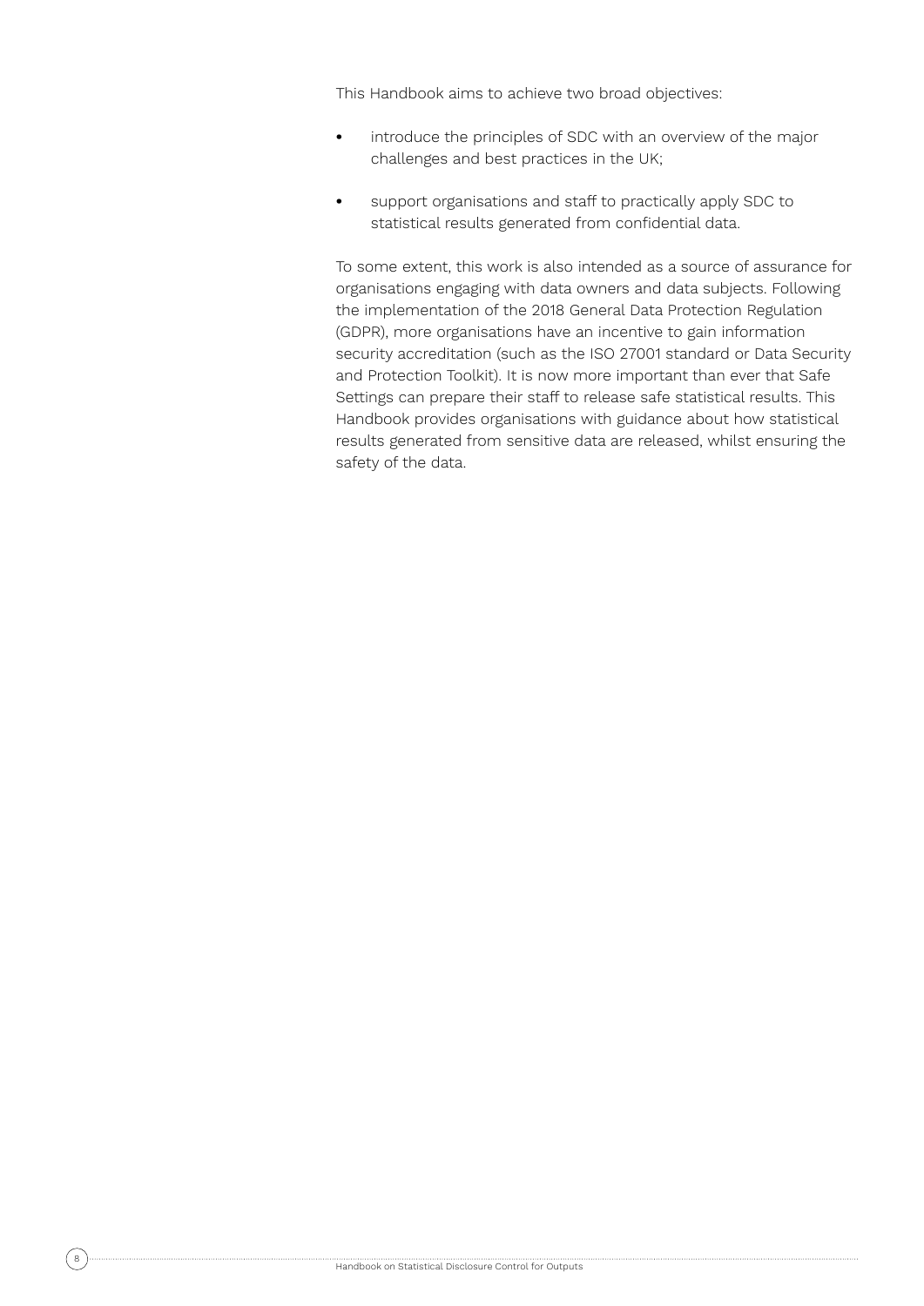This Handbook aims to achieve two broad objectives:

- **•** introduce the principles of SDC with an overview of the major challenges and best practices in the UK;
- **•** support organisations and staff to practically apply SDC to statistical results generated from confidential data.

To some extent, this work is also intended as a source of assurance for organisations engaging with data owners and data subjects. Following the implementation of the 2018 General Data Protection Regulation (GDPR), more organisations have an incentive to gain information security accreditation (such as the ISO 27001 standard or Data Security and Protection Toolkit). It is now more important than ever that Safe Settings can prepare their staff to release safe statistical results. This Handbook provides organisations with guidance about how statistical results generated from sensitive data are released, whilst ensuring the safety of the data.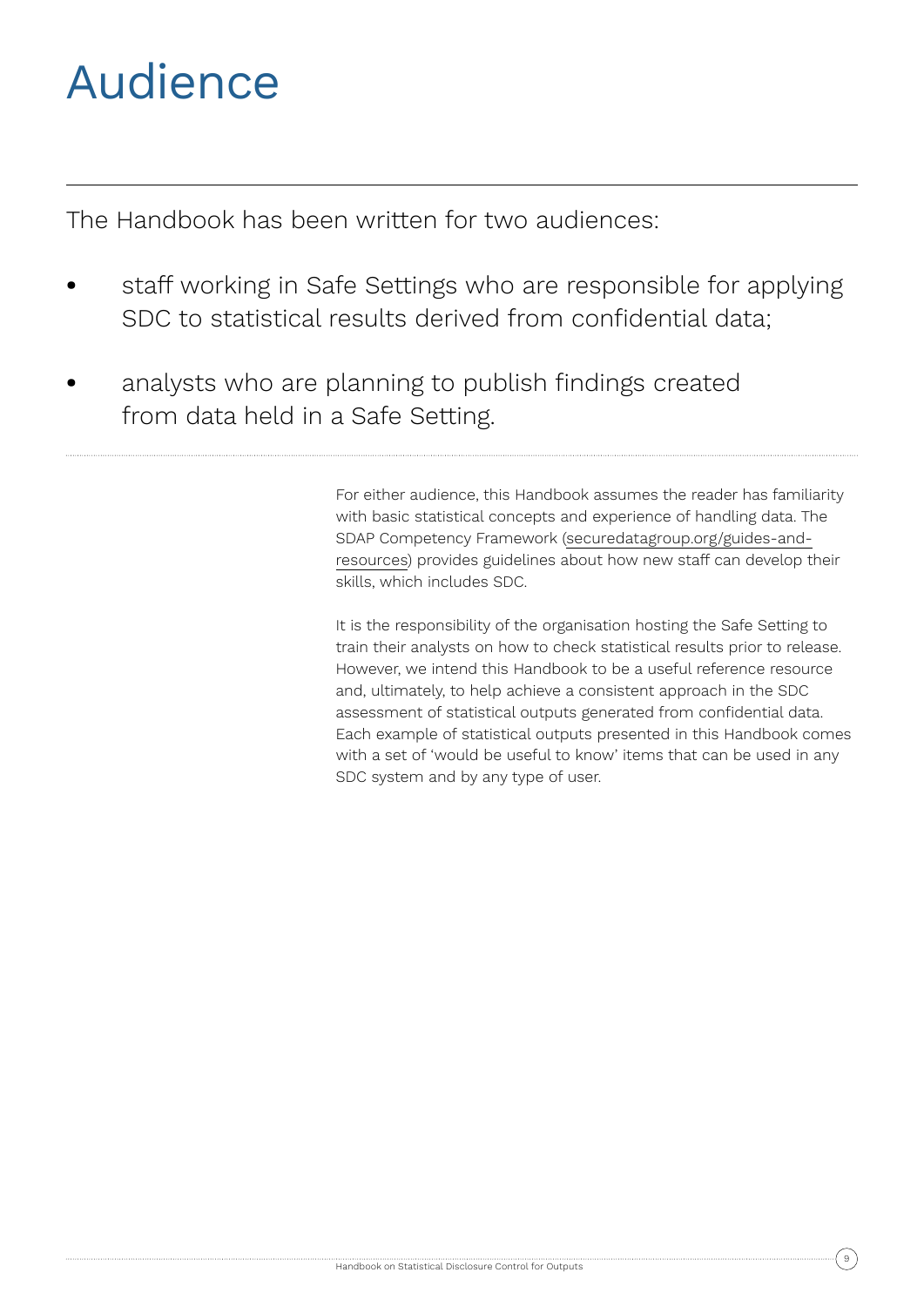# Audience

The Handbook has been written for two audiences:

- **•** staff working in Safe Settings who are responsible for applying SDC to statistical results derived from confidential data;
- analysts who are planning to publish findings created from data held in a Safe Setting.

For either audience, this Handbook assumes the reader has familiarity with basic statistical concepts and experience of handling data. The SDAP Competency Framework (securedatagroup.org/guides-andresources) provides guidelines about how new staff can develop their skills, which includes SDC.

It is the responsibility of the organisation hosting the Safe Setting to train their analysts on how to check statistical results prior to release. However, we intend this Handbook to be a useful reference resource and, ultimately, to help achieve a consistent approach in the SDC assessment of statistical outputs generated from confidential data. Each example of statistical outputs presented in this Handbook comes with a set of 'would be useful to know' items that can be used in any SDC system and by any type of user.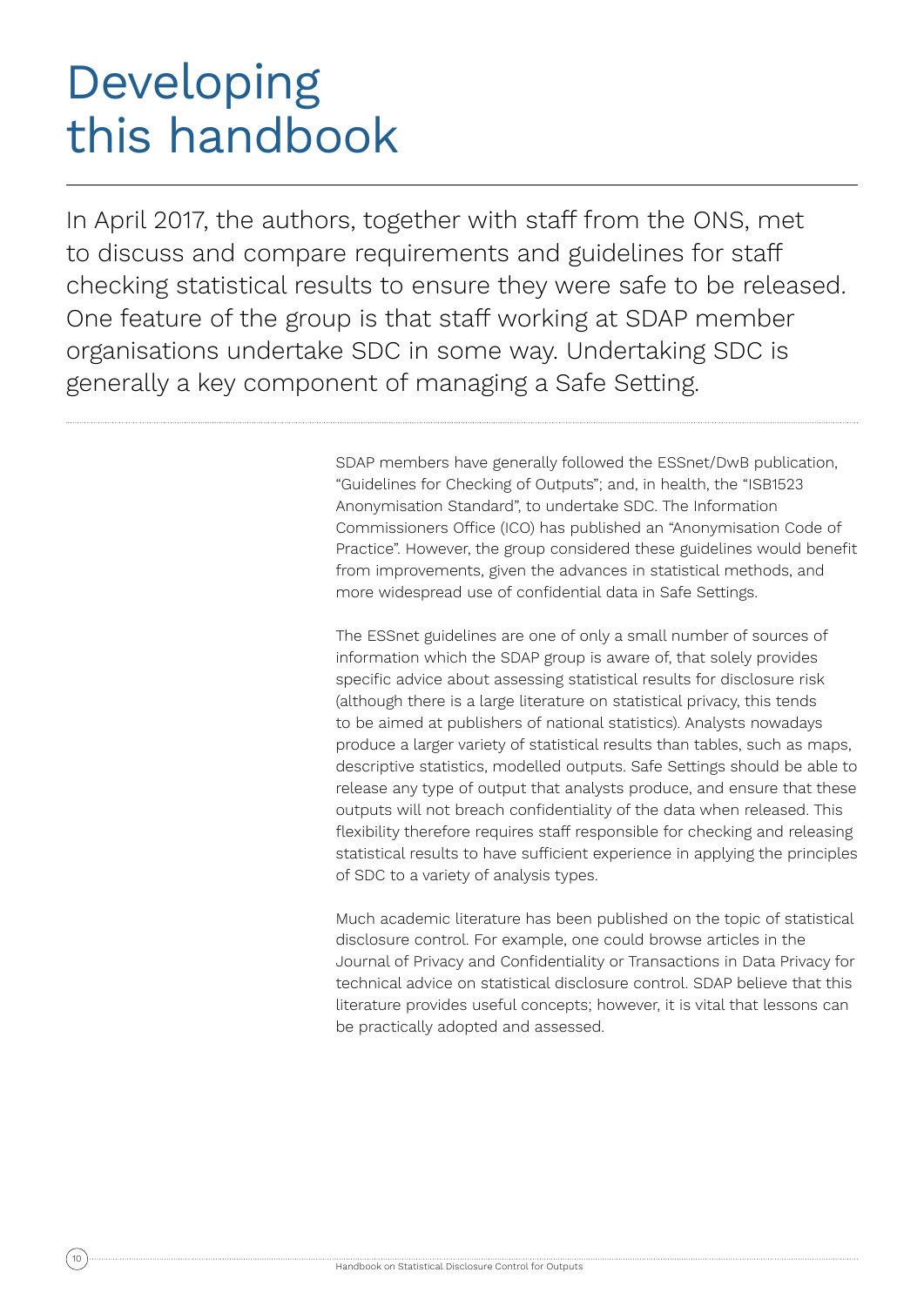# Developing this handbook

In April 2017, the authors, together with staff from the ONS, met to discuss and compare requirements and guidelines for staff checking statistical results to ensure they were safe to be released. One feature of the group is that staff working at SDAP member organisations undertake SDC in some way. Undertaking SDC is generally a key component of managing a Safe Setting.

> SDAP members have generally followed the ESSnet/DwB publication, "Guidelines for Checking of Outputs"; and, in health, the "ISB1523 Anonymisation Standard", to undertake SDC. The Information Commissioners Office (ICO) has published an "Anonymisation Code of Practice". However, the group considered these guidelines would benefit from improvements, given the advances in statistical methods, and more widespread use of confidential data in Safe Settings.

> The ESSnet guidelines are one of only a small number of sources of information which the SDAP group is aware of, that solely provides specific advice about assessing statistical results for disclosure risk (although there is a large literature on statistical privacy, this tends to be aimed at publishers of national statistics). Analysts nowadays produce a larger variety of statistical results than tables, such as maps, descriptive statistics, modelled outputs. Safe Settings should be able to release any type of output that analysts produce, and ensure that these outputs will not breach confidentiality of the data when released. This flexibility therefore requires staff responsible for checking and releasing statistical results to have sufficient experience in applying the principles of SDC to a variety of analysis types.

> Much academic literature has been published on the topic of statistical disclosure control. For example, one could browse articles in the Journal of Privacy and Confidentiality or Transactions in Data Privacy for technical advice on statistical disclosure control. SDAP believe that this literature provides useful concepts; however, it is vital that lessons can be practically adopted and assessed.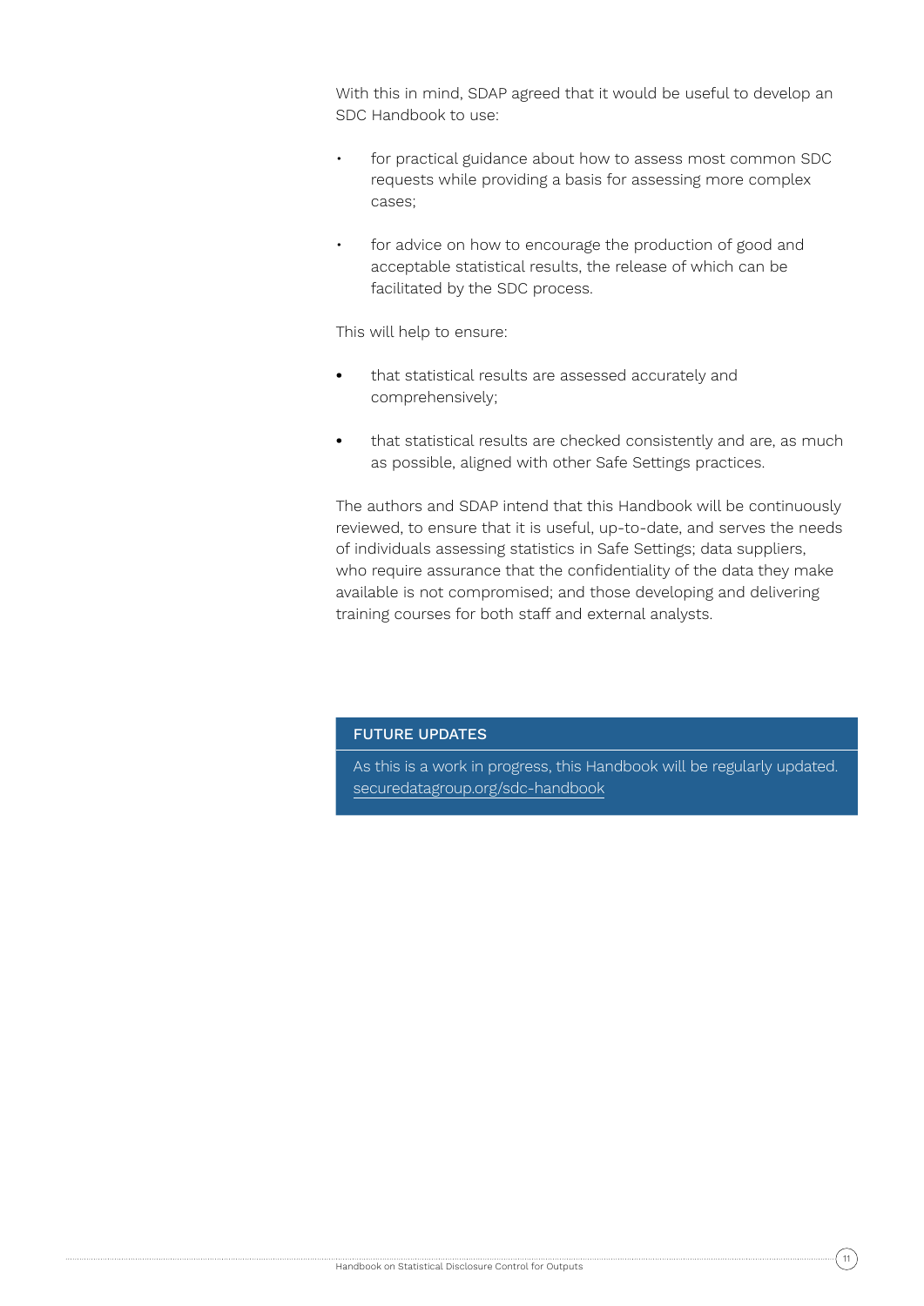With this in mind, SDAP agreed that it would be useful to develop an SDC Handbook to use:

- for practical guidance about how to assess most common SDC requests while providing a basis for assessing more complex cases;
- for advice on how to encourage the production of good and acceptable statistical results, the release of which can be facilitated by the SDC process.

This will help to ensure:

- **•** that statistical results are assessed accurately and comprehensively;
- **•** that statistical results are checked consistently and are, as much as possible, aligned with other Safe Settings practices.

The authors and SDAP intend that this Handbook will be continuously reviewed, to ensure that it is useful, up-to-date, and serves the needs of individuals assessing statistics in Safe Settings; data suppliers, who require assurance that the confidentiality of the data they make available is not compromised; and those developing and delivering training courses for both staff and external analysts.

## FUTURE UPDATES

As this is a work in progress, this Handbook will be regularly updated. securedatagroup.org/sdc-handbook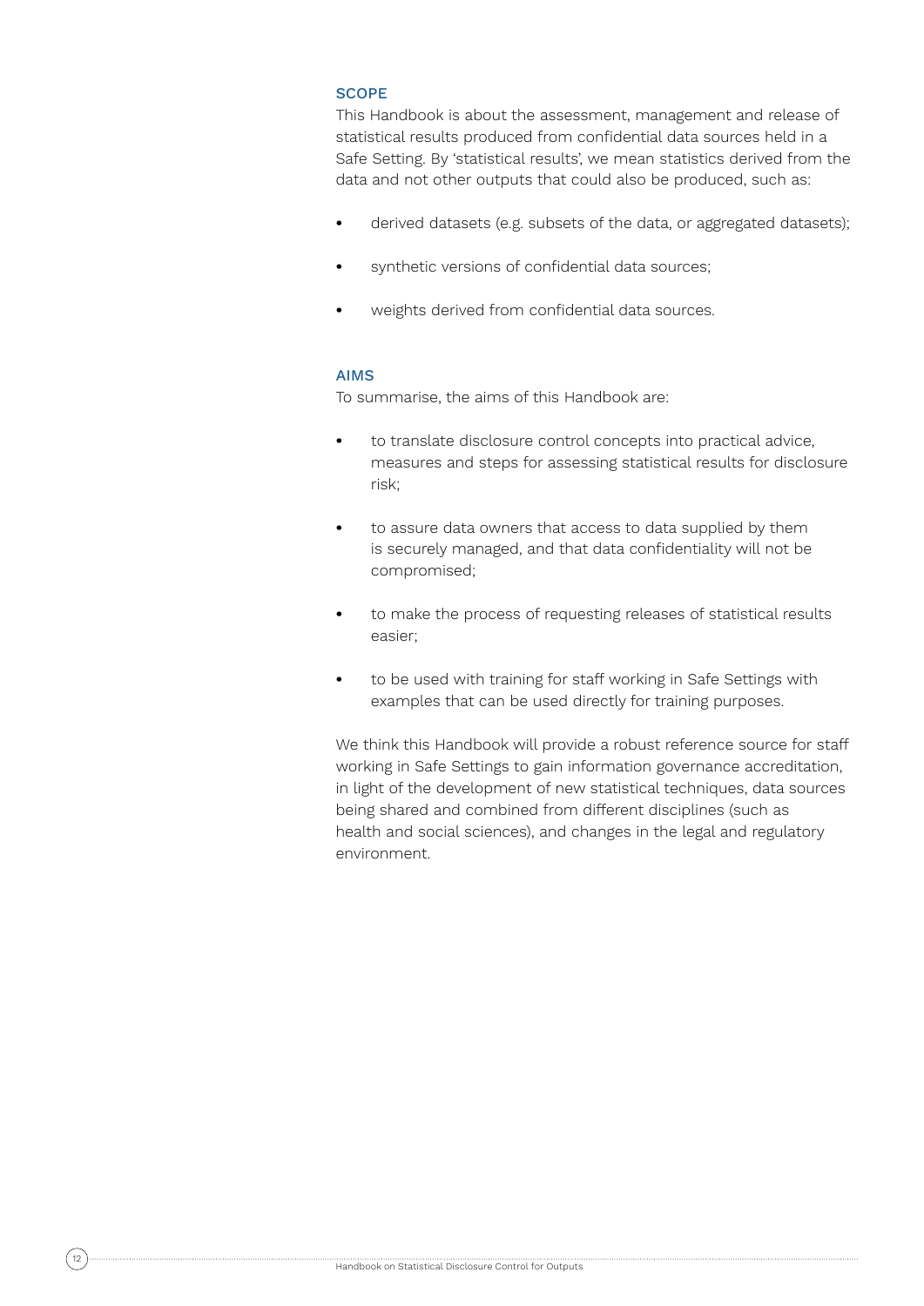## **SCOPE**

This Handbook is about the assessment, management and release of statistical results produced from confidential data sources held in a Safe Setting. By 'statistical results', we mean statistics derived from the data and not other outputs that could also be produced, such as:

- **•** derived datasets (e.g. subsets of the data, or aggregated datasets);
- **•** synthetic versions of confidential data sources;
- **•** weights derived from confidential data sources.

### AIMS

To summarise, the aims of this Handbook are:

- **•** to translate disclosure control concepts into practical advice, measures and steps for assessing statistical results for disclosure risk;
- **•** to assure data owners that access to data supplied by them is securely managed, and that data confidentiality will not be compromised;
- **•** to make the process of requesting releases of statistical results easier;
- **•** to be used with training for staff working in Safe Settings with examples that can be used directly for training purposes.

We think this Handbook will provide a robust reference source for staff working in Safe Settings to gain information governance accreditation, in light of the development of new statistical techniques, data sources being shared and combined from different disciplines (such as health and social sciences), and changes in the legal and regulatory environment.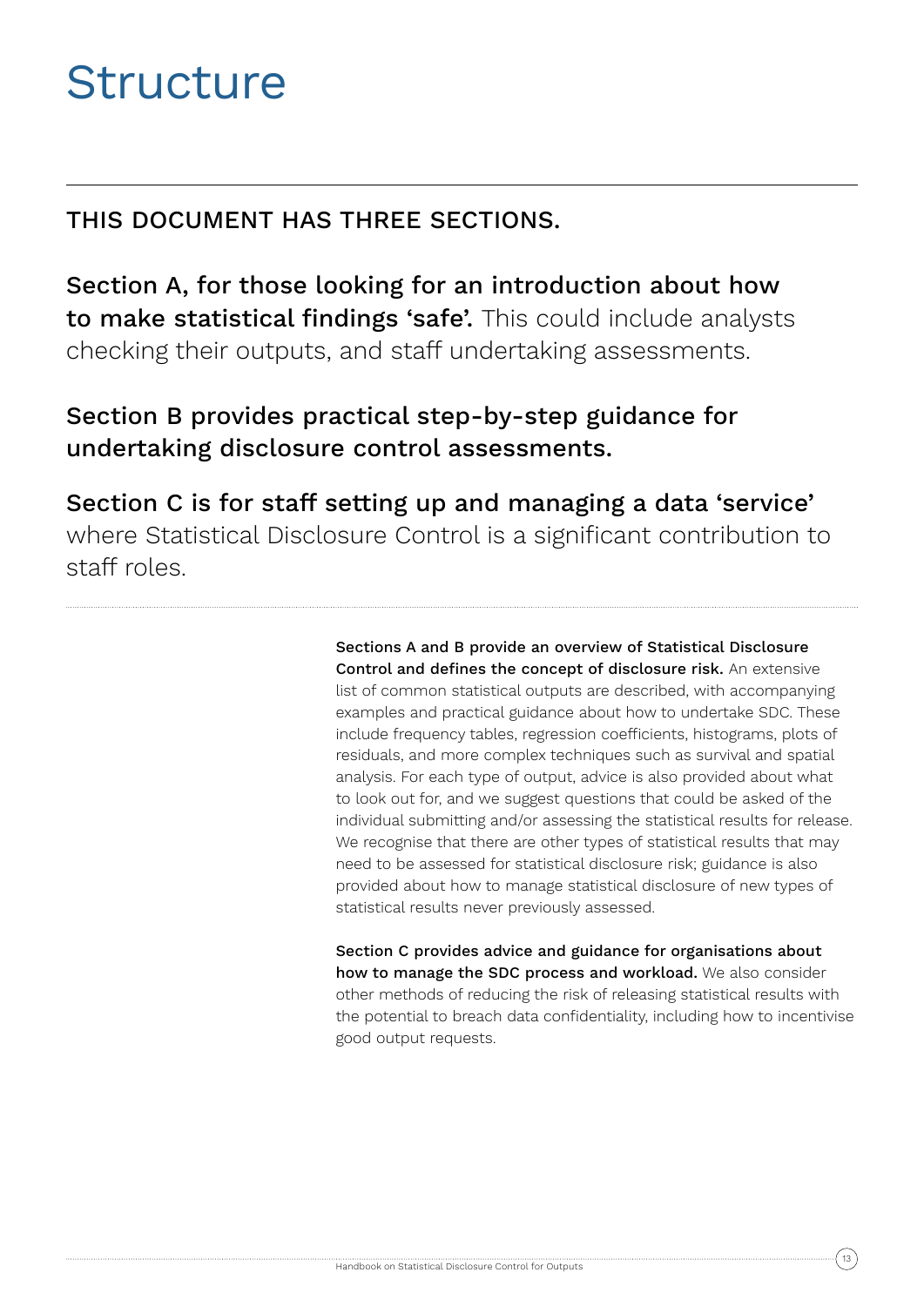# **Structure**

# THIS DOCUMENT HAS THREE SECTIONS.

Section A, for those looking for an introduction about how to make statistical findings 'safe'. This could include analysts checking their outputs, and staff undertaking assessments.

# Section B provides practical step-by-step guidance for undertaking disclosure control assessments.

Section C is for staff setting up and managing a data 'service' where Statistical Disclosure Control is a significant contribution to staff roles.

> Sections A and B provide an overview of Statistical Disclosure Control and defines the concept of disclosure risk. An extensive list of common statistical outputs are described, with accompanying examples and practical guidance about how to undertake SDC. These include frequency tables, regression coefficients, histograms, plots of residuals, and more complex techniques such as survival and spatial analysis. For each type of output, advice is also provided about what to look out for, and we suggest questions that could be asked of the individual submitting and/or assessing the statistical results for release. We recognise that there are other types of statistical results that may need to be assessed for statistical disclosure risk; guidance is also provided about how to manage statistical disclosure of new types of statistical results never previously assessed.

> Section C provides advice and guidance for organisations about how to manage the SDC process and workload. We also consider other methods of reducing the risk of releasing statistical results with the potential to breach data confidentiality, including how to incentivise good output requests.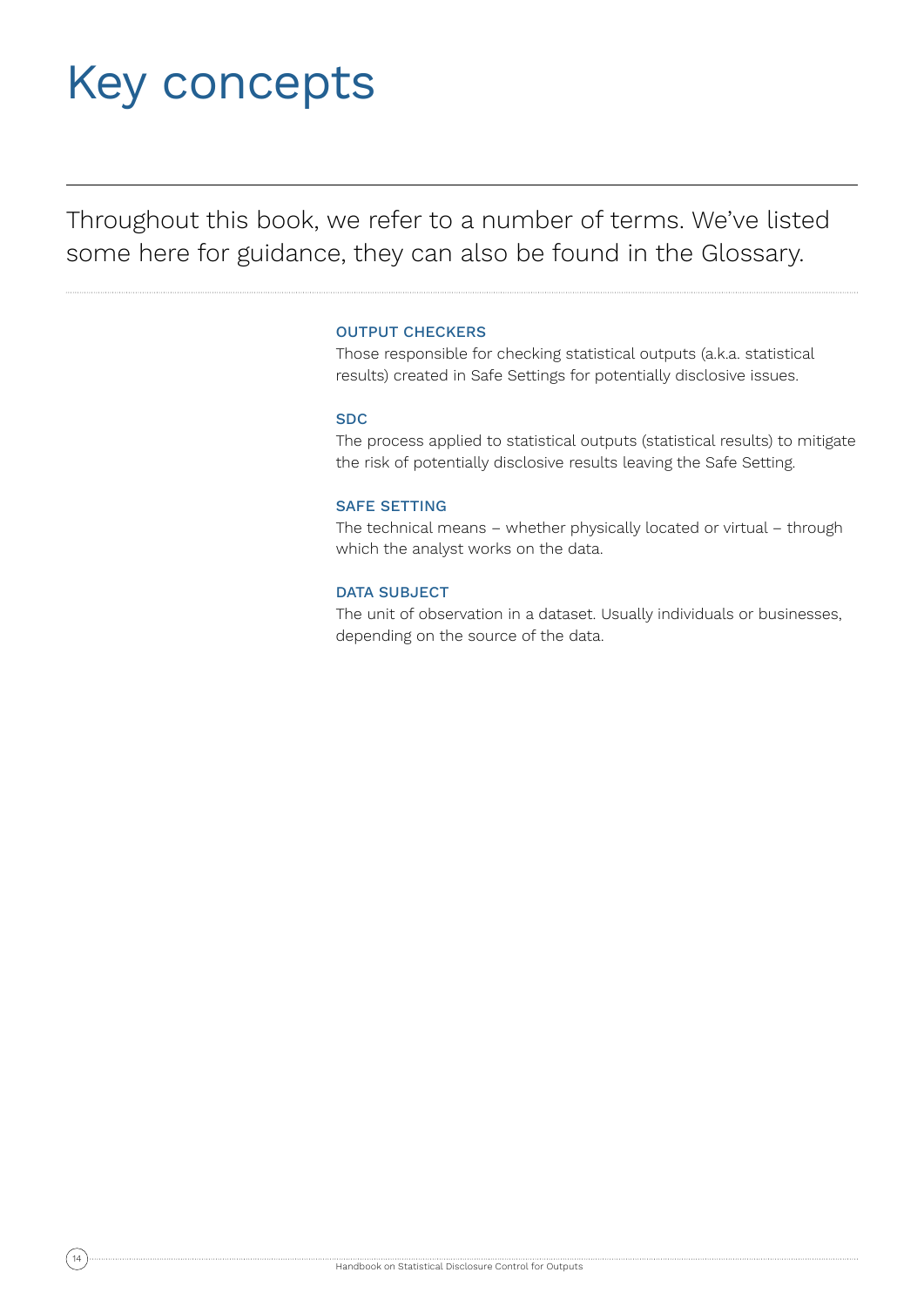# Key concepts

Throughout this book, we refer to a number of terms. We've listed some here for guidance, they can also be found in the Glossary.

## OUTPUT CHECKERS

Those responsible for checking statistical outputs (a.k.a. statistical results) created in Safe Settings for potentially disclosive issues.

### SDC

The process applied to statistical outputs (statistical results) to mitigate the risk of potentially disclosive results leaving the Safe Setting.

### SAFE SETTING

The technical means – whether physically located or virtual – through which the analyst works on the data.

### DATA SUBJECT

The unit of observation in a dataset. Usually individuals or businesses, depending on the source of the data.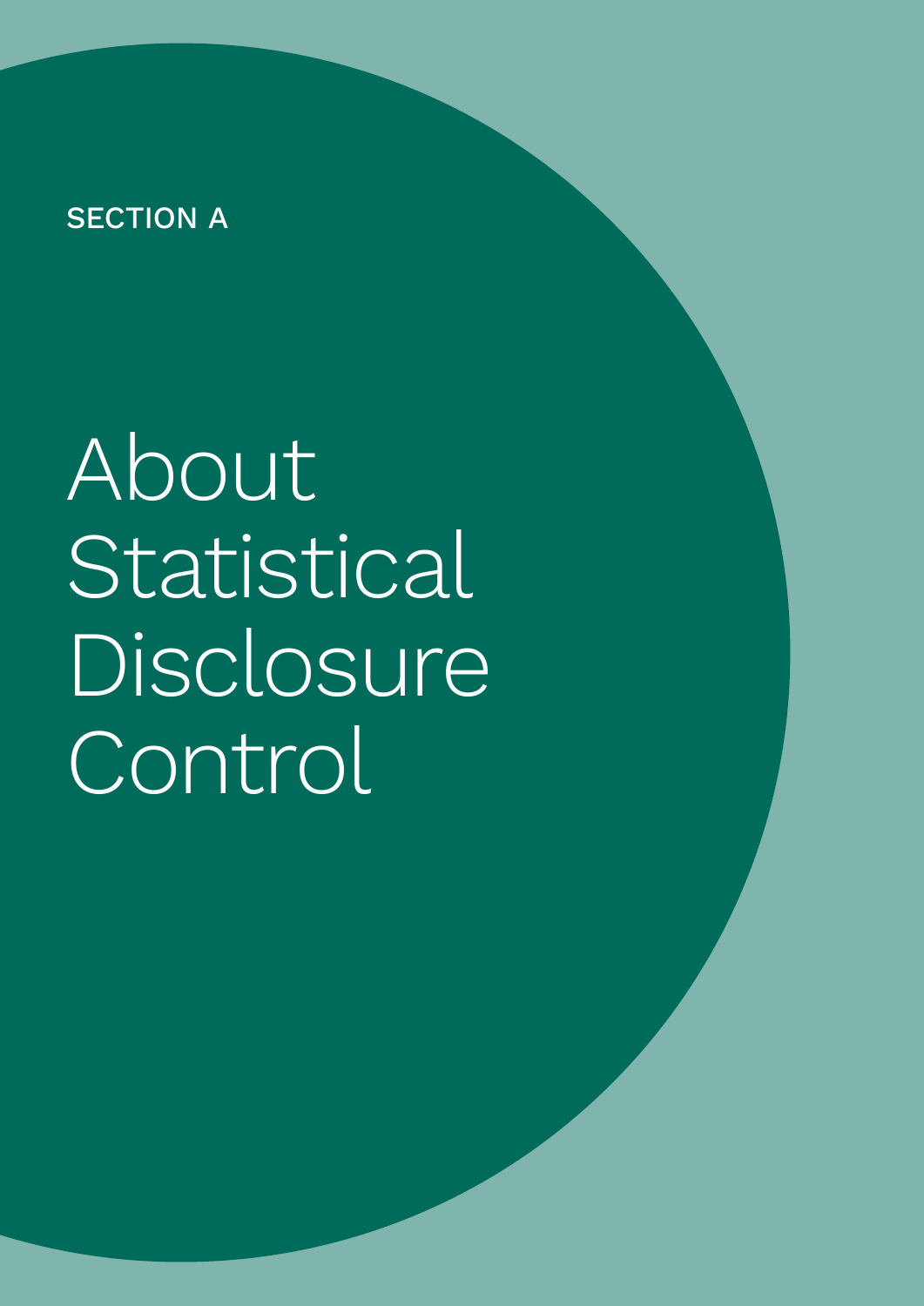# **SECTION A**

About Statistical **Disclosure Control**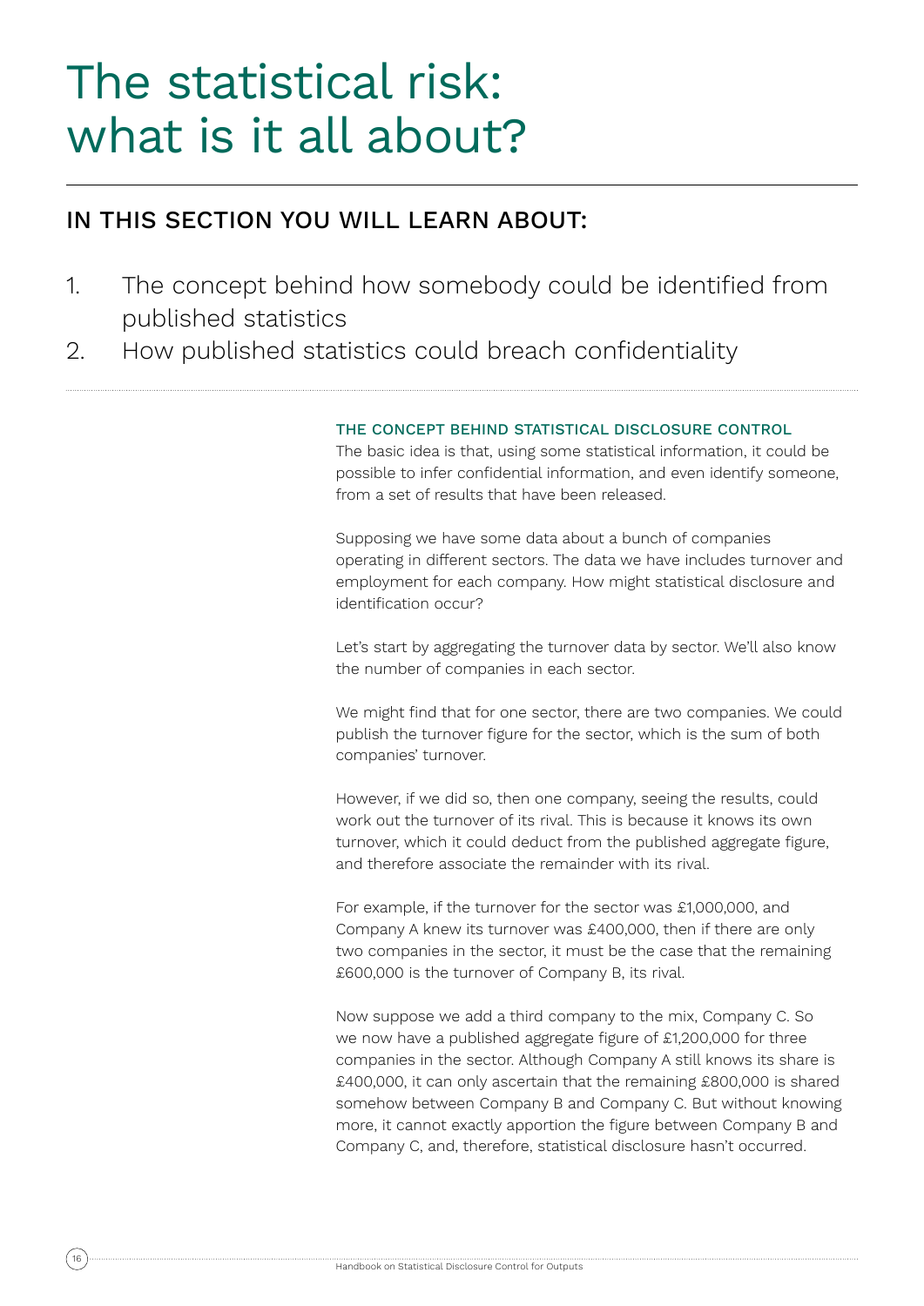# The statistical risk: what is it all about?

# IN THIS SECTION YOU WILL LEARN ABOUT:

- 1. The concept behind how somebody could be identified from published statistics
- 2. How published statistics could breach confidentiality

# THE CONCEPT BEHIND STATISTICAL DISCLOSURE CONTROL

The basic idea is that, using some statistical information, it could be possible to infer confidential information, and even identify someone, from a set of results that have been released.

Supposing we have some data about a bunch of companies operating in different sectors. The data we have includes turnover and employment for each company. How might statistical disclosure and identification occur?

Let's start by aggregating the turnover data by sector. We'll also know the number of companies in each sector.

We might find that for one sector, there are two companies. We could publish the turnover figure for the sector, which is the sum of both companies' turnover.

However, if we did so, then one company, seeing the results, could work out the turnover of its rival. This is because it knows its own turnover, which it could deduct from the published aggregate figure, and therefore associate the remainder with its rival.

For example, if the turnover for the sector was £1,000,000, and Company A knew its turnover was £400,000, then if there are only two companies in the sector, it must be the case that the remaining £600,000 is the turnover of Company B, its rival.

Now suppose we add a third company to the mix, Company C. So we now have a published aggregate figure of £1,200,000 for three companies in the sector. Although Company A still knows its share is £400,000, it can only ascertain that the remaining £800,000 is shared somehow between Company B and Company C. But without knowing more, it cannot exactly apportion the figure between Company B and Company C, and, therefore, statistical disclosure hasn't occurred.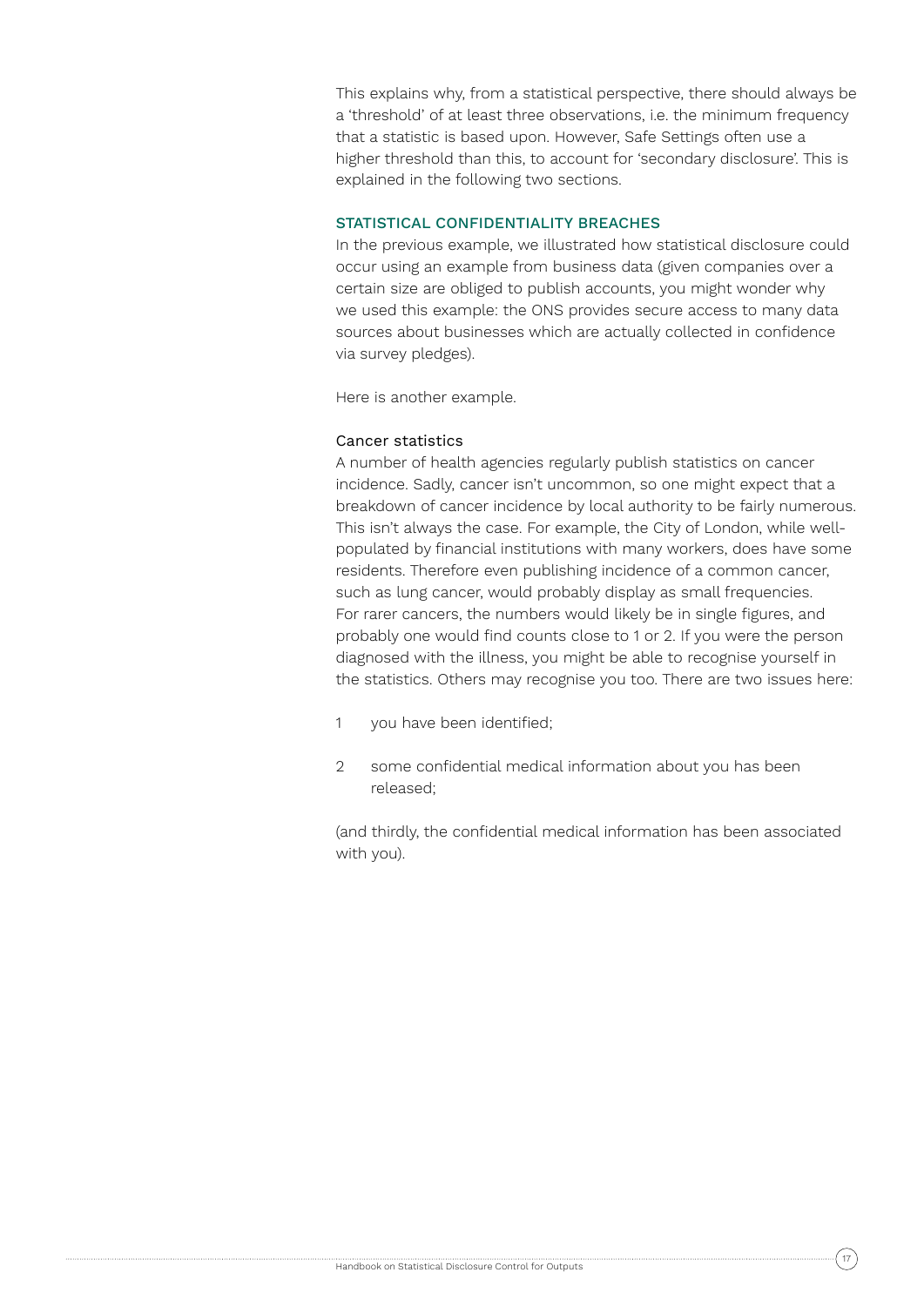This explains why, from a statistical perspective, there should always be a 'threshold' of at least three observations, i.e. the minimum frequency that a statistic is based upon. However, Safe Settings often use a higher threshold than this, to account for 'secondary disclosure'. This is explained in the following two sections.

## STATISTICAL CONFIDENTIALITY BREACHES

In the previous example, we illustrated how statistical disclosure could occur using an example from business data (given companies over a certain size are obliged to publish accounts, you might wonder why we used this example: the ONS provides secure access to many data sources about businesses which are actually collected in confidence via survey pledges).

Here is another example.

## Cancer statistics

A number of health agencies regularly publish statistics on cancer incidence. Sadly, cancer isn't uncommon, so one might expect that a breakdown of cancer incidence by local authority to be fairly numerous. This isn't always the case. For example, the City of London, while wellpopulated by financial institutions with many workers, does have some residents. Therefore even publishing incidence of a common cancer, such as lung cancer, would probably display as small frequencies. For rarer cancers, the numbers would likely be in single figures, and probably one would find counts close to 1 or 2. If you were the person diagnosed with the illness, you might be able to recognise yourself in the statistics. Others may recognise you too. There are two issues here:

- 1 vou have been identified:
- 2 some confidential medical information about you has been released;

(and thirdly, the confidential medical information has been associated with you).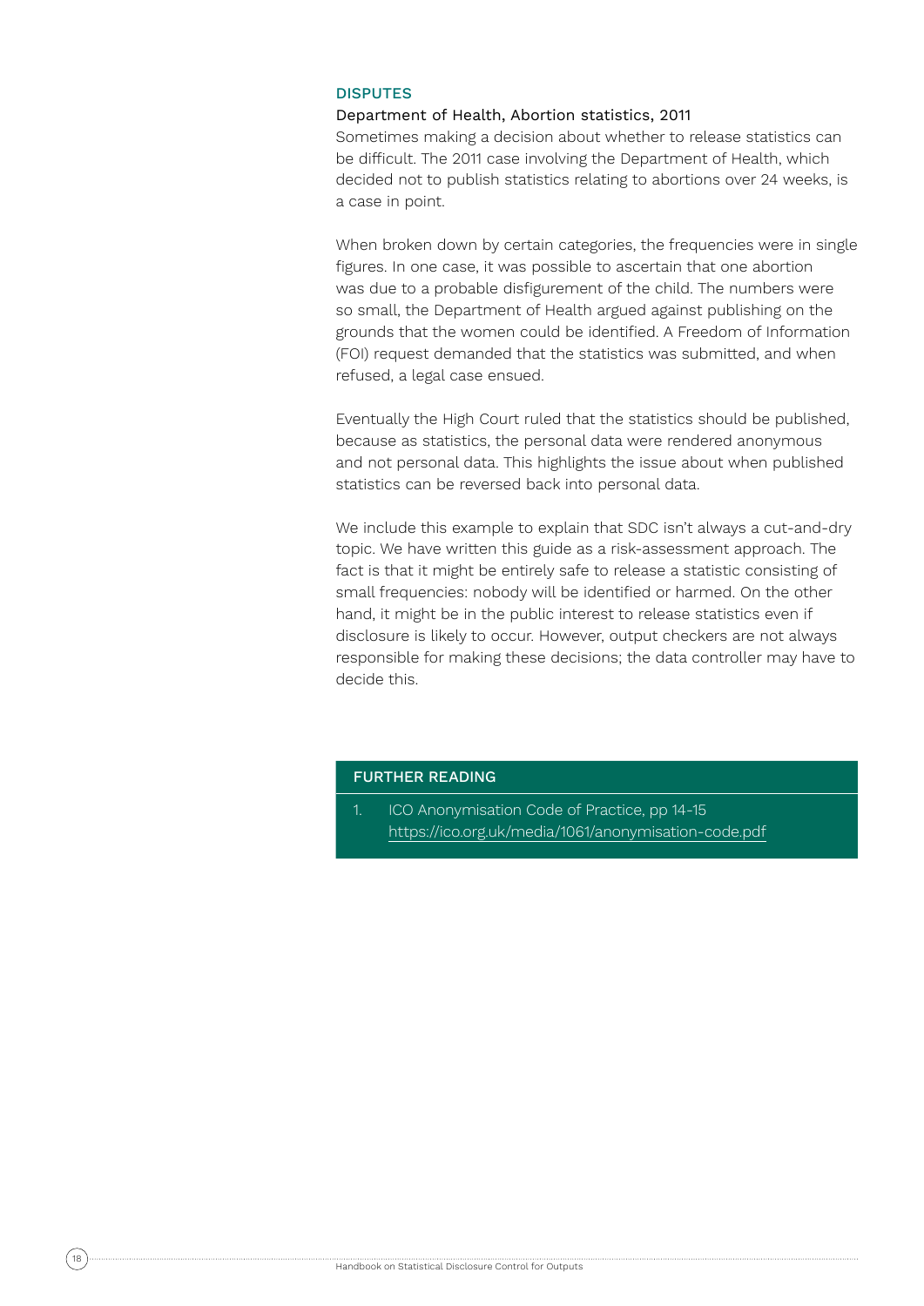## **DISPUTES**

### Department of Health, Abortion statistics, 2011

Sometimes making a decision about whether to release statistics can be difficult. The 2011 case involving the Department of Health, which decided not to publish statistics relating to abortions over 24 weeks, is a case in point.

When broken down by certain categories, the frequencies were in single figures. In one case, it was possible to ascertain that one abortion was due to a probable disfigurement of the child. The numbers were so small, the Department of Health argued against publishing on the grounds that the women could be identified. A Freedom of Information (FOI) request demanded that the statistics was submitted, and when refused, a legal case ensued.

Eventually the High Court ruled that the statistics should be published, because as statistics, the personal data were rendered anonymous and not personal data. This highlights the issue about when published statistics can be reversed back into personal data.

We include this example to explain that SDC isn't always a cut-and-dry topic. We have written this guide as a risk-assessment approach. The fact is that it might be entirely safe to release a statistic consisting of small frequencies: nobody will be identified or harmed. On the other hand, it might be in the public interest to release statistics even if disclosure is likely to occur. However, output checkers are not always responsible for making these decisions; the data controller may have to decide this.

## FURTHER READING

1. ICO Anonymisation Code of Practice, pp 14-15 https://ico.org.uk/media/1061/anonymisation-code.pdf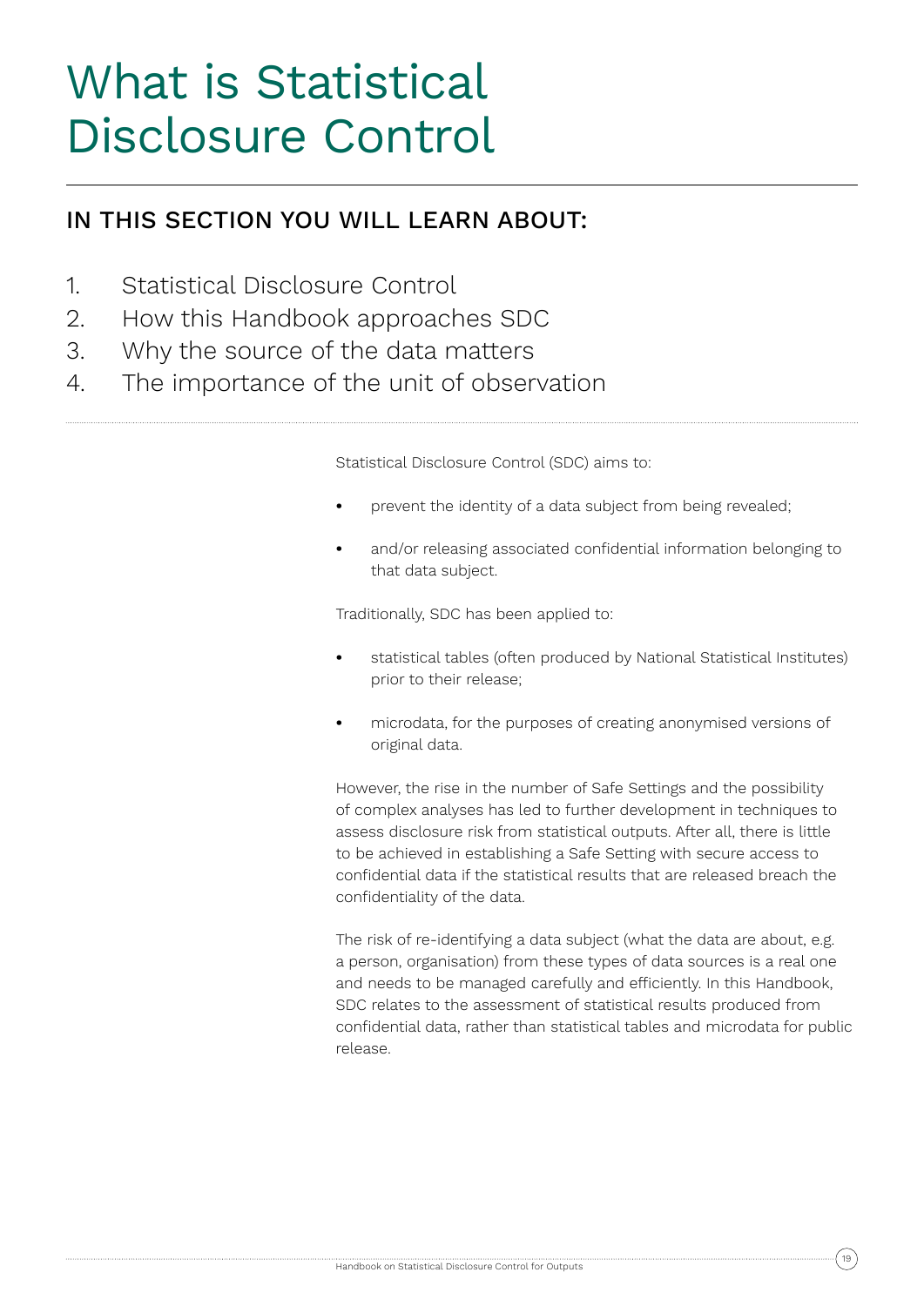# What is Statistical Disclosure Control

# IN THIS SECTION YOU WILL LEARN ABOUT:

- 1. Statistical Disclosure Control
- 2. How this Handbook approaches SDC
- 3. Why the source of the data matters
- 4. The importance of the unit of observation

Statistical Disclosure Control (SDC) aims to:

- **•** prevent the identity of a data subject from being revealed;
- **•** and/or releasing associated confidential information belonging to that data subject.

Traditionally, SDC has been applied to:

- **•** statistical tables (often produced by National Statistical Institutes) prior to their release;
- **•** microdata, for the purposes of creating anonymised versions of original data.

However, the rise in the number of Safe Settings and the possibility of complex analyses has led to further development in techniques to assess disclosure risk from statistical outputs. After all, there is little to be achieved in establishing a Safe Setting with secure access to confidential data if the statistical results that are released breach the confidentiality of the data.

The risk of re-identifying a data subject (what the data are about, e.g. a person, organisation) from these types of data sources is a real one and needs to be managed carefully and efficiently. In this Handbook, SDC relates to the assessment of statistical results produced from confidential data, rather than statistical tables and microdata for public release.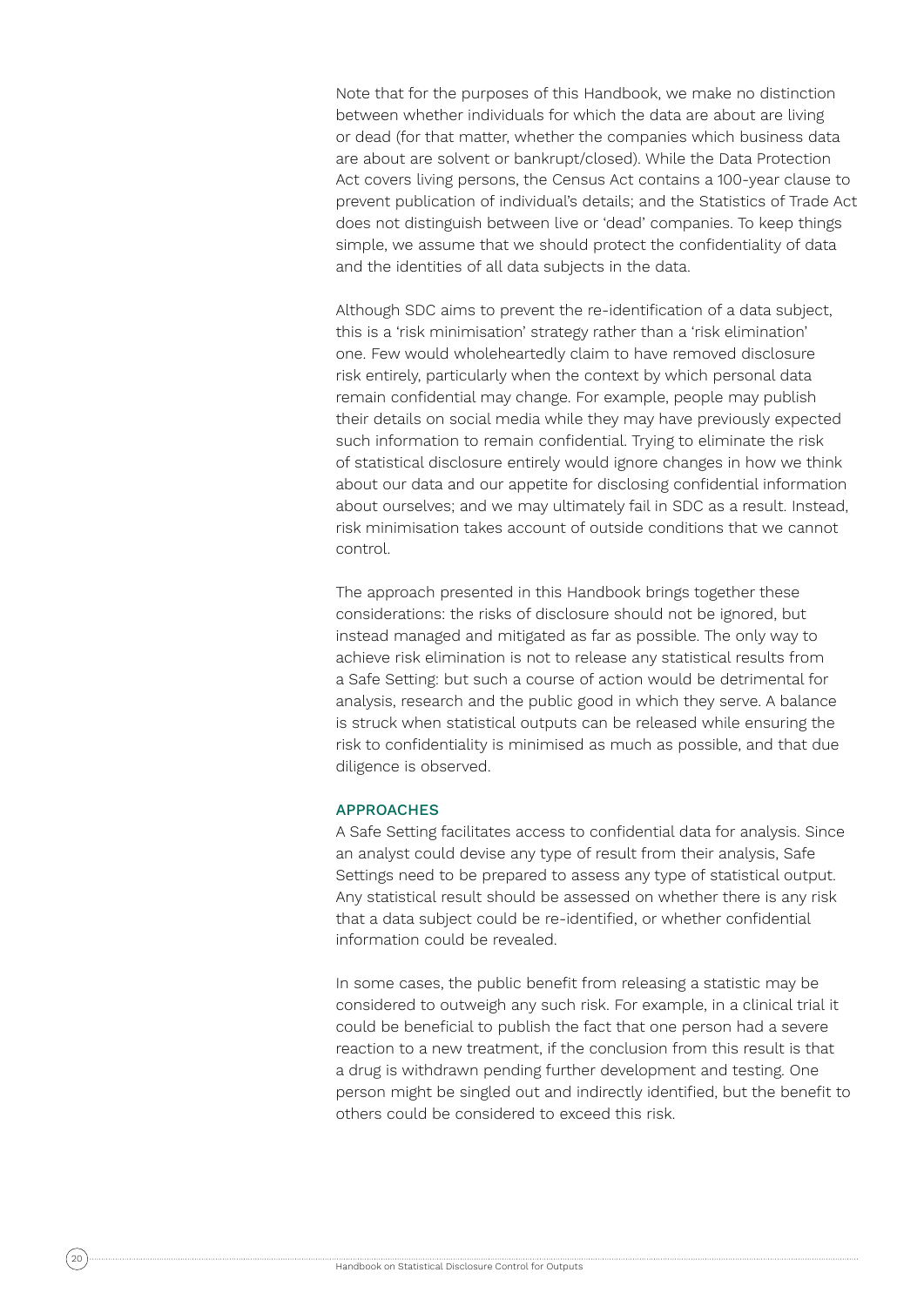Note that for the purposes of this Handbook, we make no distinction between whether individuals for which the data are about are living or dead (for that matter, whether the companies which business data are about are solvent or bankrupt/closed). While the Data Protection Act covers living persons, the Census Act contains a 100-year clause to prevent publication of individual's details; and the Statistics of Trade Act does not distinguish between live or 'dead' companies. To keep things simple, we assume that we should protect the confidentiality of data and the identities of all data subjects in the data.

Although SDC aims to prevent the re-identification of a data subject, this is a 'risk minimisation' strategy rather than a 'risk elimination' one. Few would wholeheartedly claim to have removed disclosure risk entirely, particularly when the context by which personal data remain confidential may change. For example, people may publish their details on social media while they may have previously expected such information to remain confidential. Trying to eliminate the risk of statistical disclosure entirely would ignore changes in how we think about our data and our appetite for disclosing confidential information about ourselves; and we may ultimately fail in SDC as a result. Instead, risk minimisation takes account of outside conditions that we cannot control.

The approach presented in this Handbook brings together these considerations: the risks of disclosure should not be ignored, but instead managed and mitigated as far as possible. The only way to achieve risk elimination is not to release any statistical results from a Safe Setting: but such a course of action would be detrimental for analysis, research and the public good in which they serve. A balance is struck when statistical outputs can be released while ensuring the risk to confidentiality is minimised as much as possible, and that due diligence is observed.

### APPROACHES

A Safe Setting facilitates access to confidential data for analysis. Since an analyst could devise any type of result from their analysis, Safe Settings need to be prepared to assess any type of statistical output. Any statistical result should be assessed on whether there is any risk that a data subject could be re-identified, or whether confidential information could be revealed.

In some cases, the public benefit from releasing a statistic may be considered to outweigh any such risk. For example, in a clinical trial it could be beneficial to publish the fact that one person had a severe reaction to a new treatment, if the conclusion from this result is that a drug is withdrawn pending further development and testing. One person might be singled out and indirectly identified, but the benefit to others could be considered to exceed this risk.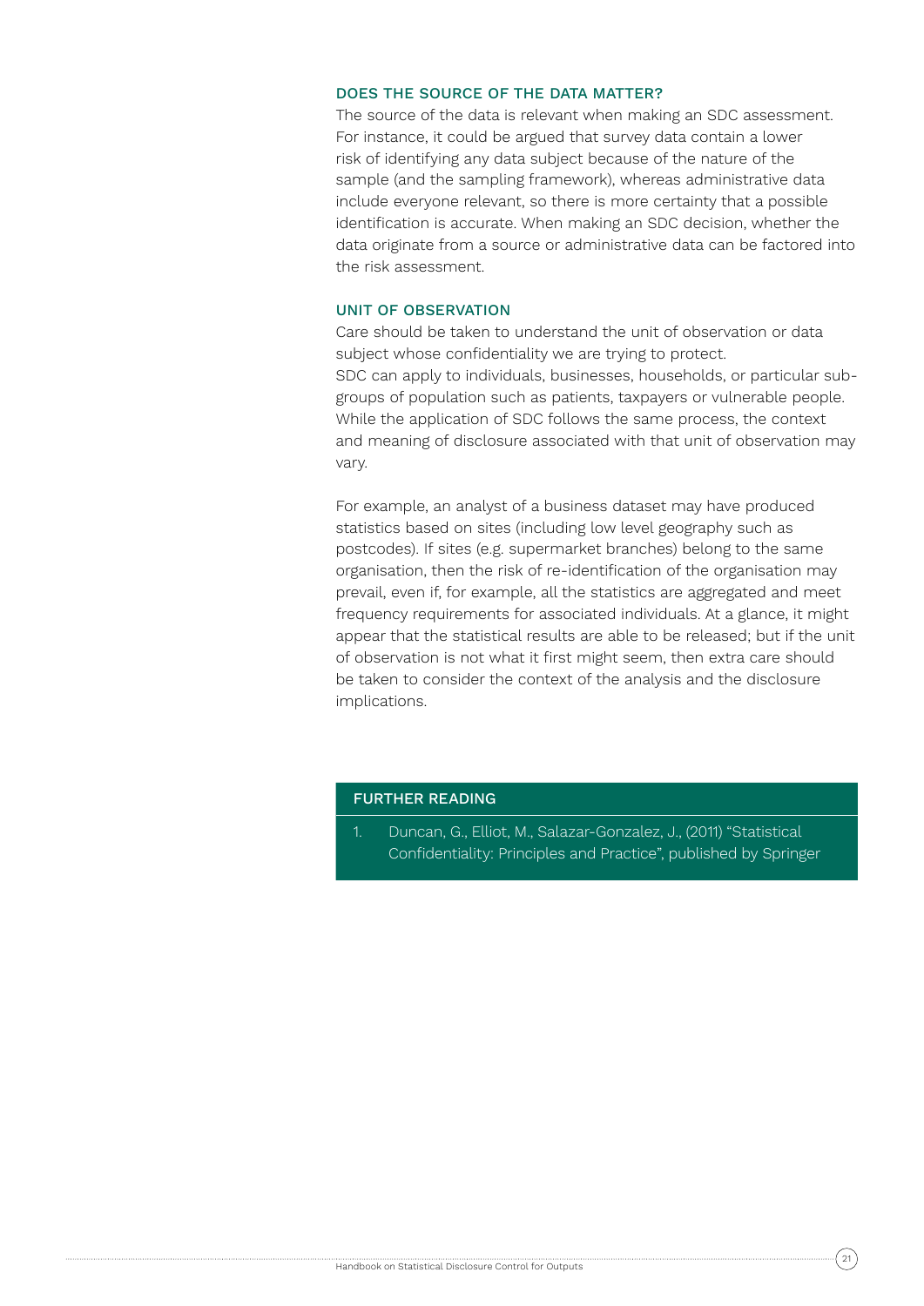## DOES THE SOURCE OF THE DATA MATTER?

The source of the data is relevant when making an SDC assessment. For instance, it could be argued that survey data contain a lower risk of identifying any data subject because of the nature of the sample (and the sampling framework), whereas administrative data include everyone relevant, so there is more certainty that a possible identification is accurate. When making an SDC decision, whether the data originate from a source or administrative data can be factored into the risk assessment.

## UNIT OF OBSERVATION

Care should be taken to understand the unit of observation or data subject whose confidentiality we are trying to protect. SDC can apply to individuals, businesses, households, or particular subgroups of population such as patients, taxpayers or vulnerable people. While the application of SDC follows the same process, the context and meaning of disclosure associated with that unit of observation may vary.

For example, an analyst of a business dataset may have produced statistics based on sites (including low level geography such as postcodes). If sites (e.g. supermarket branches) belong to the same organisation, then the risk of re-identification of the organisation may prevail, even if, for example, all the statistics are aggregated and meet frequency requirements for associated individuals. At a glance, it might appear that the statistical results are able to be released; but if the unit of observation is not what it first might seem, then extra care should be taken to consider the context of the analysis and the disclosure implications.

### FURTHER READING

1. Duncan, G., Elliot, M., Salazar-Gonzalez, J., (2011) "Statistical Confidentiality: Principles and Practice", published by Springer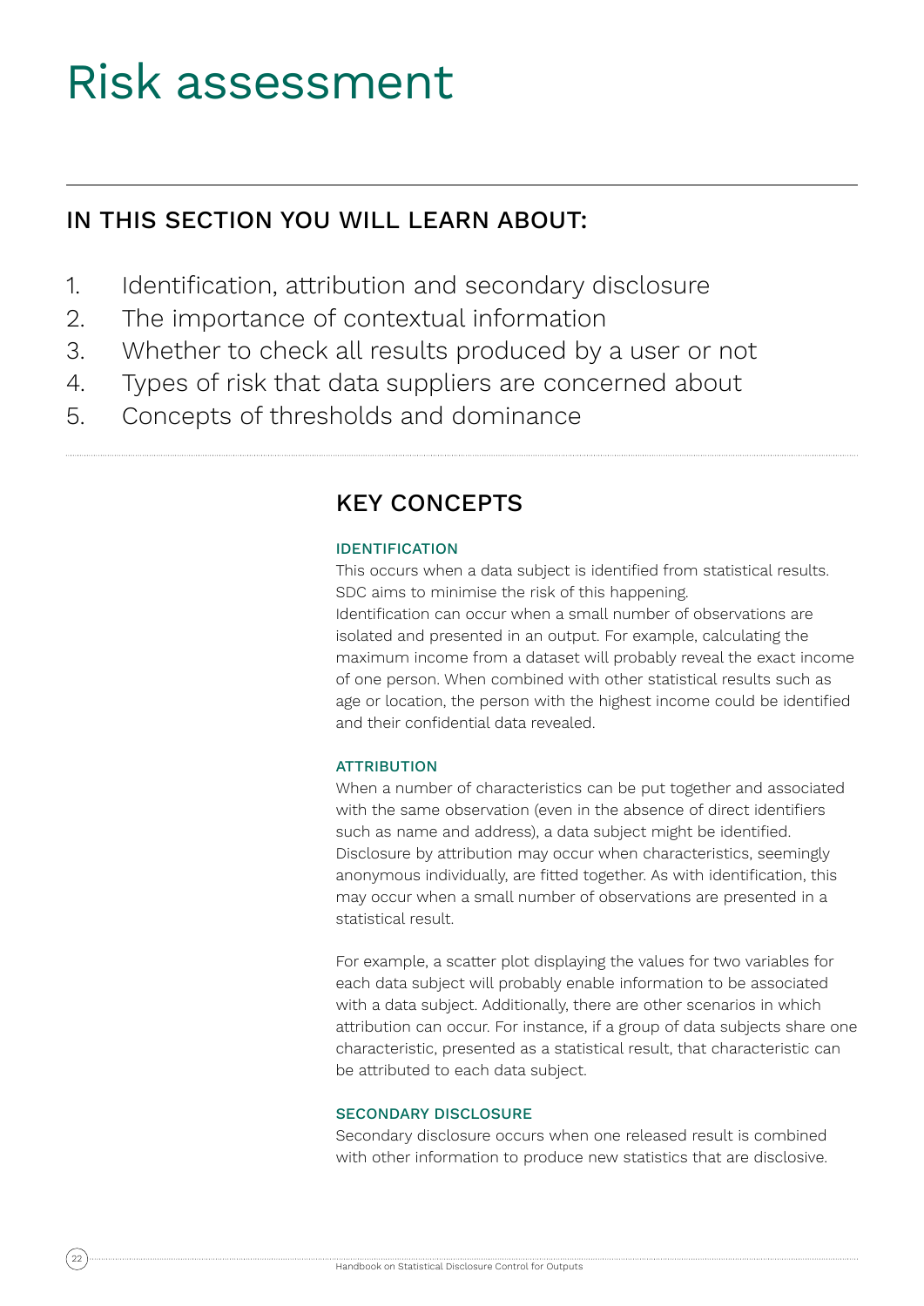# Risk assessment

# IN THIS SECTION YOU WILL LEARN ABOUT:

- 1. Identification, attribution and secondary disclosure
- 2. The importance of contextual information
- 3. Whether to check all results produced by a user or not
- 4. Types of risk that data suppliers are concerned about
- 5. Concepts of thresholds and dominance

# KEY CONCEPTS

# IDENTIFICATION

This occurs when a data subject is identified from statistical results. SDC aims to minimise the risk of this happening. Identification can occur when a small number of observations are isolated and presented in an output. For example, calculating the maximum income from a dataset will probably reveal the exact income of one person. When combined with other statistical results such as age or location, the person with the highest income could be identified and their confidential data revealed.

## **ATTRIBUTION**

When a number of characteristics can be put together and associated with the same observation (even in the absence of direct identifiers such as name and address), a data subject might be identified. Disclosure by attribution may occur when characteristics, seemingly anonymous individually, are fitted together. As with identification, this may occur when a small number of observations are presented in a statistical result.

For example, a scatter plot displaying the values for two variables for each data subject will probably enable information to be associated with a data subject. Additionally, there are other scenarios in which attribution can occur. For instance, if a group of data subjects share one characteristic, presented as a statistical result, that characteristic can be attributed to each data subject.

## SECONDARY DISCLOSURE

Secondary disclosure occurs when one released result is combined with other information to produce new statistics that are disclosive.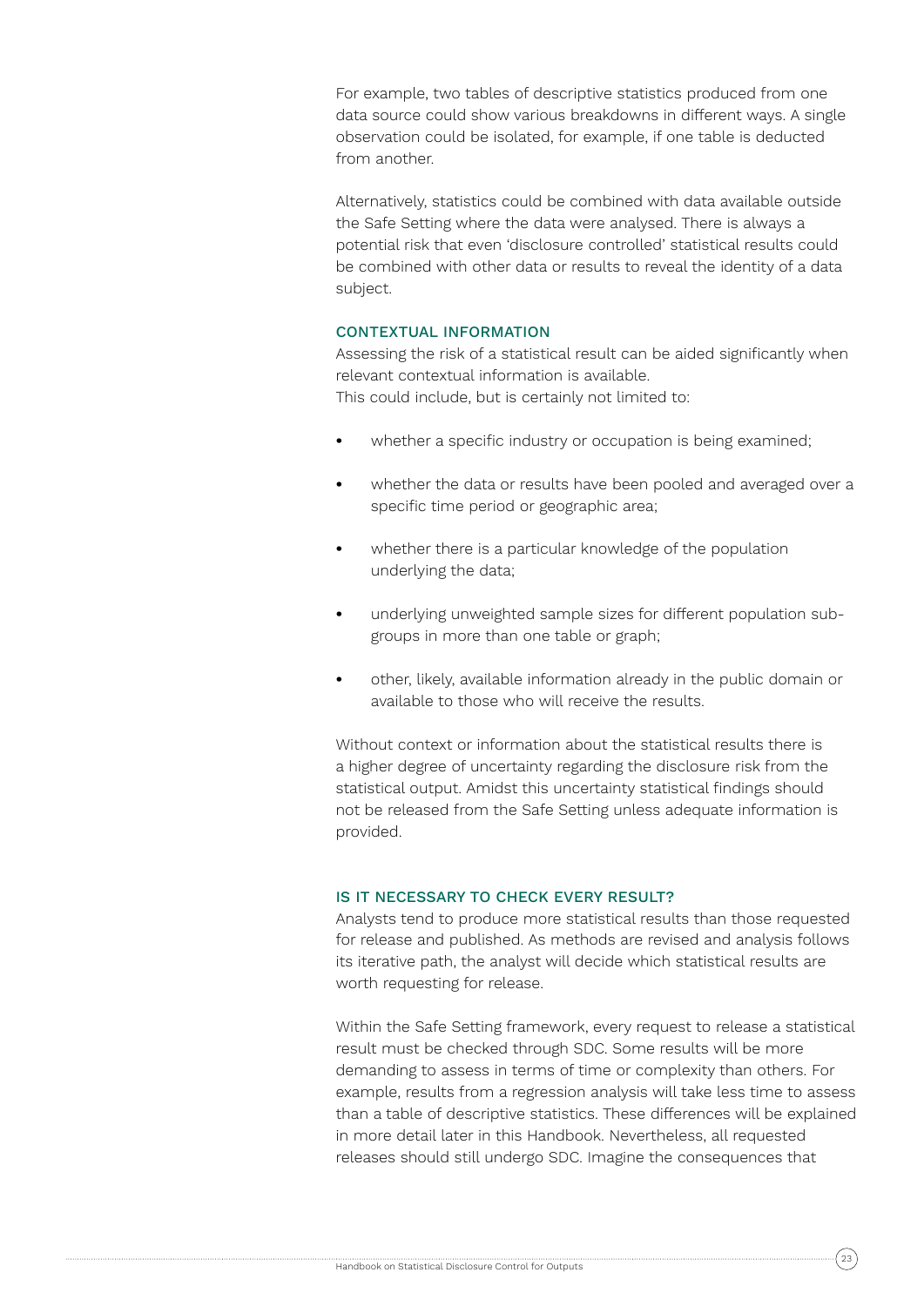For example, two tables of descriptive statistics produced from one data source could show various breakdowns in different ways. A single observation could be isolated, for example, if one table is deducted from another.

Alternatively, statistics could be combined with data available outside the Safe Setting where the data were analysed. There is always a potential risk that even 'disclosure controlled' statistical results could be combined with other data or results to reveal the identity of a data subject.

## CONTEXTUAL INFORMATION

Assessing the risk of a statistical result can be aided significantly when relevant contextual information is available.

This could include, but is certainly not limited to:

- **•** whether a specific industry or occupation is being examined;
- **•** whether the data or results have been pooled and averaged over a specific time period or geographic area;
- **•** whether there is a particular knowledge of the population underlying the data;
- **•** underlying unweighted sample sizes for different population subgroups in more than one table or graph;
- **•** other, likely, available information already in the public domain or available to those who will receive the results.

Without context or information about the statistical results there is a higher degree of uncertainty regarding the disclosure risk from the statistical output. Amidst this uncertainty statistical findings should not be released from the Safe Setting unless adequate information is provided.

## IS IT NECESSARY TO CHECK EVERY RESULT?

Analysts tend to produce more statistical results than those requested for release and published. As methods are revised and analysis follows its iterative path, the analyst will decide which statistical results are worth requesting for release.

Within the Safe Setting framework, every request to release a statistical result must be checked through SDC. Some results will be more demanding to assess in terms of time or complexity than others. For example, results from a regression analysis will take less time to assess than a table of descriptive statistics. These differences will be explained in more detail later in this Handbook. Nevertheless, all requested releases should still undergo SDC. Imagine the consequences that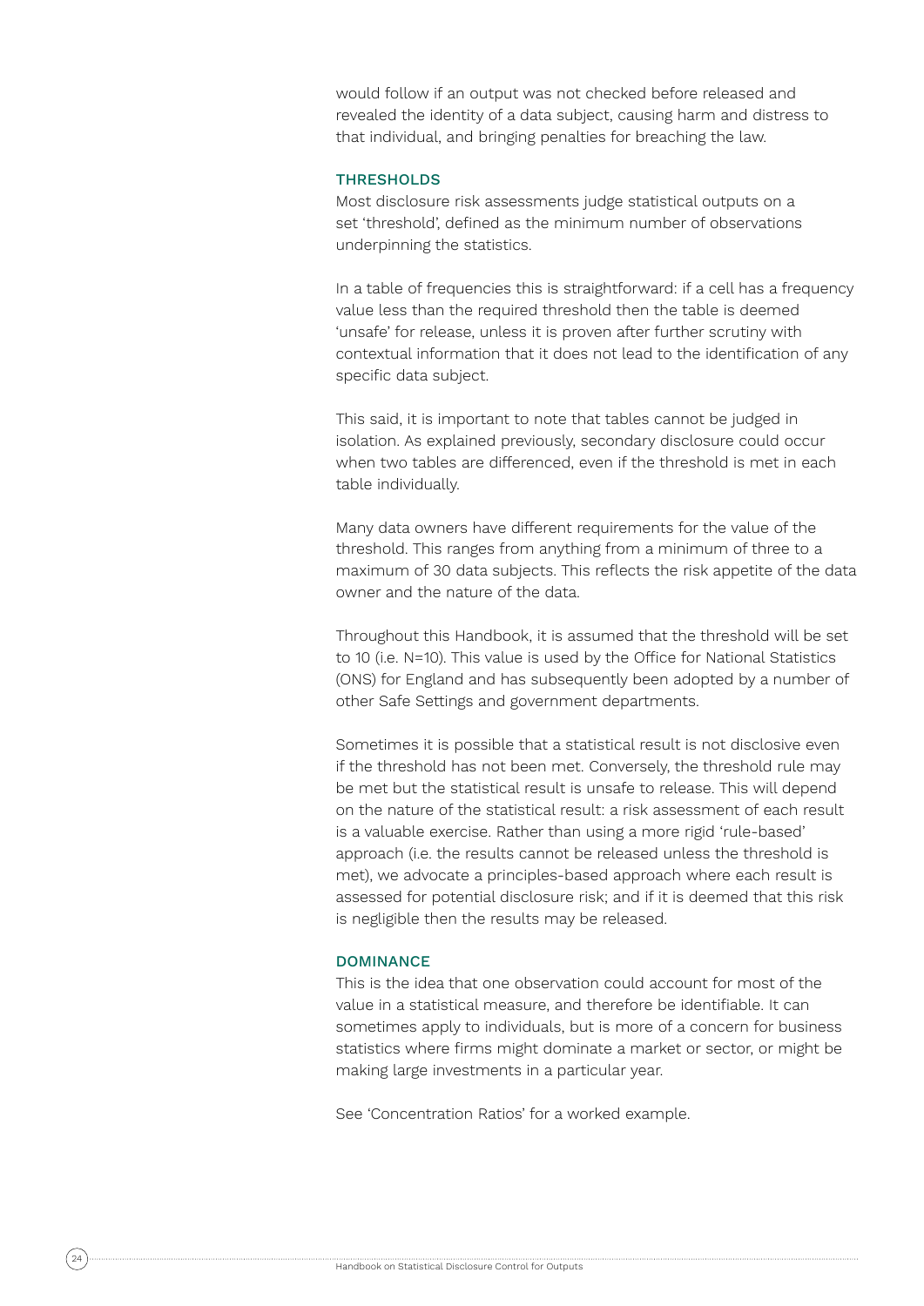would follow if an output was not checked before released and revealed the identity of a data subject, causing harm and distress to that individual, and bringing penalties for breaching the law.

## **THRESHOLDS**

Most disclosure risk assessments judge statistical outputs on a set 'threshold', defined as the minimum number of observations underpinning the statistics.

In a table of frequencies this is straightforward: if a cell has a frequency value less than the required threshold then the table is deemed 'unsafe' for release, unless it is proven after further scrutiny with contextual information that it does not lead to the identification of any specific data subject.

This said, it is important to note that tables cannot be judged in isolation. As explained previously, secondary disclosure could occur when two tables are differenced, even if the threshold is met in each table individually.

Many data owners have different requirements for the value of the threshold. This ranges from anything from a minimum of three to a maximum of 30 data subjects. This reflects the risk appetite of the data owner and the nature of the data.

Throughout this Handbook, it is assumed that the threshold will be set to 10 (i.e. N=10). This value is used by the Office for National Statistics (ONS) for England and has subsequently been adopted by a number of other Safe Settings and government departments.

Sometimes it is possible that a statistical result is not disclosive even if the threshold has not been met. Conversely, the threshold rule may be met but the statistical result is unsafe to release. This will depend on the nature of the statistical result: a risk assessment of each result is a valuable exercise. Rather than using a more rigid 'rule-based' approach (i.e. the results cannot be released unless the threshold is met), we advocate a principles-based approach where each result is assessed for potential disclosure risk; and if it is deemed that this risk is negligible then the results may be released.

#### DOMINANCE

This is the idea that one observation could account for most of the value in a statistical measure, and therefore be identifiable. It can sometimes apply to individuals, but is more of a concern for business statistics where firms might dominate a market or sector, or might be making large investments in a particular year.

See 'Concentration Ratios' for a worked example.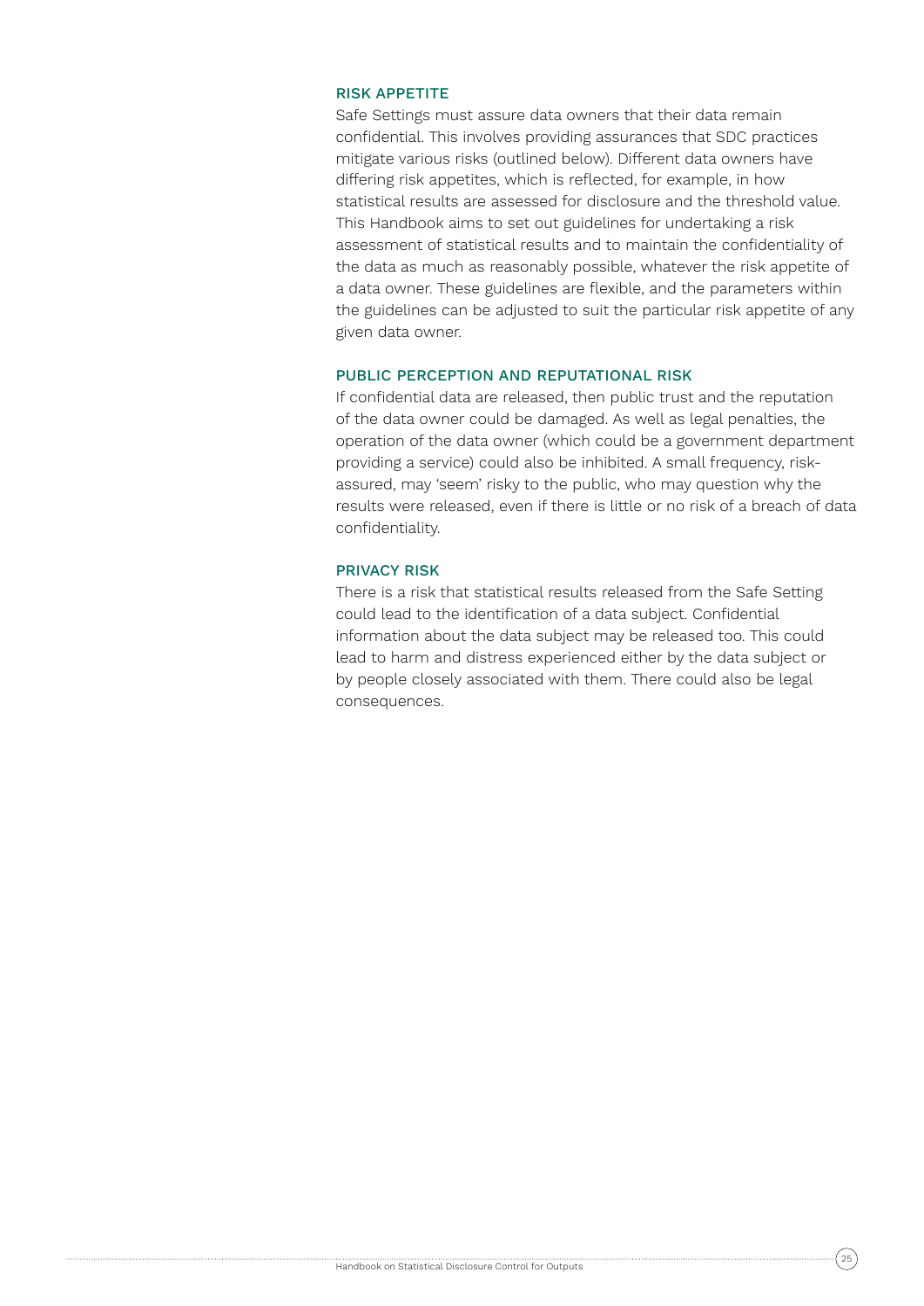## RISK APPETITE

Safe Settings must assure data owners that their data remain confidential. This involves providing assurances that SDC practices mitigate various risks (outlined below). Different data owners have differing risk appetites, which is reflected, for example, in how statistical results are assessed for disclosure and the threshold value. This Handbook aims to set out guidelines for undertaking a risk assessment of statistical results and to maintain the confidentiality of the data as much as reasonably possible, whatever the risk appetite of a data owner. These guidelines are flexible, and the parameters within the guidelines can be adjusted to suit the particular risk appetite of any given data owner.

### PUBLIC PERCEPTION AND REPUTATIONAL RISK

If confidential data are released, then public trust and the reputation of the data owner could be damaged. As well as legal penalties, the operation of the data owner (which could be a government department providing a service) could also be inhibited. A small frequency, riskassured, may 'seem' risky to the public, who may question why the results were released, even if there is little or no risk of a breach of data confidentiality.

### PRIVACY RISK

There is a risk that statistical results released from the Safe Setting could lead to the identification of a data subject. Confidential information about the data subject may be released too. This could lead to harm and distress experienced either by the data subject or by people closely associated with them. There could also be legal consequences.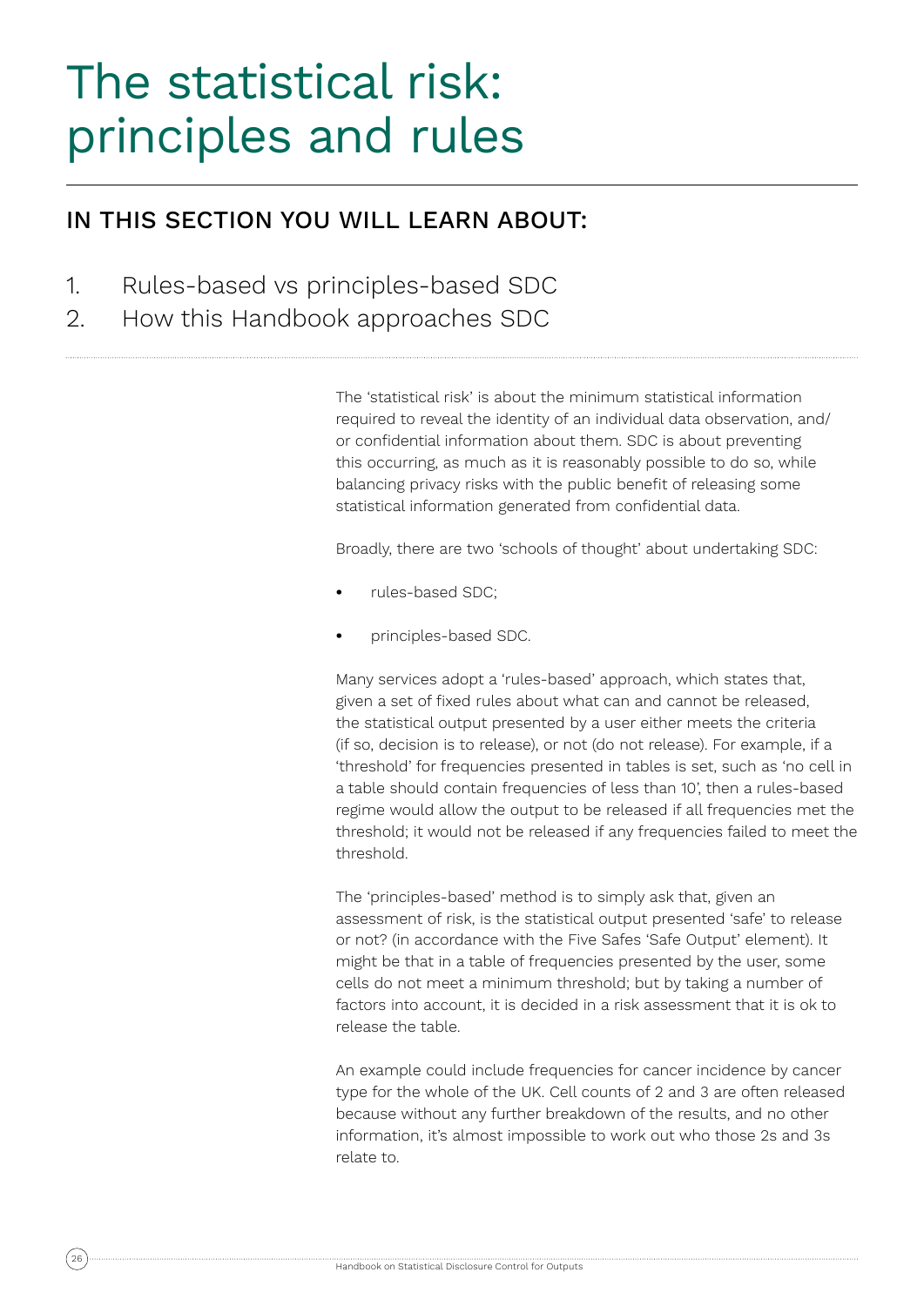# The statistical risk: principles and rules

# IN THIS SECTION YOU WILL LEARN ABOUT:

- 1. Rules-based vs principles-based SDC
- 2. How this Handbook approaches SDC

The 'statistical risk' is about the minimum statistical information required to reveal the identity of an individual data observation, and/ or confidential information about them. SDC is about preventing this occurring, as much as it is reasonably possible to do so, while balancing privacy risks with the public benefit of releasing some statistical information generated from confidential data.

Broadly, there are two 'schools of thought' about undertaking SDC:

- **•** rules-based SDC;
- **•** principles-based SDC.

Many services adopt a 'rules-based' approach, which states that, given a set of fixed rules about what can and cannot be released, the statistical output presented by a user either meets the criteria (if so, decision is to release), or not (do not release). For example, if a 'threshold' for frequencies presented in tables is set, such as 'no cell in a table should contain frequencies of less than 10', then a rules-based regime would allow the output to be released if all frequencies met the threshold; it would not be released if any frequencies failed to meet the threshold.

The 'principles-based' method is to simply ask that, given an assessment of risk, is the statistical output presented 'safe' to release or not? (in accordance with the Five Safes 'Safe Output' element). It might be that in a table of frequencies presented by the user, some cells do not meet a minimum threshold; but by taking a number of factors into account, it is decided in a risk assessment that it is ok to release the table.

An example could include frequencies for cancer incidence by cancer type for the whole of the UK. Cell counts of 2 and 3 are often released because without any further breakdown of the results, and no other information, it's almost impossible to work out who those 2s and 3s relate to.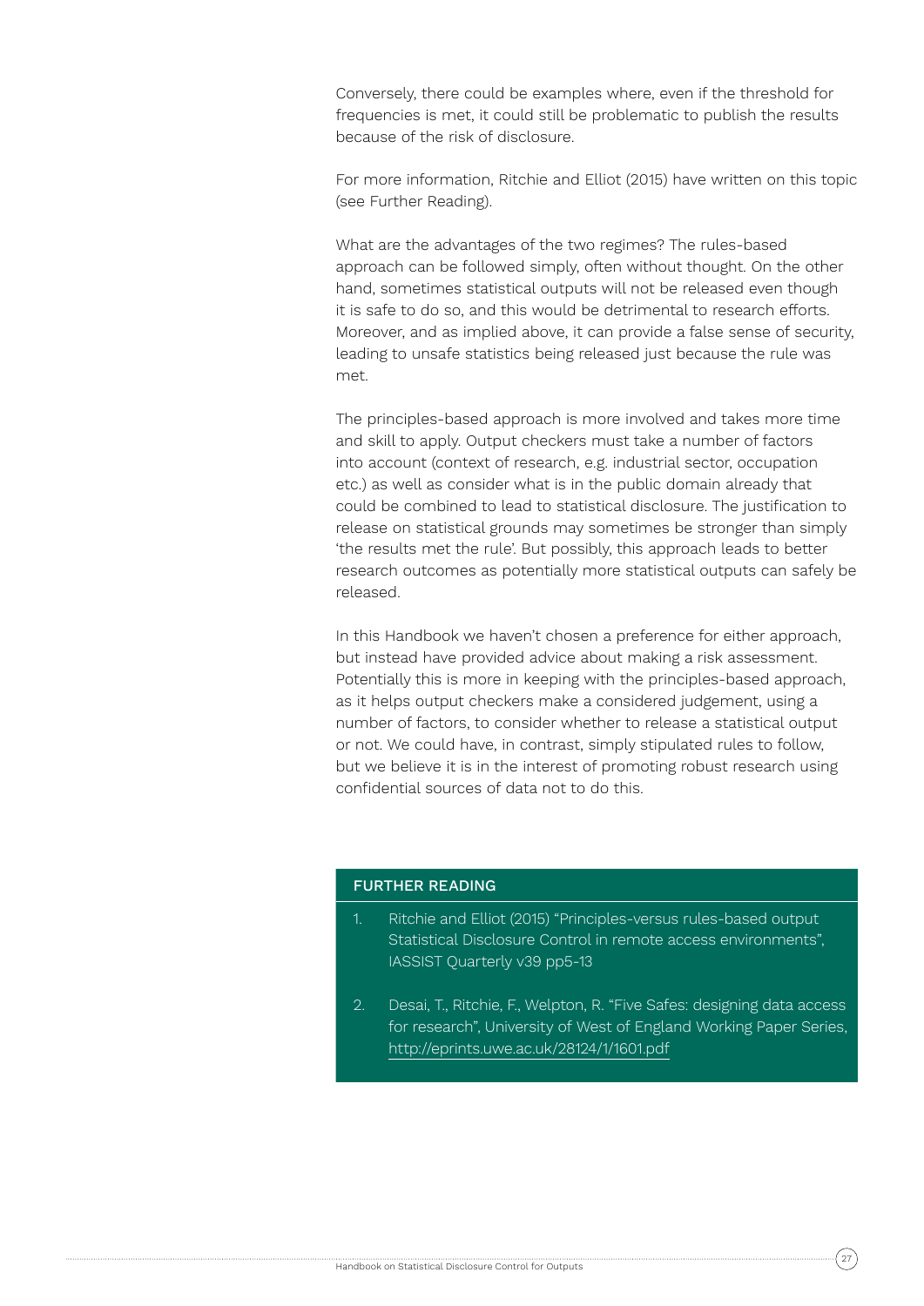Conversely, there could be examples where, even if the threshold for frequencies is met, it could still be problematic to publish the results because of the risk of disclosure.

For more information, Ritchie and Elliot (2015) have written on this topic (see Further Reading).

What are the advantages of the two regimes? The rules-based approach can be followed simply, often without thought. On the other hand, sometimes statistical outputs will not be released even though it is safe to do so, and this would be detrimental to research efforts. Moreover, and as implied above, it can provide a false sense of security, leading to unsafe statistics being released just because the rule was met.

The principles-based approach is more involved and takes more time and skill to apply. Output checkers must take a number of factors into account (context of research, e.g. industrial sector, occupation etc.) as well as consider what is in the public domain already that could be combined to lead to statistical disclosure. The justification to release on statistical grounds may sometimes be stronger than simply 'the results met the rule'. But possibly, this approach leads to better research outcomes as potentially more statistical outputs can safely be released.

In this Handbook we haven't chosen a preference for either approach, but instead have provided advice about making a risk assessment. Potentially this is more in keeping with the principles-based approach, as it helps output checkers make a considered judgement, using a number of factors, to consider whether to release a statistical output or not. We could have, in contrast, simply stipulated rules to follow, but we believe it is in the interest of promoting robust research using confidential sources of data not to do this.

## FURTHER READING

- 1. Ritchie and Elliot (2015) "Principles-versus rules-based output Statistical Disclosure Control in remote access environments", IASSIST Quarterly v39 pp5-13
- 2. Desai, T., Ritchie, F., Welpton, R. "Five Safes: designing data access for research", University of West of England Working Paper Series, http://eprints.uwe.ac.uk/28124/1/1601.pdf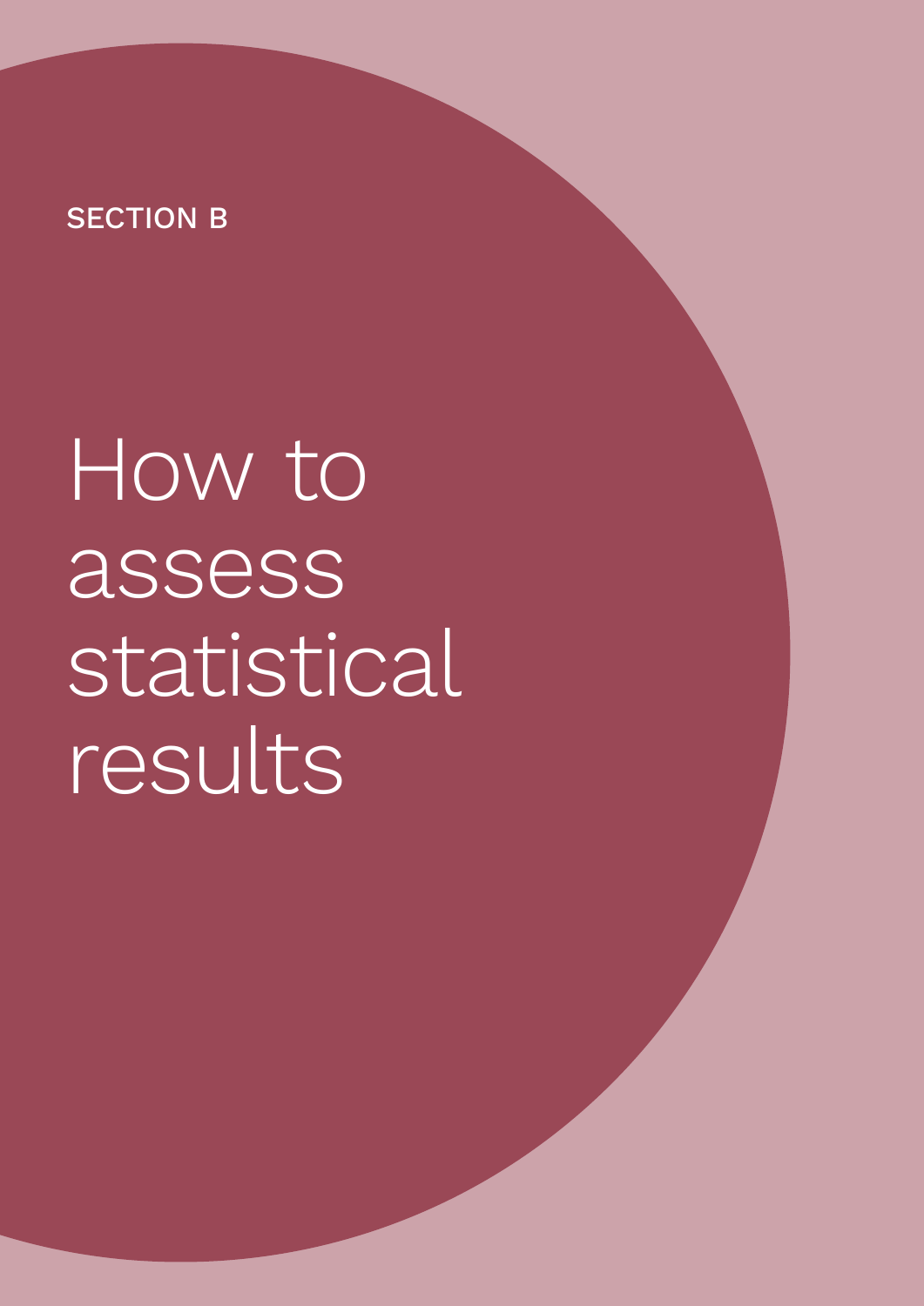# SECTION B

How to assess statistical results

<sup>28</sup> Handbook on Statistical Disclosure Control for Outputs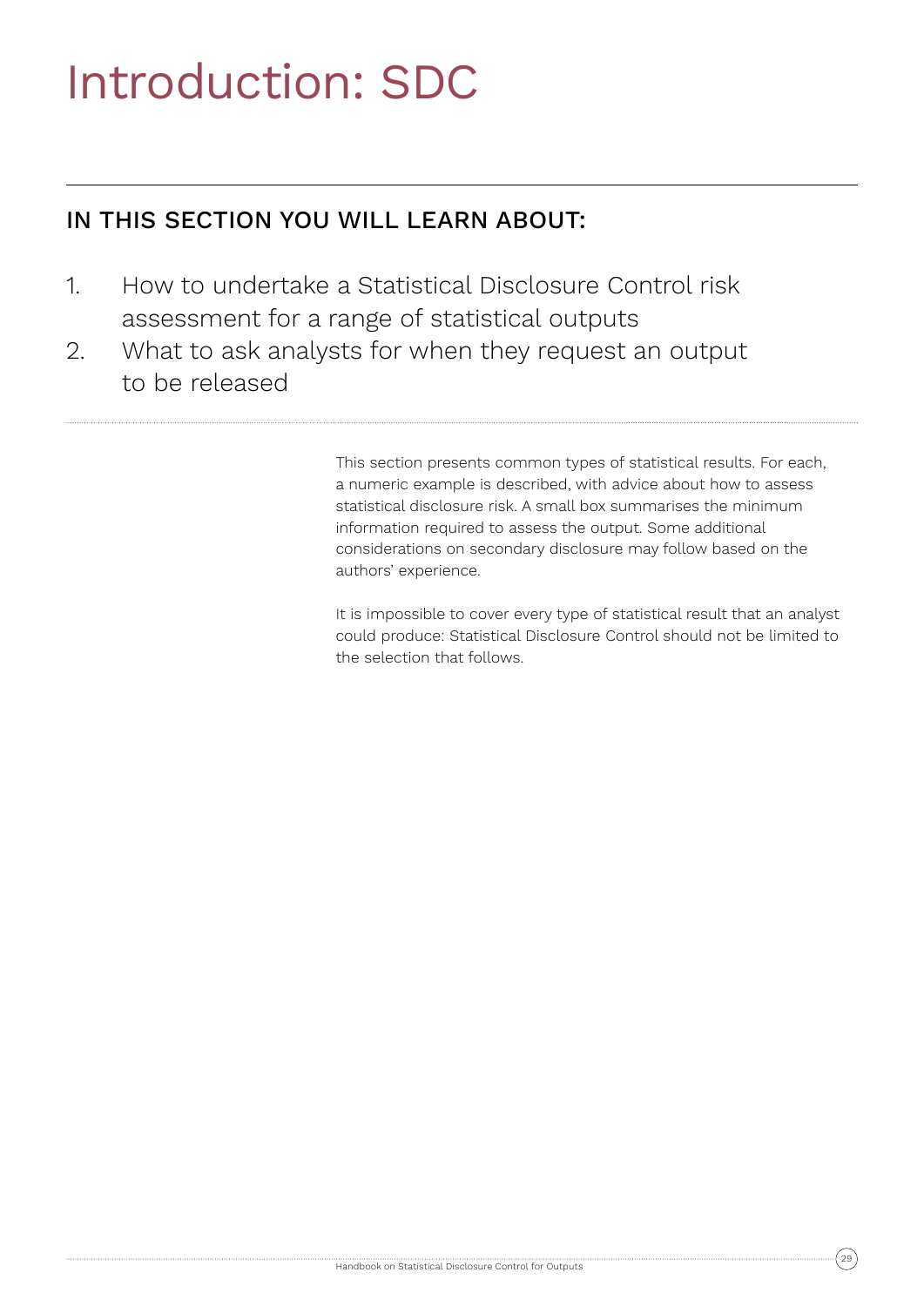# Introduction: SDC

# IN THIS SECTION YOU WILL LEARN ABOUT:

- 1. How to undertake a Statistical Disclosure Control risk assessment for a range of statistical outputs
- 2. What to ask analysts for when they request an output to be released

This section presents common types of statistical results. For each, a numeric example is described, with advice about how to assess statistical disclosure risk. A small box summarises the minimum information required to assess the output. Some additional considerations on secondary disclosure may follow based on the authors' experience.

It is impossible to cover every type of statistical result that an analyst could produce: Statistical Disclosure Control should not be limited to the selection that follows.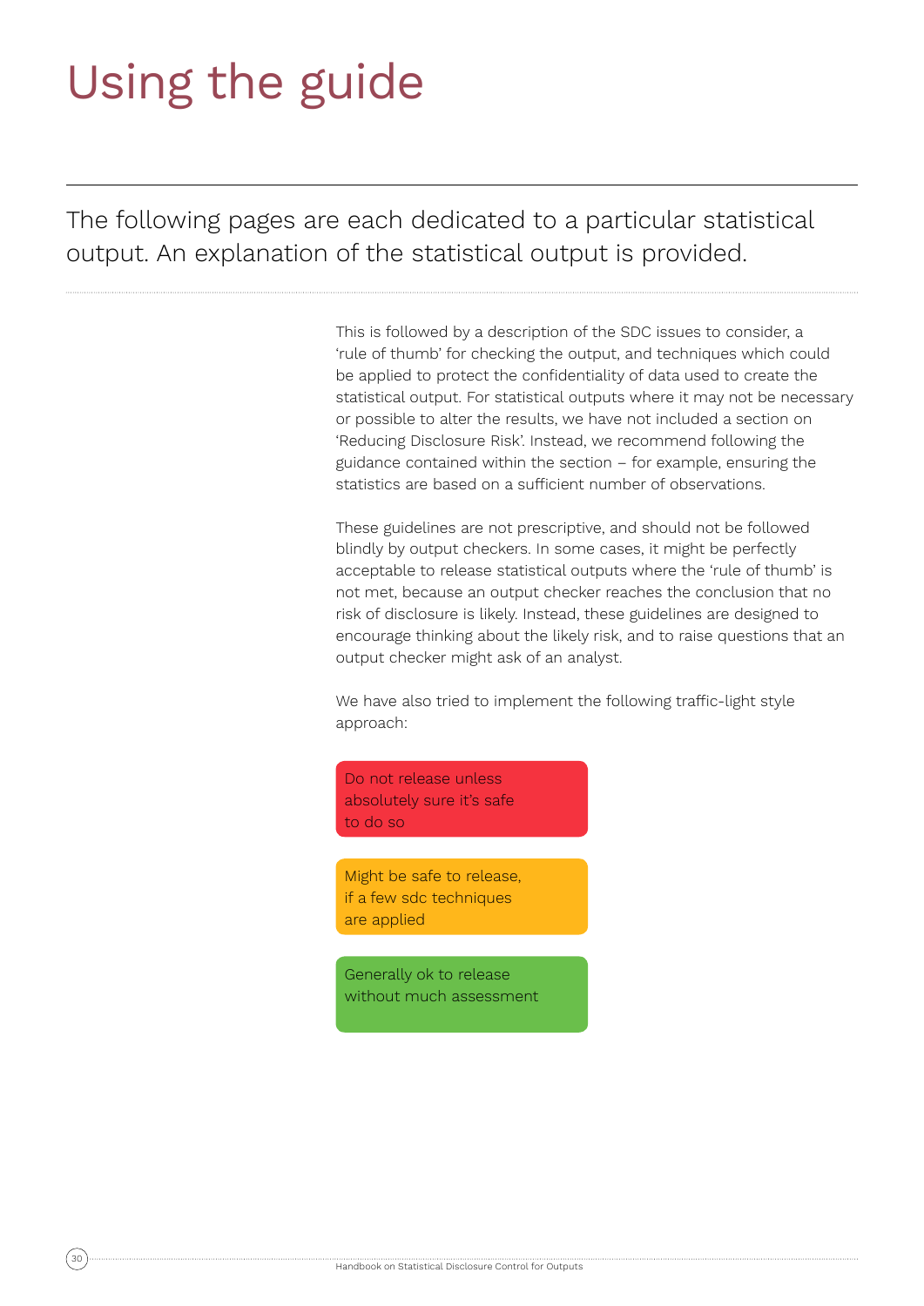# Using the guide

The following pages are each dedicated to a particular statistical output. An explanation of the statistical output is provided.

> This is followed by a description of the SDC issues to consider, a 'rule of thumb' for checking the output, and techniques which could be applied to protect the confidentiality of data used to create the statistical output. For statistical outputs where it may not be necessary or possible to alter the results, we have not included a section on 'Reducing Disclosure Risk'. Instead, we recommend following the guidance contained within the section – for example, ensuring the statistics are based on a sufficient number of observations.

These guidelines are not prescriptive, and should not be followed blindly by output checkers. In some cases, it might be perfectly acceptable to release statistical outputs where the 'rule of thumb' is not met, because an output checker reaches the conclusion that no risk of disclosure is likely. Instead, these guidelines are designed to encourage thinking about the likely risk, and to raise questions that an output checker might ask of an analyst.

We have also tried to implement the following traffic-light style approach:

Do not release unless absolutely sure it's safe to do so

Might be safe to release, if a few sdc techniques are applied

Generally ok to release without much assessment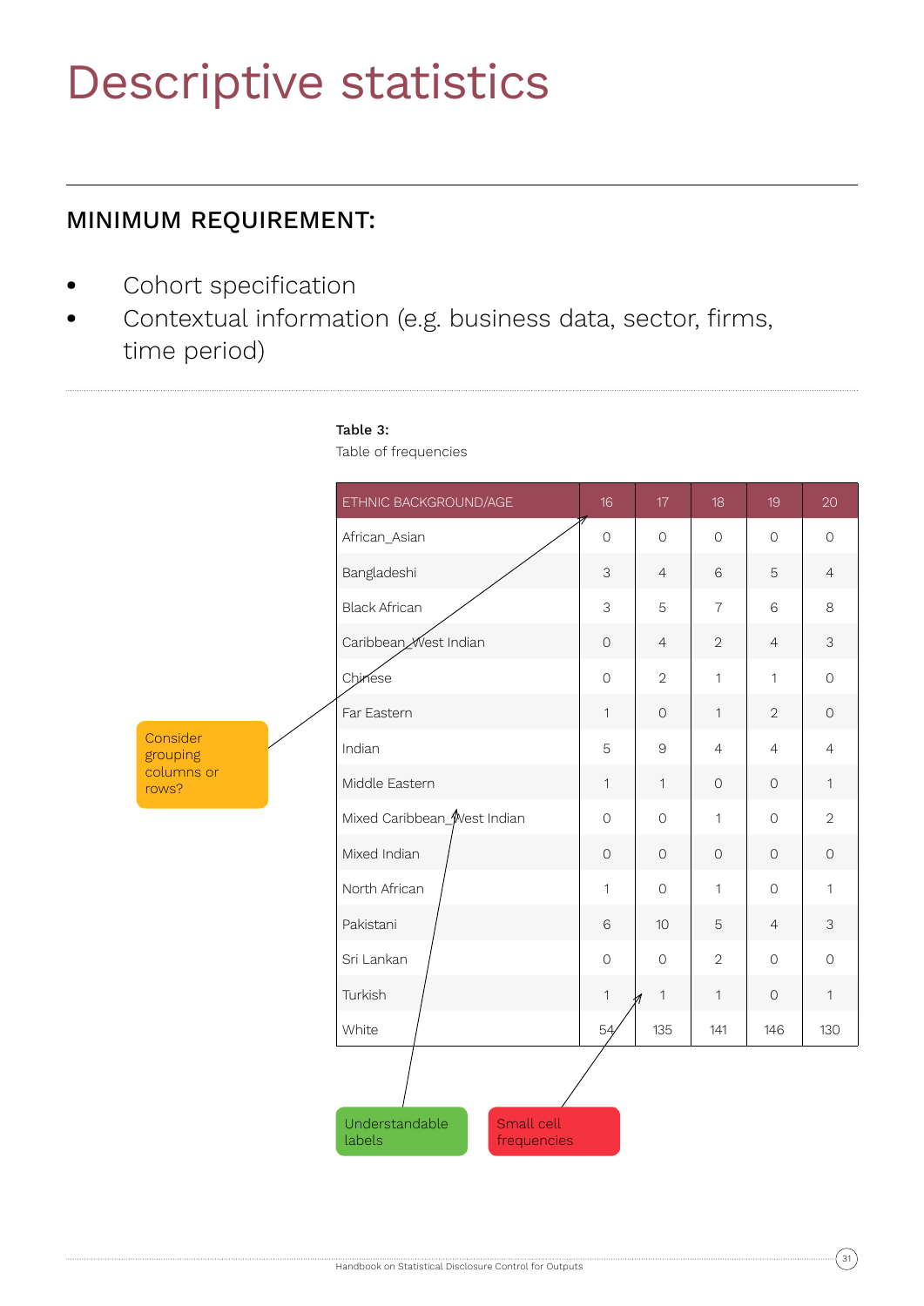# Descriptive statistics

# MINIMUM REQUIREMENT:

- **•** Cohort specification
- **•** Contextual information (e.g. business data, sector, firms, time period)

# Table 3:

Table of frequencies

|                      | ETHNIC BACKGROUND/AGE                                 | 16                  | 17             | 18             | 19                  | 20             |
|----------------------|-------------------------------------------------------|---------------------|----------------|----------------|---------------------|----------------|
|                      | African_Asian                                         | $\circ$             | $\circ$        | $\mathbf 0$    | $\circledcirc$      | $\circ$        |
|                      | Bangladeshi                                           | 3                   | $\overline{4}$ | $6\,$          | 5                   | $\overline{4}$ |
|                      | <b>Black African</b>                                  | 3                   | 5              | $\overline{7}$ | 6                   | 8              |
|                      | Caribbean <sub>Mest Indian</sub>                      | $\mathsf O$         | $\overline{4}$ | $\sqrt{2}$     | $\overline{4}$      | $\mathfrak{S}$ |
|                      | Chinese                                               | $\circlearrowright$ | $\overline{2}$ | $\mathbf{1}$   | $\mathbf{1}$        | $\circ$        |
|                      | Far Eastern                                           | $\mathbf{1}$        | $\mathsf O$    | $\mathbf{1}$   | $\overline{2}$      | $\mathsf{O}$   |
| Consider<br>grouping | Indian                                                | 5                   | $\Theta$       | $\overline{4}$ | $\overline{4}$      | $\overline{4}$ |
| columns or<br>rows?  | Middle Eastern                                        | $\mathbf{1}$        | $\mathbf{1}$   | $\circ$        | $\circ$             | $\mathbf{1}$   |
|                      | Mixed Caribbean_West Indian                           | $\circ$             | $\circ$        | $\mathbf{1}$   | $\mathbf 0$         | $\overline{2}$ |
|                      | Mixed Indian                                          | $\bigcirc$          | $\circ$        | $\circ$        | $\circlearrowright$ | $\circ$        |
|                      | North African                                         | $\mathbf{1}$        | $\circ$        | $\mathbf{1}$   | $\circ$             | $\mathbf{1}$   |
|                      | Pakistani                                             | 6                   | 10             | $\mathbf 5$    | $\overline{4}$      | $\mathfrak{Z}$ |
|                      | Sri Lankan                                            | $\circ$             | $\circ$        | $\overline{2}$ | $\circ$             | $\circ$        |
|                      | Turkish                                               | $\mathbf{1}$        | $\mathbf{1}$   | $\mathbf{1}$   | $\circlearrowright$ | $\mathbf{1}$   |
|                      | White                                                 | 54                  | 135            | 141            | 146                 | 130            |
|                      | Understandable<br>Small cell<br>labels<br>frequencies |                     |                |                |                     |                |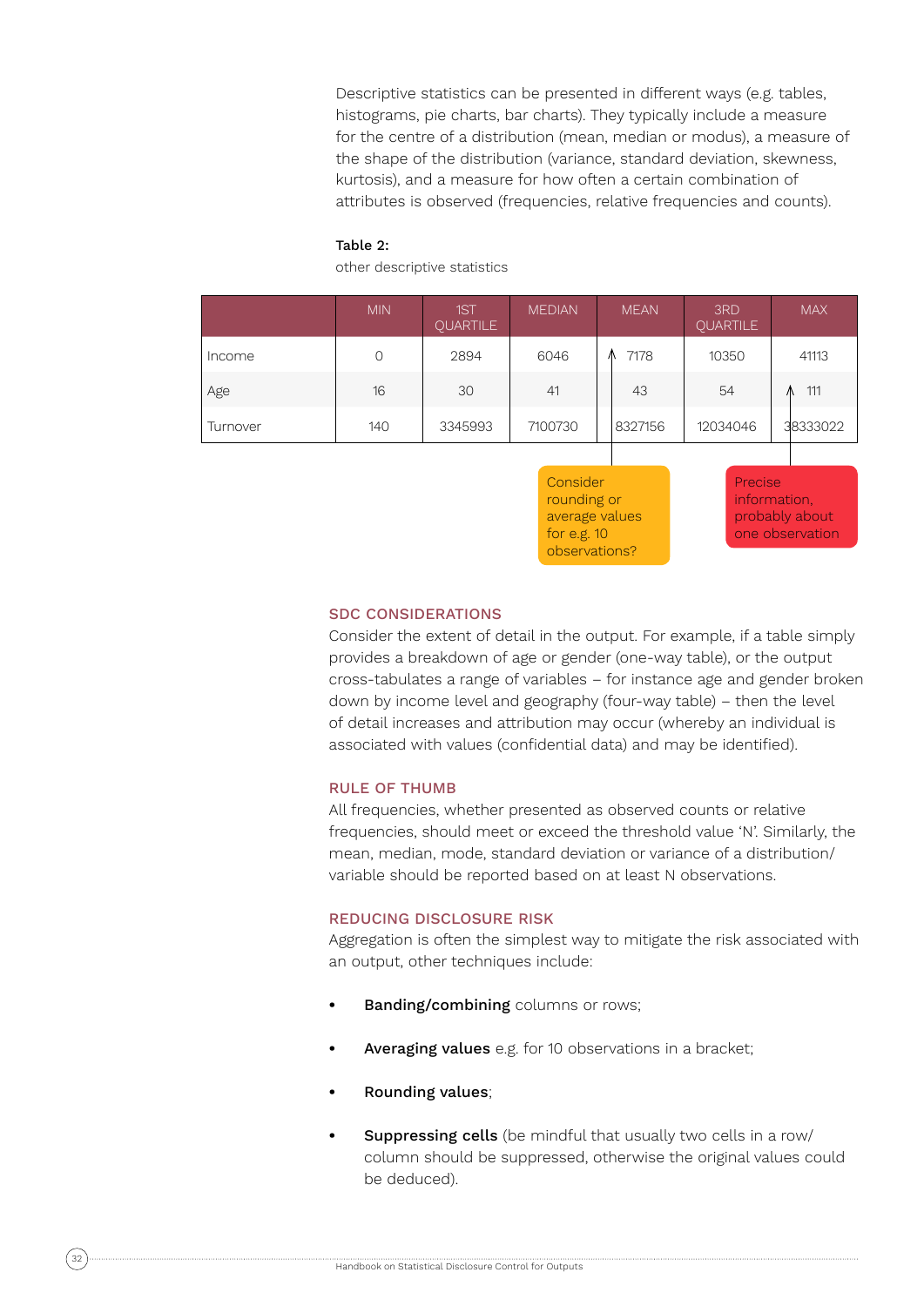Descriptive statistics can be presented in different ways (e.g. tables, histograms, pie charts, bar charts). They typically include a measure for the centre of a distribution (mean, median or modus), a measure of the shape of the distribution (variance, standard deviation, skewness, kurtosis), and a measure for how often a certain combination of attributes is observed (frequencies, relative frequencies and counts).

### Table 2:

other descriptive statistics

|          | <b>MIN</b> | 1ST<br>QUARTILE | <b>MEDIAN</b> | <b>MEAN</b> | 3RD<br><b>QUARTILE</b> | <b>MAX</b> |
|----------|------------|-----------------|---------------|-------------|------------------------|------------|
| Income   | 0          | 2894            | 6046          | 7178        | 10350                  | 41113      |
| Age      | 16         | 30              | 41            | 43          | 54                     | 111<br>Λ   |
| Turnover | 140        | 3345993         | 7100730       | 8327156     | 12034046               | 38333022   |

**Consider** rounding or average values for e.g. 10 observations?

Precise information, probably about one observation

### SDC CONSIDERATIONS

Consider the extent of detail in the output. For example, if a table simply provides a breakdown of age or gender (one-way table), or the output cross-tabulates a range of variables – for instance age and gender broken down by income level and geography (four-way table) – then the level of detail increases and attribution may occur (whereby an individual is associated with values (confidential data) and may be identified).

#### RULE OF THUMB

All frequencies, whether presented as observed counts or relative frequencies, should meet or exceed the threshold value 'N'. Similarly, the mean, median, mode, standard deviation or variance of a distribution/ variable should be reported based on at least N observations.

#### REDUCING DISCLOSURE RISK

Aggregation is often the simplest way to mitigate the risk associated with an output, other techniques include:

- **Banding/combining** columns or rows;
- **Averaging values** e.g. for 10 observations in a bracket:
- **•** Rounding values;
- **Suppressing cells** (be mindful that usually two cells in a row/ column should be suppressed, otherwise the original values could be deduced).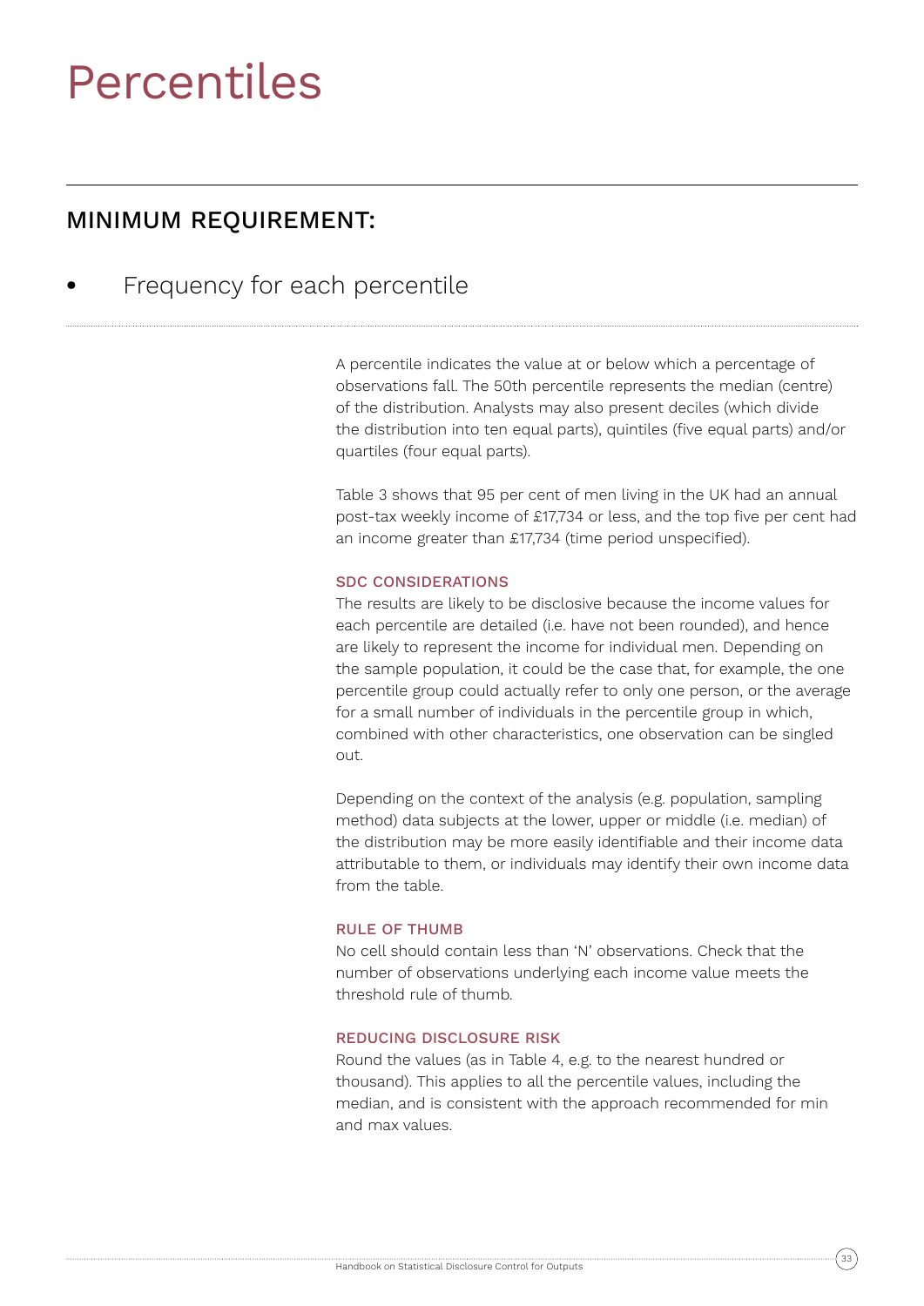# Percentiles

# MINIMUM REQUIREMENT:

**•** Frequency for each percentile

A percentile indicates the value at or below which a percentage of observations fall. The 50th percentile represents the median (centre) of the distribution. Analysts may also present deciles (which divide the distribution into ten equal parts), quintiles (five equal parts) and/or quartiles (four equal parts).

Table 3 shows that 95 per cent of men living in the UK had an annual post-tax weekly income of £17,734 or less, and the top five per cent had an income greater than £17,734 (time period unspecified).

### SDC CONSIDERATIONS

The results are likely to be disclosive because the income values for each percentile are detailed (i.e. have not been rounded), and hence are likely to represent the income for individual men. Depending on the sample population, it could be the case that, for example, the one percentile group could actually refer to only one person, or the average for a small number of individuals in the percentile group in which, combined with other characteristics, one observation can be singled out.

Depending on the context of the analysis (e.g. population, sampling method) data subjects at the lower, upper or middle (i.e. median) of the distribution may be more easily identifiable and their income data attributable to them, or individuals may identify their own income data from the table.

### RULE OF THUMB

No cell should contain less than 'N' observations. Check that the number of observations underlying each income value meets the threshold rule of thumb.

## REDUCING DISCLOSURE RISK

Round the values (as in Table 4, e.g. to the nearest hundred or thousand). This applies to all the percentile values, including the median, and is consistent with the approach recommended for min and max values.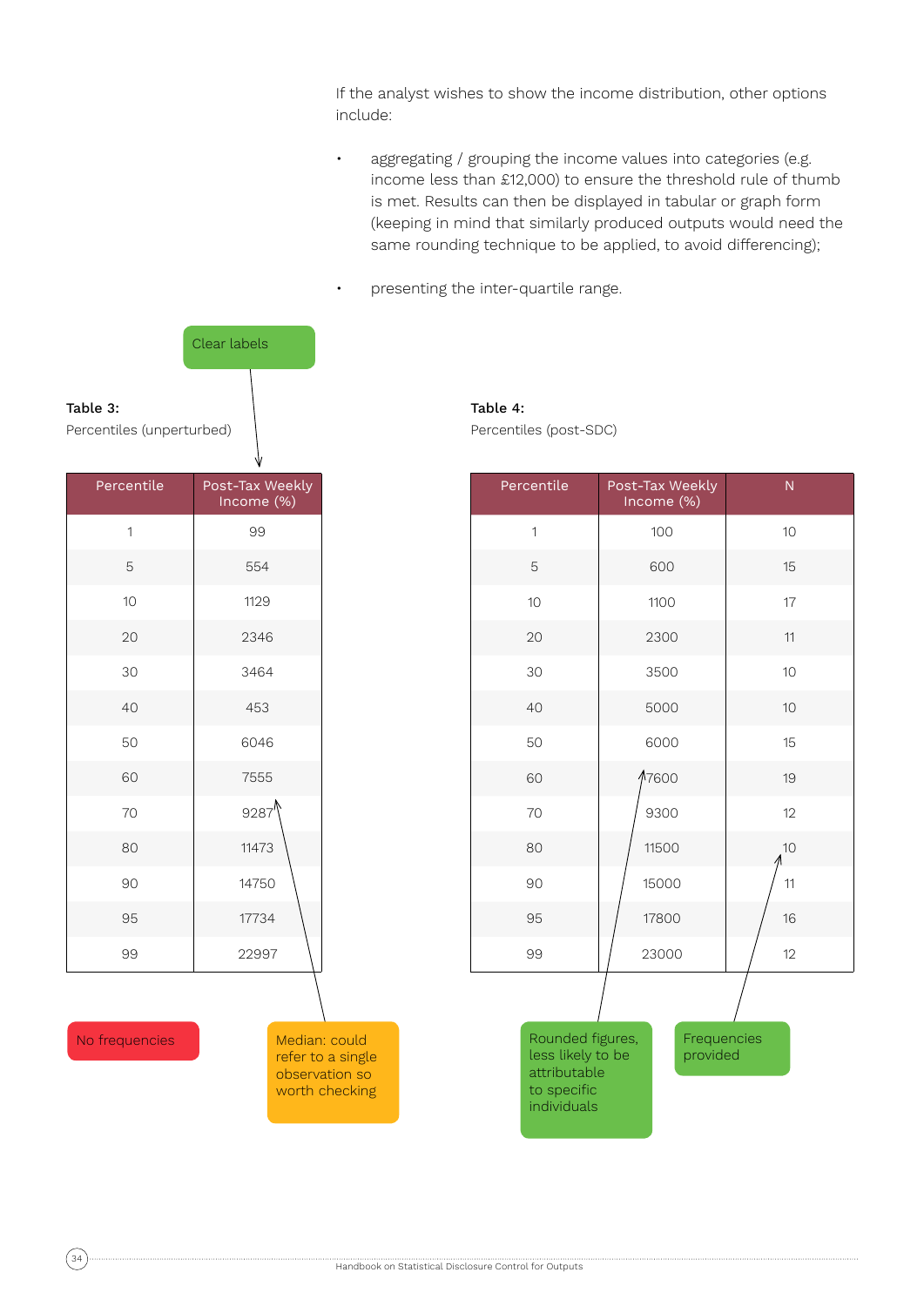If the analyst wishes to show the income distribution, other options include:

• aggregating / grouping the income values into categories (e.g. income less than £12,000) to ensure the threshold rule of thumb is met. Results can then be displayed in tabular or graph form (keeping in mind that similarly produced outputs would need the same rounding technique to be applied, to avoid differencing);

• presenting the inter-quartile range.



Table 4:

Percentiles (post-SDC)

| Percentile   | Post-Tax Weekly<br>Income (%) | N  |
|--------------|-------------------------------|----|
| $\mathbf{1}$ | 100                           | 10 |
| 5            | 600                           | 15 |
| 10           | 1100                          | 17 |
| 20           | 2300                          | 11 |
| 30           | 3500                          | 10 |
| 40           | 5000                          | 10 |
| 50           | 6000                          | 15 |
| 60           | 17600                         | 19 |
| 70           | 9300                          | 12 |
| 80           | 11500                         | 10 |
| 90           | 15000                         | 11 |
| 95           | 17800                         | 16 |
| 99           | 23000                         | 12 |

Rounded figures, less likely to be attributable to specific individuals

Frequencies provided

No frequencies

Median: could refer to a single observation so worth checking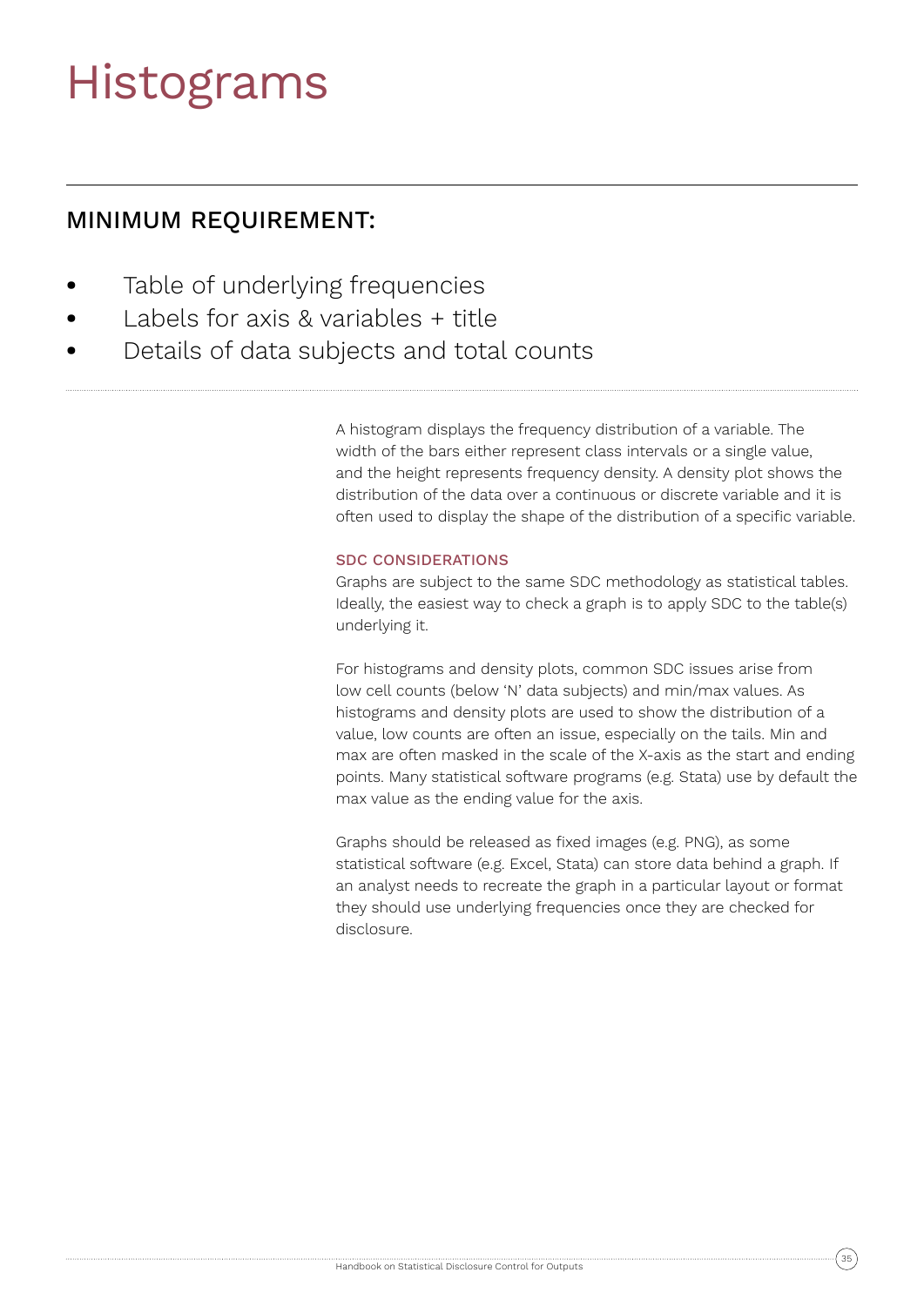# Histograms

# MINIMUM REQUIREMENT:

- **•** Table of underlying frequencies
- **•** Labels for axis & variables + title
- **•** Details of data subjects and total counts

A histogram displays the frequency distribution of a variable. The width of the bars either represent class intervals or a single value, and the height represents frequency density. A density plot shows the distribution of the data over a continuous or discrete variable and it is often used to display the shape of the distribution of a specific variable.

## SDC CONSIDERATIONS

Graphs are subject to the same SDC methodology as statistical tables. Ideally, the easiest way to check a graph is to apply SDC to the table(s) underlying it.

For histograms and density plots, common SDC issues arise from low cell counts (below 'N' data subjects) and min/max values. As histograms and density plots are used to show the distribution of a value, low counts are often an issue, especially on the tails. Min and max are often masked in the scale of the X-axis as the start and ending points. Many statistical software programs (e.g. Stata) use by default the max value as the ending value for the axis.

Graphs should be released as fixed images (e.g. PNG), as some statistical software (e.g. Excel, Stata) can store data behind a graph. If an analyst needs to recreate the graph in a particular layout or format they should use underlying frequencies once they are checked for disclosure.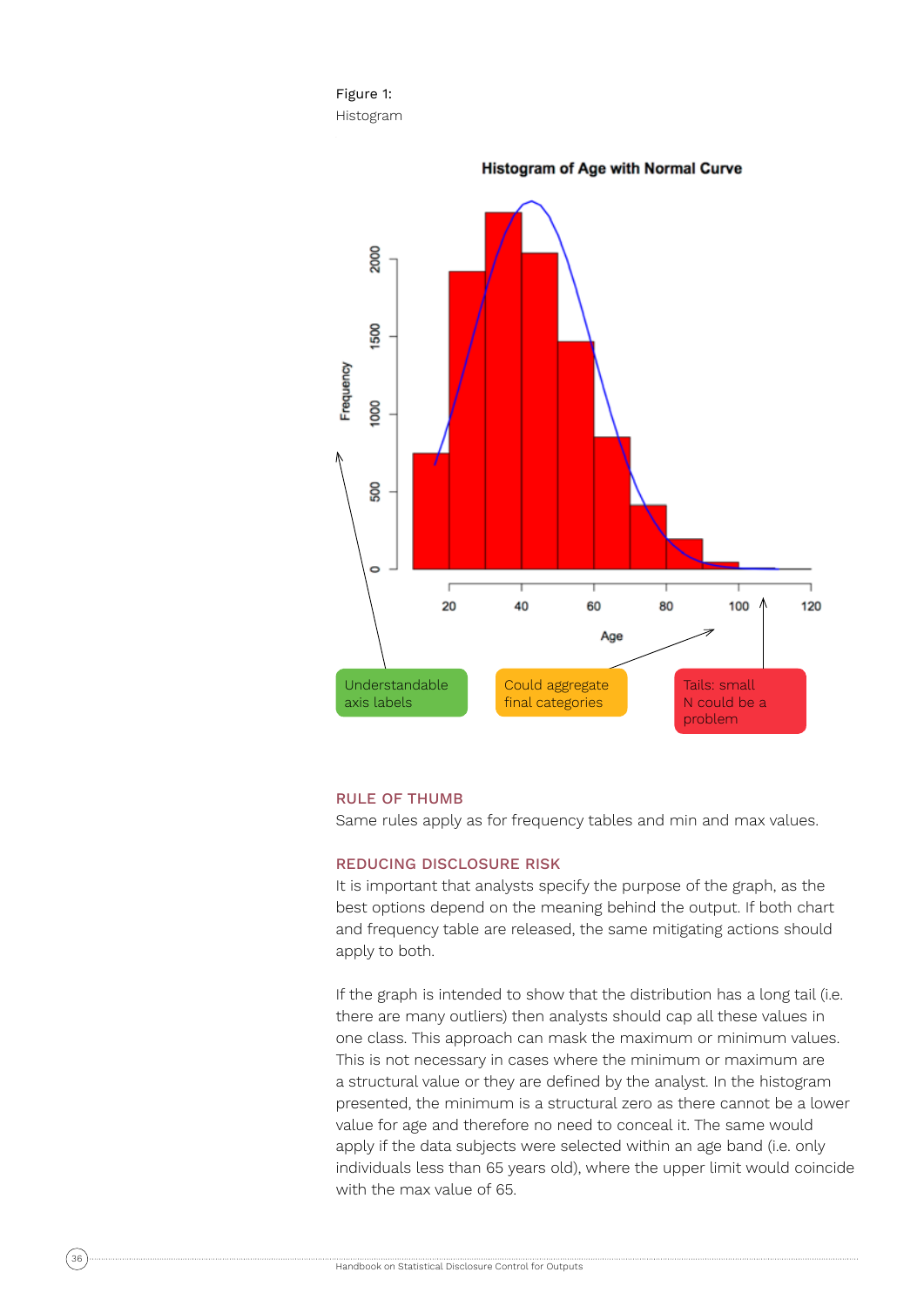



#### **Histogram of Age with Normal Curve**

#### RULE OF THUMB

Same rules apply as for frequency tables and min and max values.

### REDUCING DISCLOSURE RISK

It is important that analysts specify the purpose of the graph, as the best options depend on the meaning behind the output. If both chart and frequency table are released, the same mitigating actions should apply to both.

If the graph is intended to show that the distribution has a long tail (i.e. there are many outliers) then analysts should cap all these values in one class. This approach can mask the maximum or minimum values. This is not necessary in cases where the minimum or maximum are a structural value or they are defined by the analyst. In the histogram presented, the minimum is a structural zero as there cannot be a lower value for age and therefore no need to conceal it. The same would apply if the data subjects were selected within an age band (i.e. only individuals less than 65 years old), where the upper limit would coincide with the max value of 65.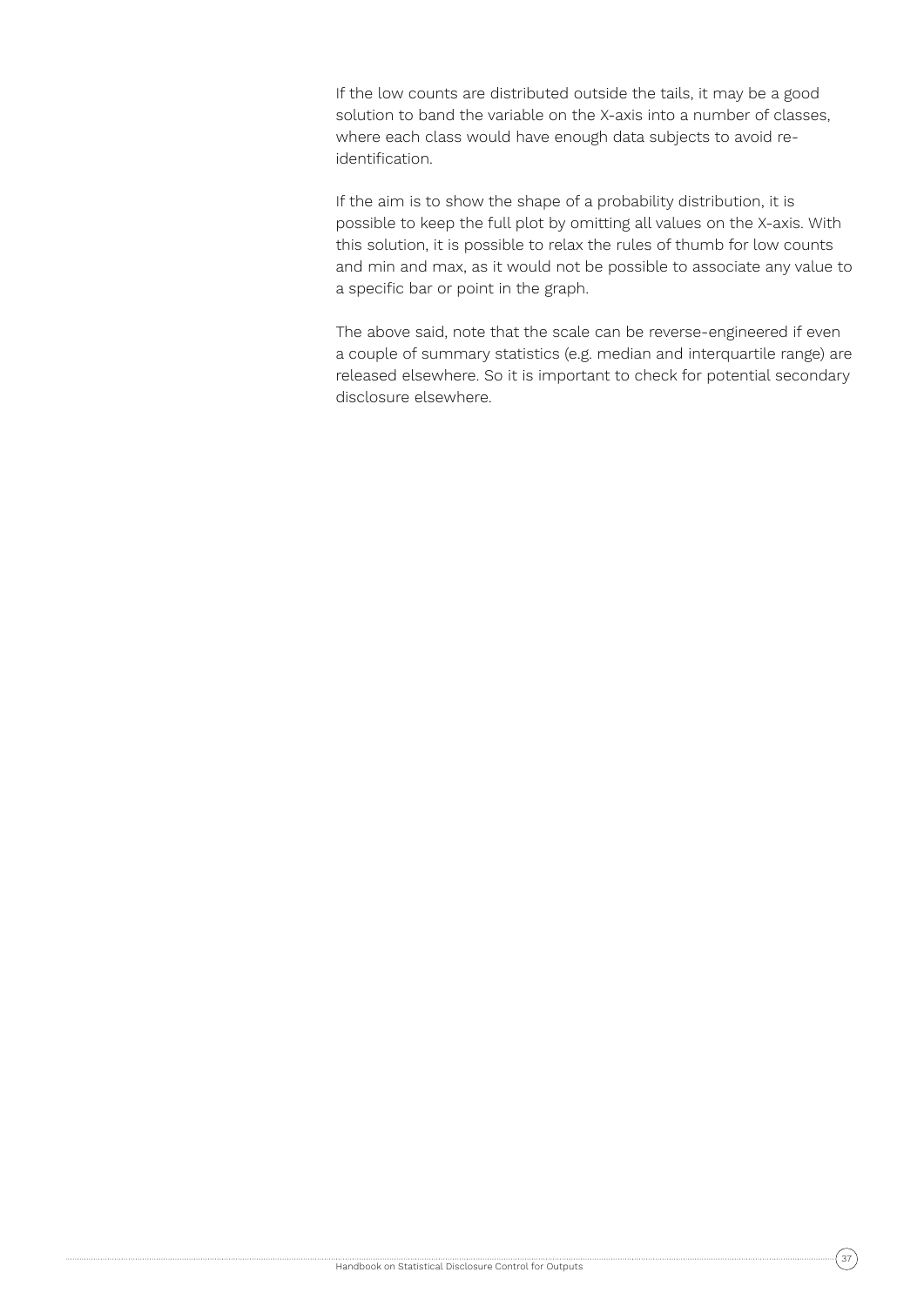If the low counts are distributed outside the tails, it may be a good solution to band the variable on the X-axis into a number of classes, where each class would have enough data subjects to avoid reidentification.

If the aim is to show the shape of a probability distribution, it is possible to keep the full plot by omitting all values on the X-axis. With this solution, it is possible to relax the rules of thumb for low counts and min and max, as it would not be possible to associate any value to a specific bar or point in the graph.

The above said, note that the scale can be reverse-engineered if even a couple of summary statistics (e.g. median and interquartile range) are released elsewhere. So it is important to check for potential secondary disclosure elsewhere.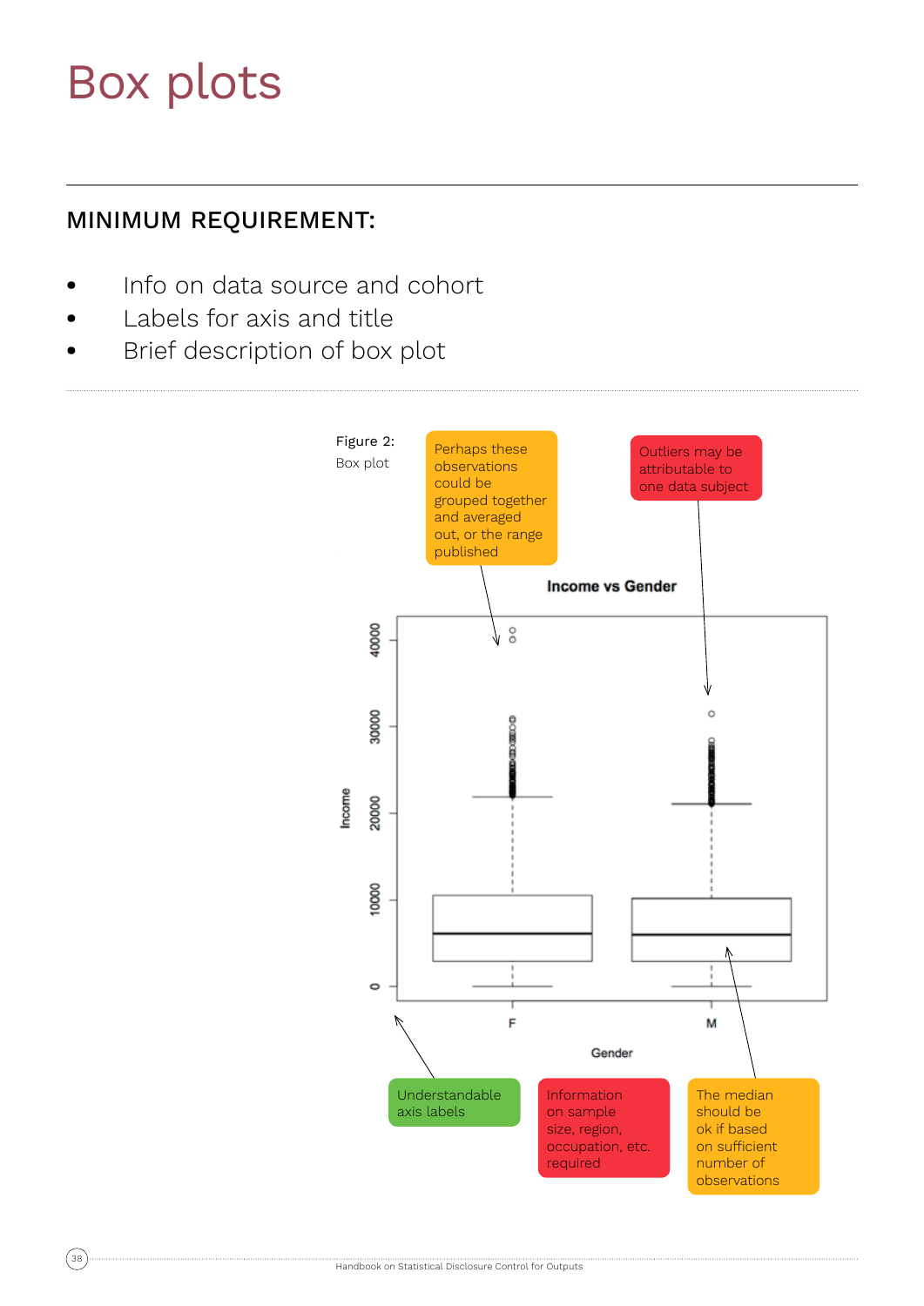## Box plots

## MINIMUM REQUIREMENT:

- **•** Info on data source and cohort
- **•** Labels for axis and title
- **•** Brief description of box plot

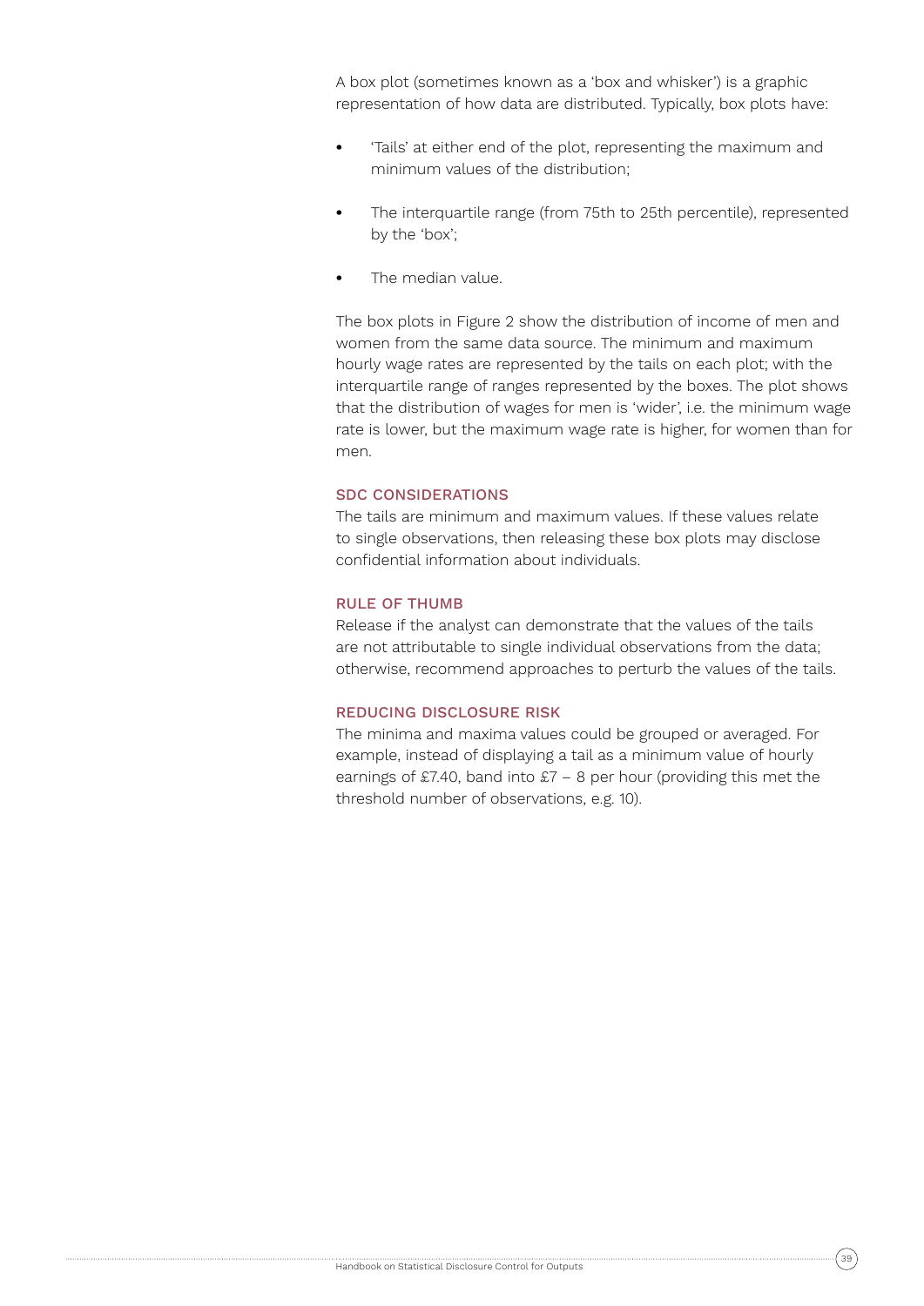A box plot (sometimes known as a 'box and whisker') is a graphic representation of how data are distributed. Typically, box plots have:

- **•** 'Tails' at either end of the plot, representing the maximum and minimum values of the distribution;
- **•** The interquartile range (from 75th to 25th percentile), represented by the 'box';
- **•** The median value.

The box plots in Figure 2 show the distribution of income of men and women from the same data source. The minimum and maximum hourly wage rates are represented by the tails on each plot; with the interquartile range of ranges represented by the boxes. The plot shows that the distribution of wages for men is 'wider', i.e. the minimum wage rate is lower, but the maximum wage rate is higher, for women than for men.

#### SDC CONSIDERATIONS

The tails are minimum and maximum values. If these values relate to single observations, then releasing these box plots may disclose confidential information about individuals.

### RULE OF THUMB

Release if the analyst can demonstrate that the values of the tails are not attributable to single individual observations from the data; otherwise, recommend approaches to perturb the values of the tails.

### REDUCING DISCLOSURE RISK

The minima and maxima values could be grouped or averaged. For example, instead of displaying a tail as a minimum value of hourly earnings of £7.40, band into £7 – 8 per hour (providing this met the threshold number of observations, e.g. 10).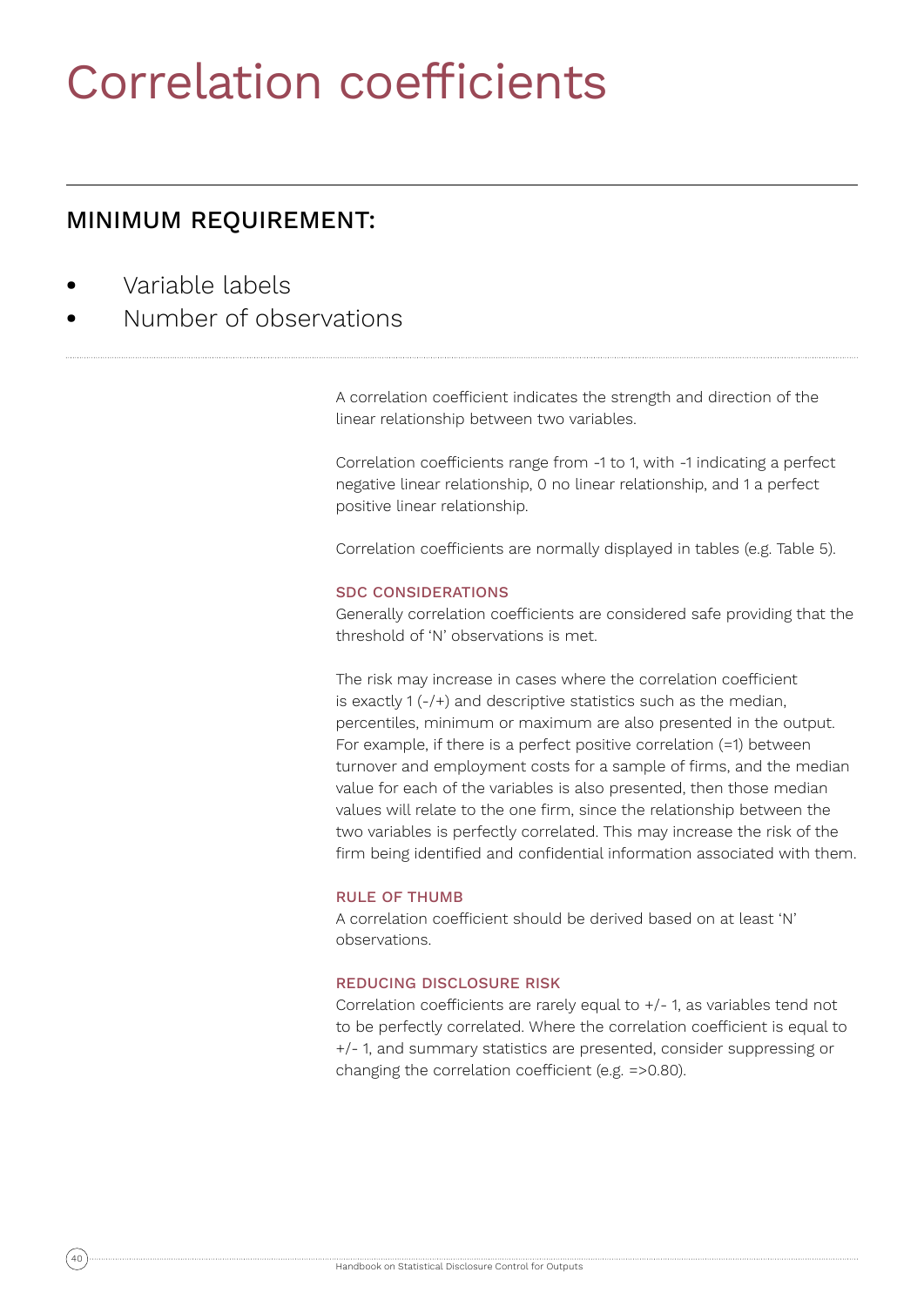## Correlation coefficients

## MINIMUM REQUIREMENT:

- **•** Variable labels
- **•** Number of observations

A correlation coefficient indicates the strength and direction of the linear relationship between two variables.

Correlation coefficients range from -1 to 1, with -1 indicating a perfect negative linear relationship, 0 no linear relationship, and 1 a perfect positive linear relationship.

Correlation coefficients are normally displayed in tables (e.g. Table 5).

## SDC CONSIDERATIONS

Generally correlation coefficients are considered safe providing that the threshold of 'N' observations is met.

The risk may increase in cases where the correlation coefficient is exactly 1 (-/+) and descriptive statistics such as the median, percentiles, minimum or maximum are also presented in the output. For example, if there is a perfect positive correlation (=1) between turnover and employment costs for a sample of firms, and the median value for each of the variables is also presented, then those median values will relate to the one firm, since the relationship between the two variables is perfectly correlated. This may increase the risk of the firm being identified and confidential information associated with them.

## RULE OF THUMB

A correlation coefficient should be derived based on at least 'N' observations.

## REDUCING DISCLOSURE RISK

Correlation coefficients are rarely equal to +/- 1, as variables tend not to be perfectly correlated. Where the correlation coefficient is equal to +/- 1, and summary statistics are presented, consider suppressing or changing the correlation coefficient (e.g. =>0.80).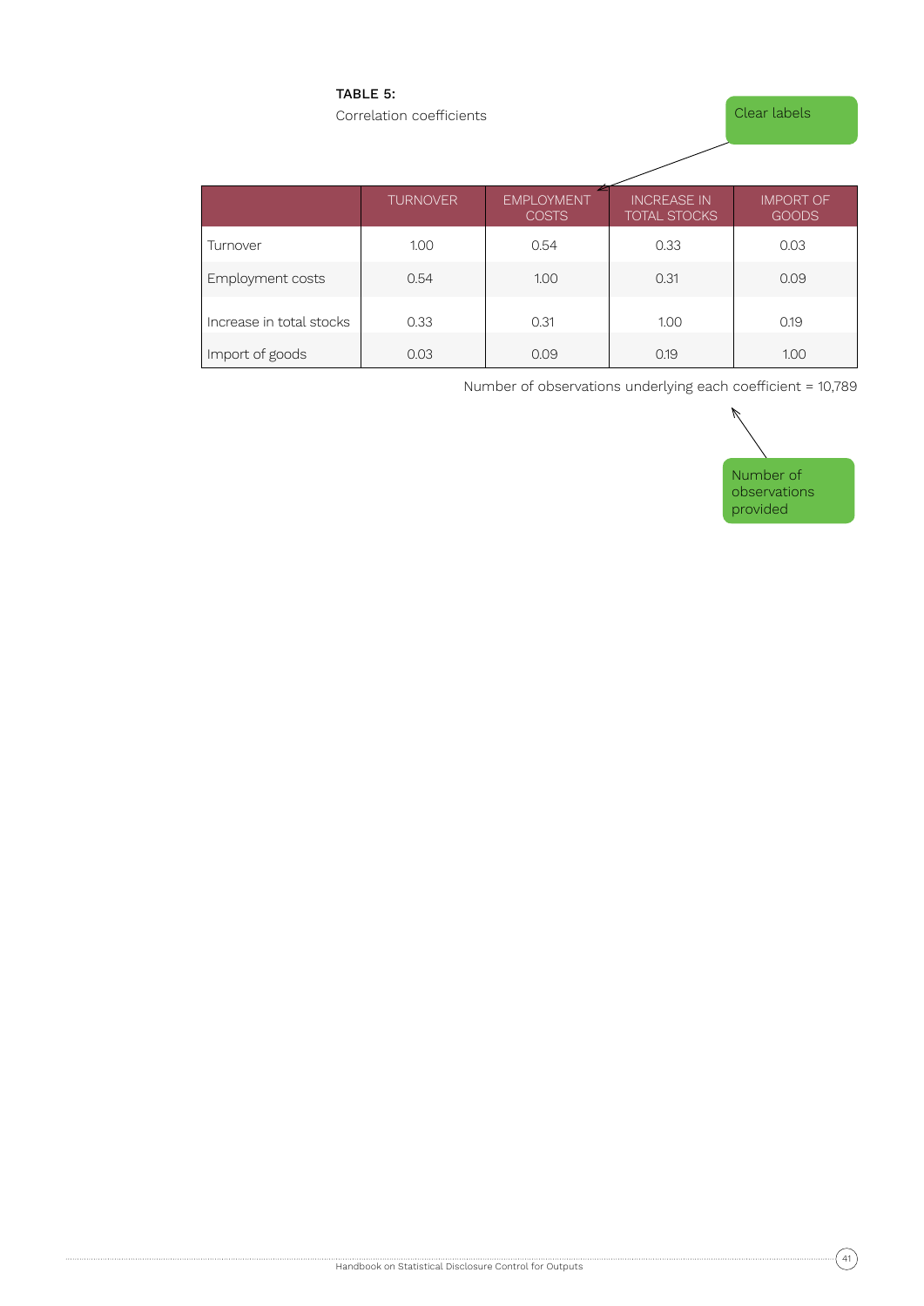## TABLE 5:

Correlation coefficients

Clear labels

|                          | <b>TURNOVER</b> | <b>EMPLOYMENT</b><br><b>COSTS</b> | <b>INCREASE IN</b><br><b>TOTAL STOCKS</b> | <b>IMPORT OF</b><br><b>GOODS</b> |  |  |
|--------------------------|-----------------|-----------------------------------|-------------------------------------------|----------------------------------|--|--|
| Turnover                 | 1.00            | 0.54                              | 0.33                                      | 0.03                             |  |  |
| Employment costs         | 0.54            | 1.00                              | 0.31                                      | 0.09                             |  |  |
| Increase in total stocks | 0.33            | 0.31                              | 1.00                                      | 0.19                             |  |  |
| Import of goods          | 0.03            | 0.09                              | 0.19                                      | 1.00                             |  |  |

Number of observations underlying each coefficient = 10,789

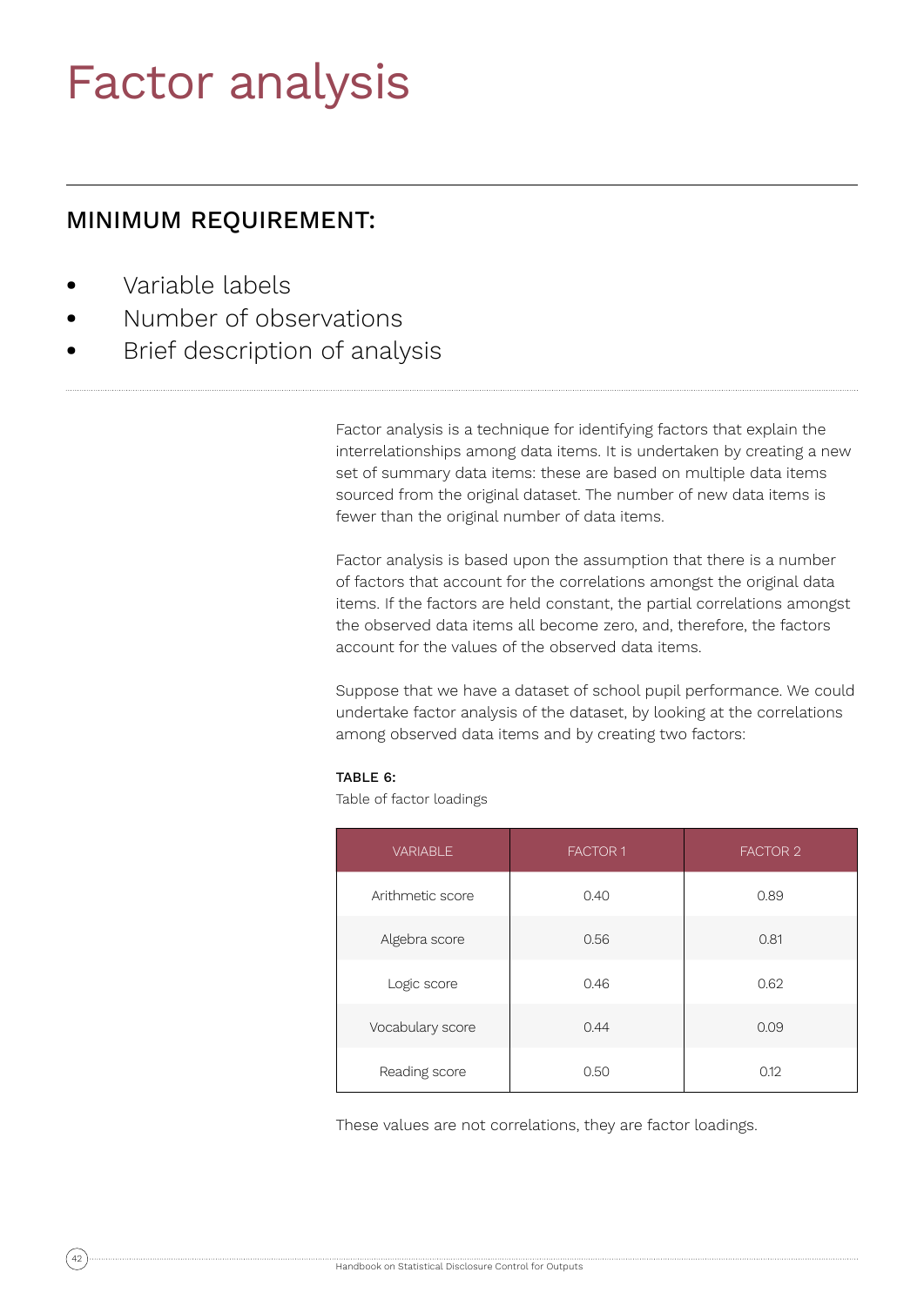## Factor analysis

## MINIMUM REQUIREMENT:

- **•** Variable labels
- **•** Number of observations
- **•** Brief description of analysis

Factor analysis is a technique for identifying factors that explain the interrelationships among data items. It is undertaken by creating a new set of summary data items: these are based on multiple data items sourced from the original dataset. The number of new data items is fewer than the original number of data items.

Factor analysis is based upon the assumption that there is a number of factors that account for the correlations amongst the original data items. If the factors are held constant, the partial correlations amongst the observed data items all become zero, and, therefore, the factors account for the values of the observed data items.

Suppose that we have a dataset of school pupil performance. We could undertake factor analysis of the dataset, by looking at the correlations among observed data items and by creating two factors:

#### TABLE 6:

Table of factor loadings

| <b>VARIABLE</b>  | <b>FACTOR 1</b> | <b>FACTOR 2</b> |
|------------------|-----------------|-----------------|
| Arithmetic score | 0.40            | 0.89            |
| Algebra score    | 0.56            | 0.81            |
| Logic score      | 0.46            | 0.62            |
| Vocabulary score | 0.44            | 0.09            |
| Reading score    | 0.50            | 0.12            |

These values are not correlations, they are factor loadings.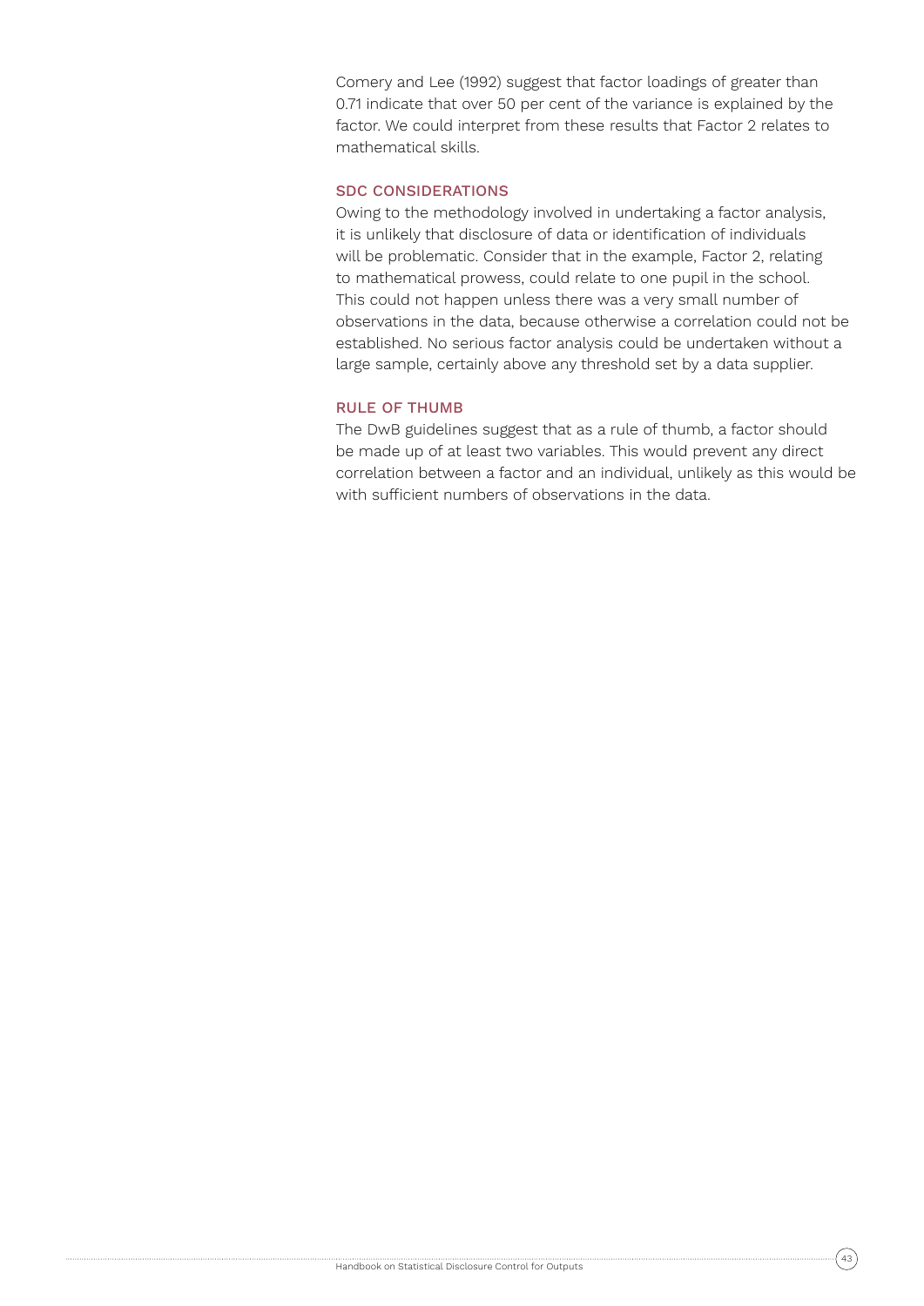Comery and Lee (1992) suggest that factor loadings of greater than 0.71 indicate that over 50 per cent of the variance is explained by the factor. We could interpret from these results that Factor 2 relates to mathematical skills.

## SDC CONSIDERATIONS

Owing to the methodology involved in undertaking a factor analysis, it is unlikely that disclosure of data or identification of individuals will be problematic. Consider that in the example, Factor 2, relating to mathematical prowess, could relate to one pupil in the school. This could not happen unless there was a very small number of observations in the data, because otherwise a correlation could not be established. No serious factor analysis could be undertaken without a large sample, certainly above any threshold set by a data supplier.

#### RULE OF THUMB

The DwB guidelines suggest that as a rule of thumb, a factor should be made up of at least two variables. This would prevent any direct correlation between a factor and an individual, unlikely as this would be with sufficient numbers of observations in the data.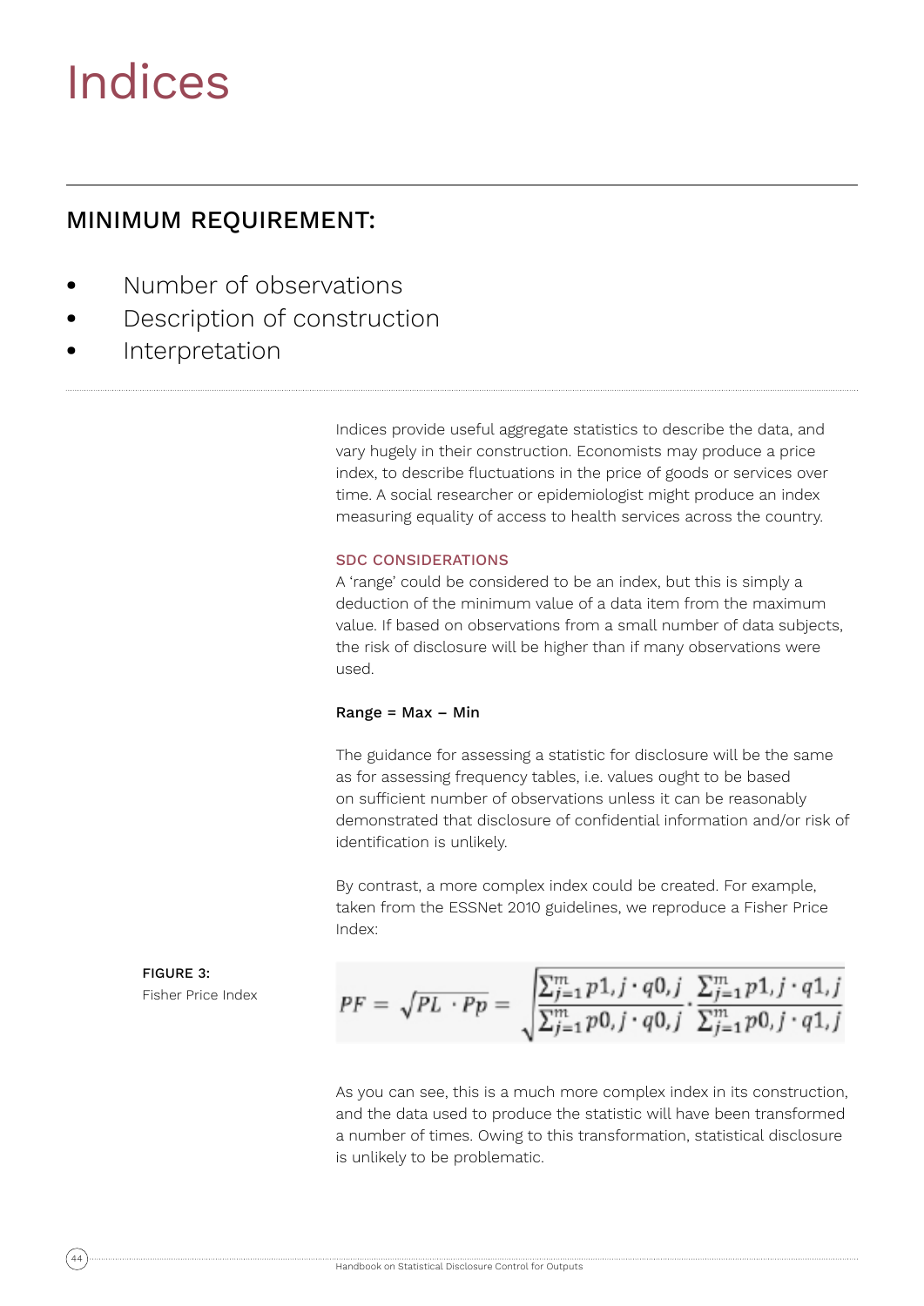## Indices

## MINIMUM REQUIREMENT:

- **•** Number of observations
- **•** Description of construction
- **•** Interpretation

Indices provide useful aggregate statistics to describe the data, and vary hugely in their construction. Economists may produce a price index, to describe fluctuations in the price of goods or services over time. A social researcher or epidemiologist might produce an index measuring equality of access to health services across the country.

### SDC CONSIDERATIONS

A 'range' could be considered to be an index, but this is simply a deduction of the minimum value of a data item from the maximum value. If based on observations from a small number of data subjects, the risk of disclosure will be higher than if many observations were used.

#### $Range = Max - Min$

The guidance for assessing a statistic for disclosure will be the same as for assessing frequency tables, i.e. values ought to be based on sufficient number of observations unless it can be reasonably demonstrated that disclosure of confidential information and/or risk of identification is unlikely.

By contrast, a more complex index could be created. For example, taken from the ESSNet 2010 guidelines, we reproduce a Fisher Price Index:

FIGURE 3: Fisher Price Index

$$
PF = \sqrt{PL \cdot Pp} = \sqrt{\frac{\sum_{j=1}^{m} p1_{i}j \cdot q0_{i}j}{\sum_{j=1}^{m} p0_{i}j \cdot q0_{i}j}} \cdot \frac{\sum_{j=1}^{m} p1_{i}j \cdot q1_{i}j}{\sum_{j=1}^{m} p0_{i}j \cdot q1_{i}j}
$$

As you can see, this is a much more complex index in its construction, and the data used to produce the statistic will have been transformed a number of times. Owing to this transformation, statistical disclosure is unlikely to be problematic.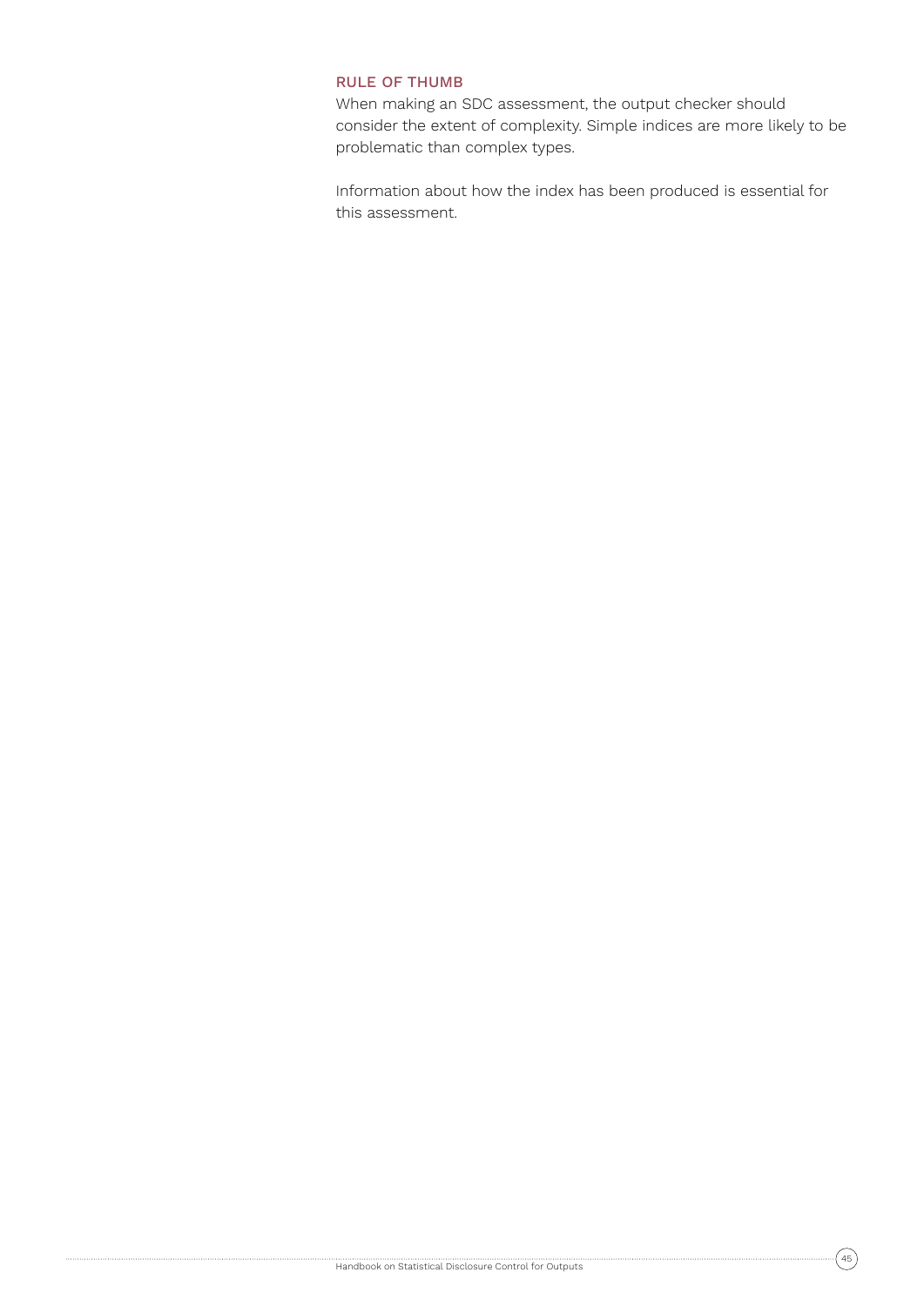### RULE OF THUMB

When making an SDC assessment, the output checker should consider the extent of complexity. Simple indices are more likely to be problematic than complex types.

Information about how the index has been produced is essential for this assessment.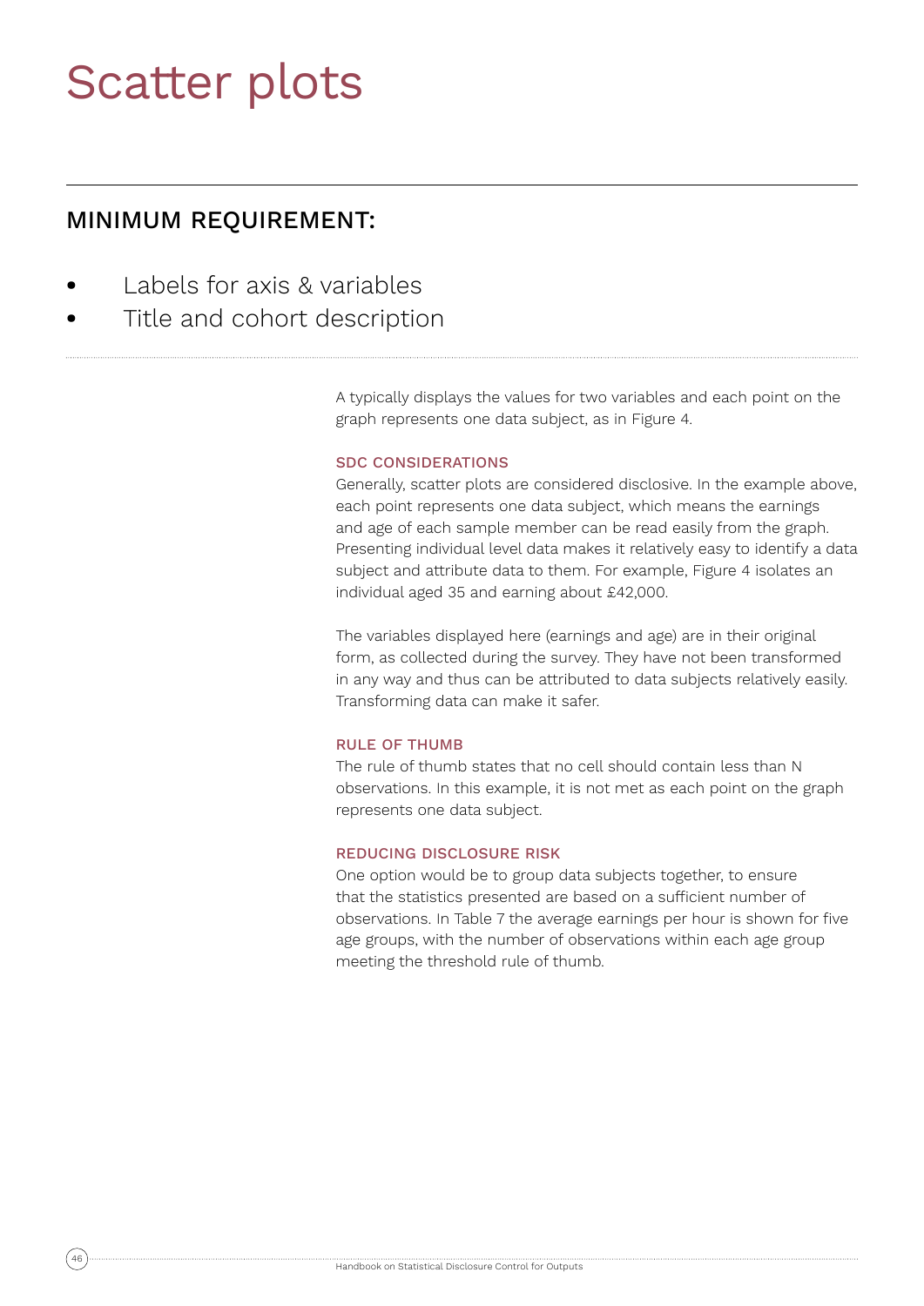## Scatter plots

## MINIMUM REQUIREMENT:

- **•** Labels for axis & variables
- **•** Title and cohort description

A typically displays the values for two variables and each point on the graph represents one data subject, as in Figure 4.

### SDC CONSIDERATIONS

Generally, scatter plots are considered disclosive. In the example above, each point represents one data subject, which means the earnings and age of each sample member can be read easily from the graph. Presenting individual level data makes it relatively easy to identify a data subject and attribute data to them. For example, Figure 4 isolates an individual aged 35 and earning about £42,000.

The variables displayed here (earnings and age) are in their original form, as collected during the survey. They have not been transformed in any way and thus can be attributed to data subjects relatively easily. Transforming data can make it safer.

#### RULE OF THUMB

The rule of thumb states that no cell should contain less than N observations. In this example, it is not met as each point on the graph represents one data subject.

## REDUCING DISCLOSURE RISK

One option would be to group data subjects together, to ensure that the statistics presented are based on a sufficient number of observations. In Table 7 the average earnings per hour is shown for five age groups, with the number of observations within each age group meeting the threshold rule of thumb.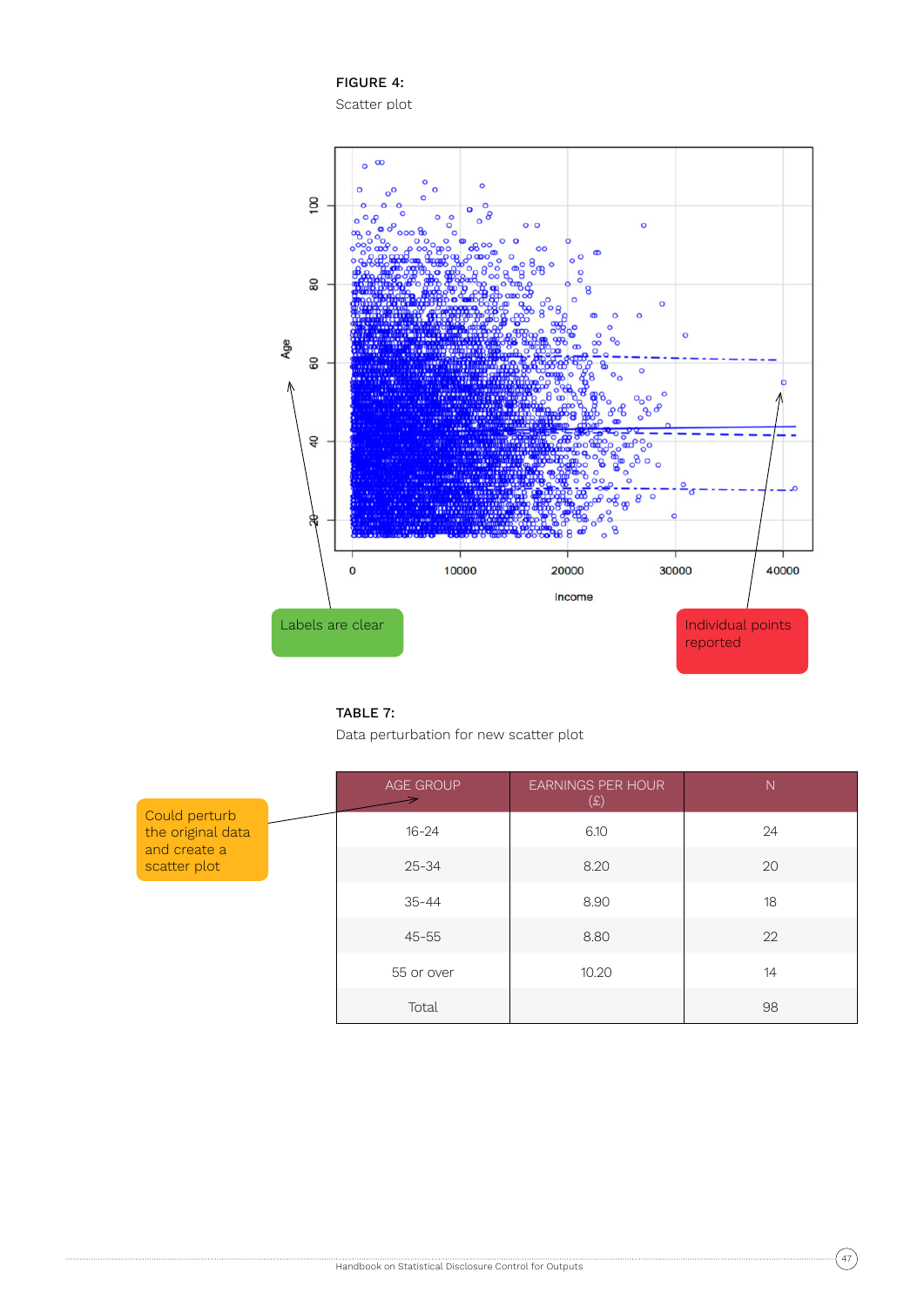FIGURE 4: Scatter plot





Data perturbation for new scatter plot

|                                                                    |           | <b>AGE GROUP</b> | <b>EARNINGS PER HOUR</b><br>(£) | $\overline{N}$ |
|--------------------------------------------------------------------|-----------|------------------|---------------------------------|----------------|
| Could perturb<br>the original data<br>and create a<br>scatter plot | $16 - 24$ | 6.10             | 24                              |                |
|                                                                    |           | $25 - 34$        | 8.20                            | 20             |
|                                                                    |           | $35 - 44$        | 8.90                            | 18             |
|                                                                    |           | $45 - 55$        | 8.80                            | 22             |
|                                                                    |           | 55 or over       | 10.20                           | 14             |
|                                                                    |           | Total            |                                 | 98             |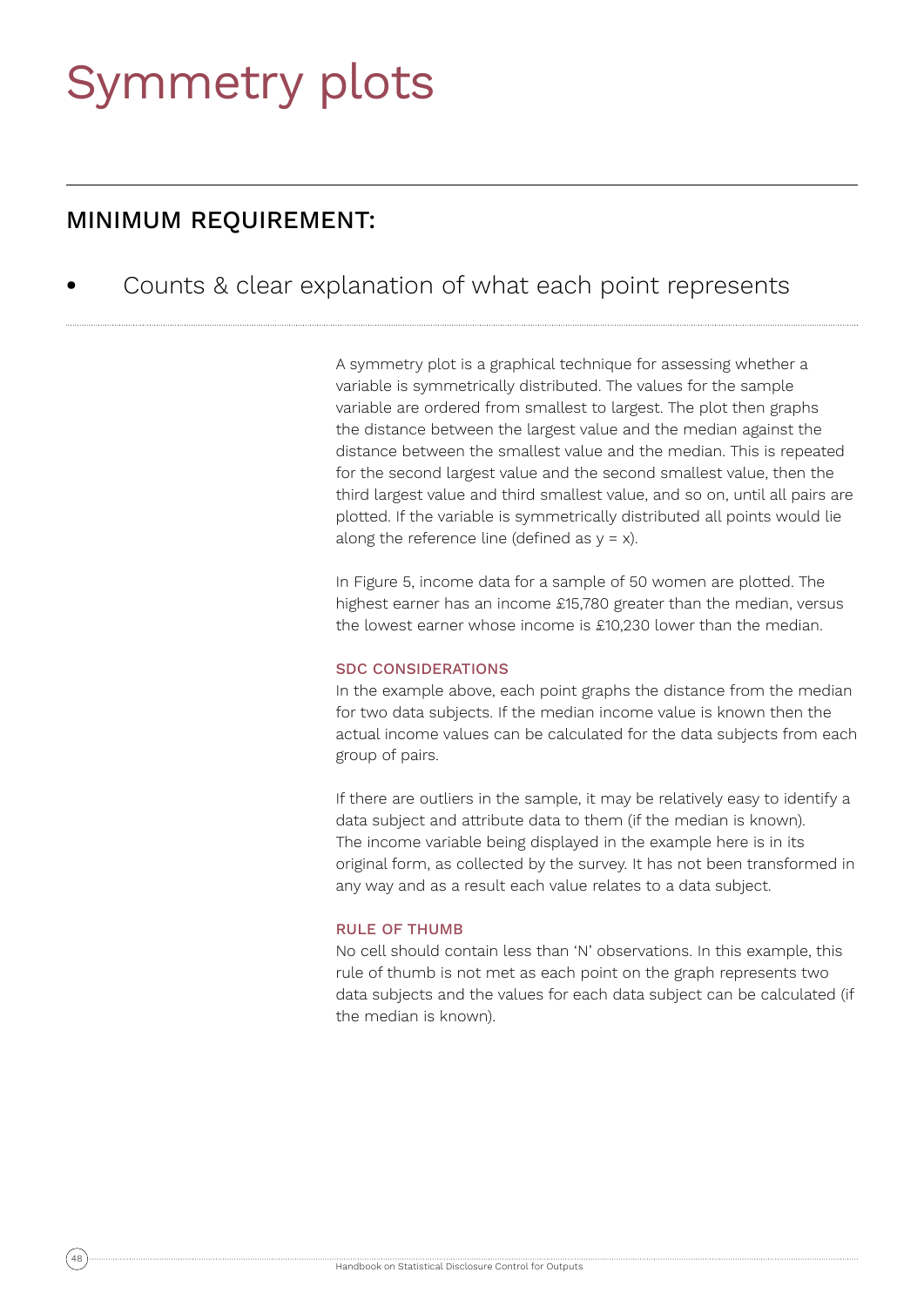## Symmetry plots

## MINIMUM REQUIREMENT:

**•** Counts & clear explanation of what each point represents

A symmetry plot is a graphical technique for assessing whether a variable is symmetrically distributed. The values for the sample variable are ordered from smallest to largest. The plot then graphs the distance between the largest value and the median against the distance between the smallest value and the median. This is repeated for the second largest value and the second smallest value, then the third largest value and third smallest value, and so on, until all pairs are plotted. If the variable is symmetrically distributed all points would lie along the reference line (defined as  $y = x$ ).

In Figure 5, income data for a sample of 50 women are plotted. The highest earner has an income £15,780 greater than the median, versus the lowest earner whose income is £10,230 lower than the median.

### SDC CONSIDERATIONS

In the example above, each point graphs the distance from the median for two data subjects. If the median income value is known then the actual income values can be calculated for the data subjects from each group of pairs.

If there are outliers in the sample, it may be relatively easy to identify a data subject and attribute data to them (if the median is known). The income variable being displayed in the example here is in its original form, as collected by the survey. It has not been transformed in any way and as a result each value relates to a data subject.

### RULE OF THUMB

No cell should contain less than 'N' observations. In this example, this rule of thumb is not met as each point on the graph represents two data subjects and the values for each data subject can be calculated (if the median is known).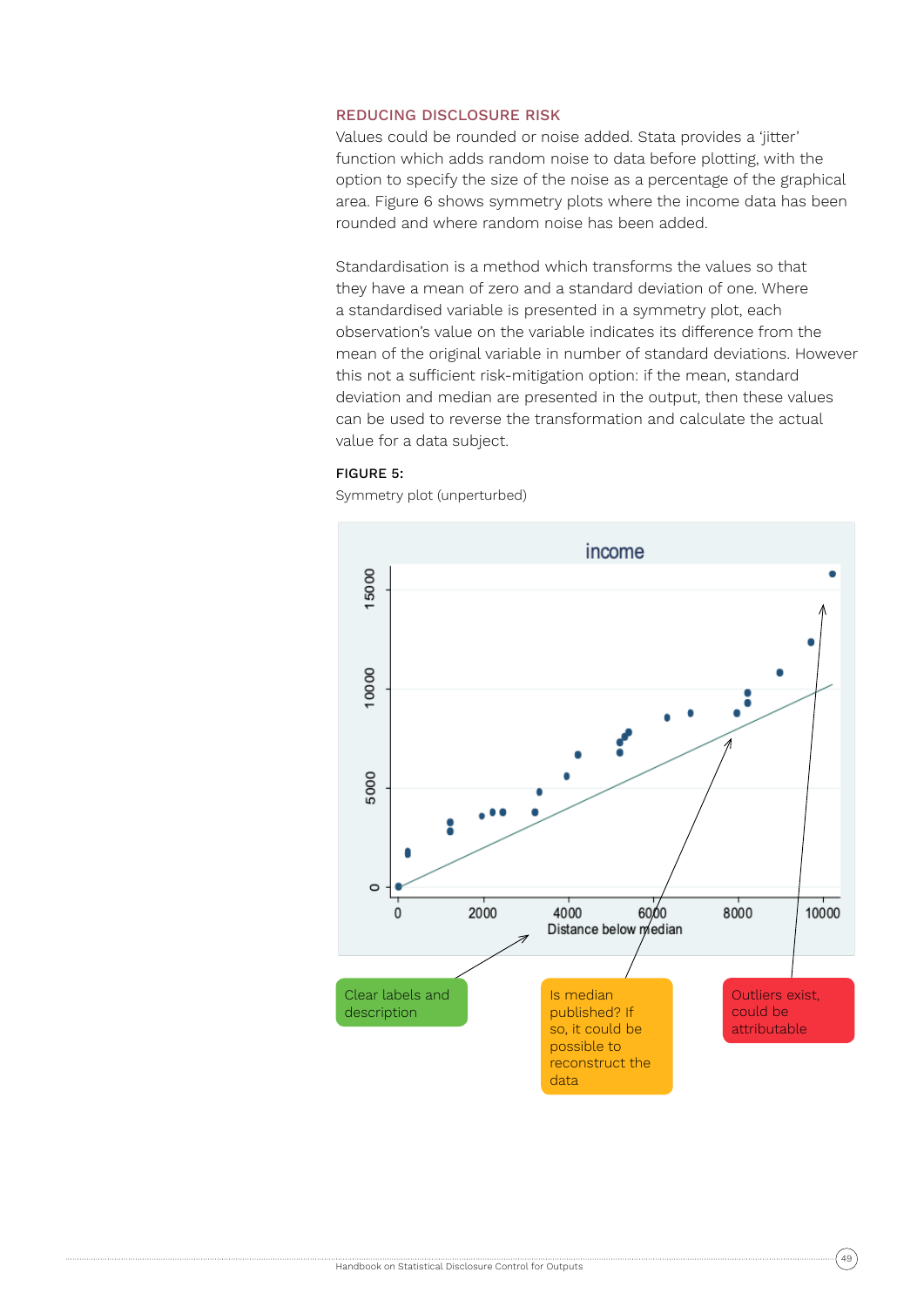### REDUCING DISCLOSURE RISK

Values could be rounded or noise added. Stata provides a 'jitter' function which adds random noise to data before plotting, with the option to specify the size of the noise as a percentage of the graphical area. Figure 6 shows symmetry plots where the income data has been rounded and where random noise has been added.

Standardisation is a method which transforms the values so that they have a mean of zero and a standard deviation of one. Where a standardised variable is presented in a symmetry plot, each observation's value on the variable indicates its difference from the mean of the original variable in number of standard deviations. However this not a sufficient risk-mitigation option: if the mean, standard deviation and median are presented in the output, then these values can be used to reverse the transformation and calculate the actual value for a data subject.

## FIGURE 5:

Symmetry plot (unperturbed)

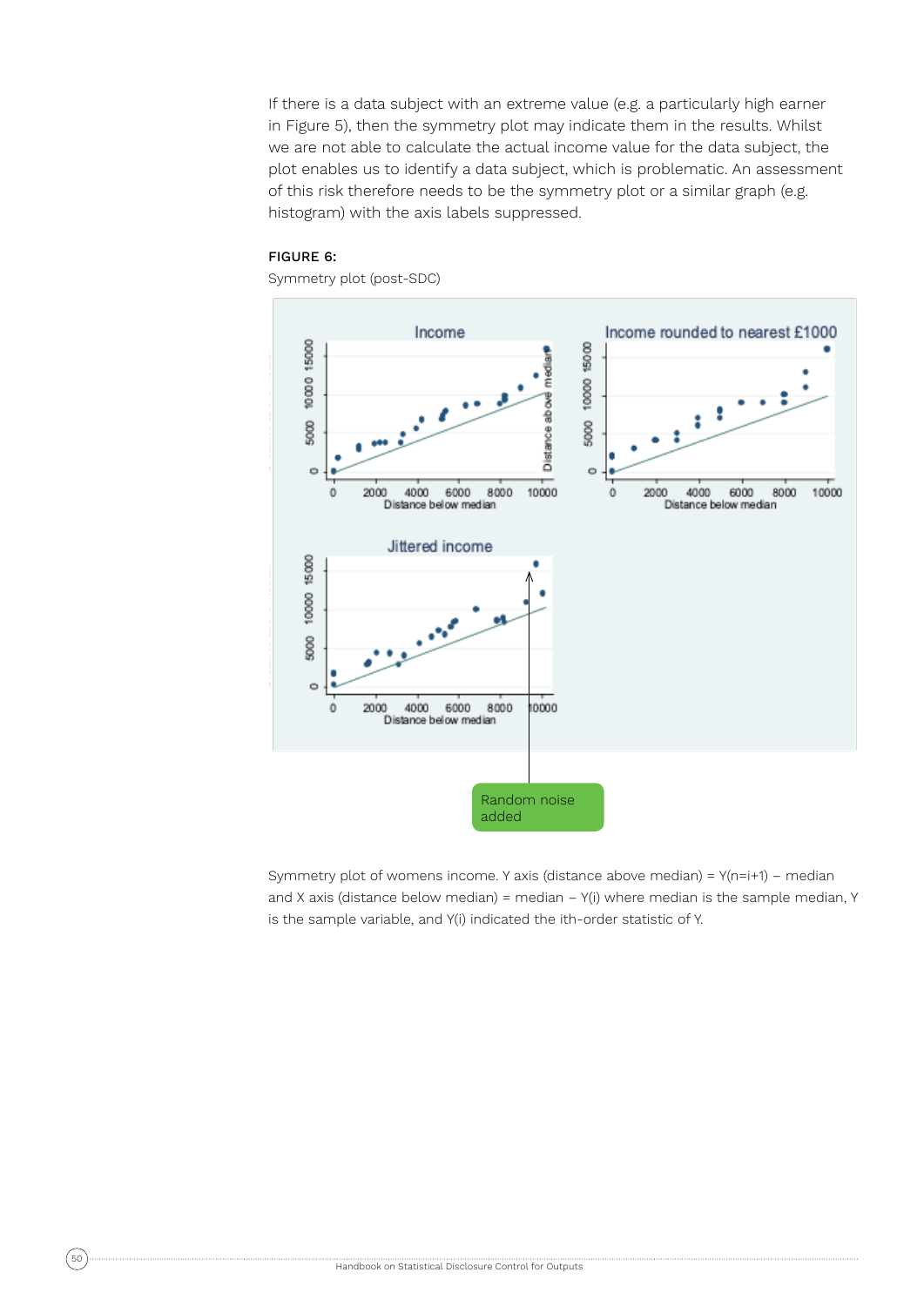If there is a data subject with an extreme value (e.g. a particularly high earner in Figure 5), then the symmetry plot may indicate them in the results. Whilst we are not able to calculate the actual income value for the data subject, the plot enables us to identify a data subject, which is problematic. An assessment of this risk therefore needs to be the symmetry plot or a similar graph (e.g. histogram) with the axis labels suppressed.

#### FIGURE 6:

Symmetry plot (post-SDC)



Symmetry plot of womens income. Y axis (distance above median) = Y(n=i+1) – median and X axis (distance below median) = median  $-$  Y(i) where median is the sample median, Y is the sample variable, and Y(i) indicated the ith-order statistic of Y.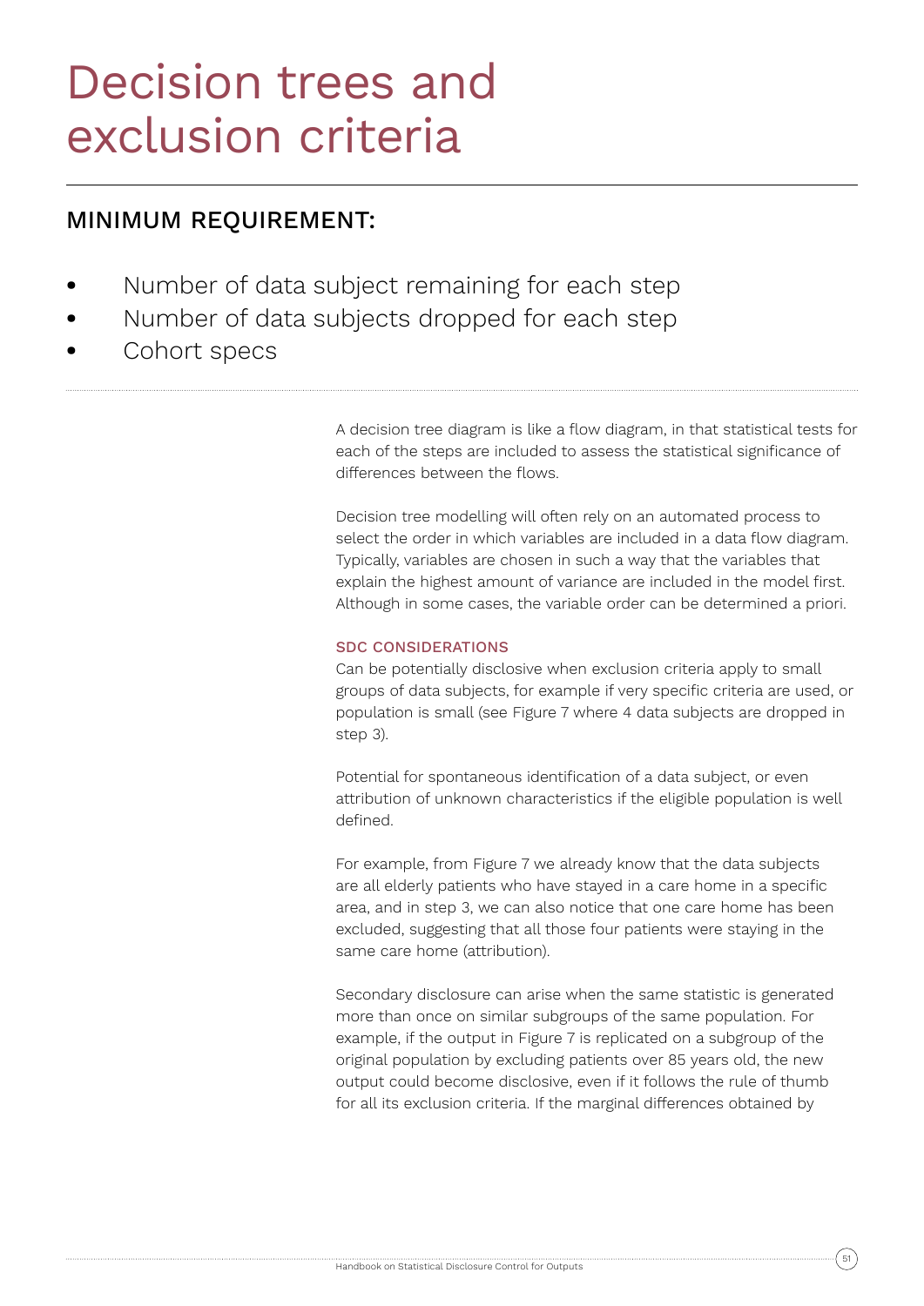## Decision trees and exclusion criteria

## MINIMUM REQUIREMENT:

- **•** Number of data subject remaining for each step
- **•** Number of data subjects dropped for each step
- **•** Cohort specs

A decision tree diagram is like a flow diagram, in that statistical tests for each of the steps are included to assess the statistical significance of differences between the flows.

Decision tree modelling will often rely on an automated process to select the order in which variables are included in a data flow diagram. Typically, variables are chosen in such a way that the variables that explain the highest amount of variance are included in the model first. Although in some cases, the variable order can be determined a priori.

## SDC CONSIDERATIONS

Can be potentially disclosive when exclusion criteria apply to small groups of data subjects, for example if very specific criteria are used, or population is small (see Figure 7 where 4 data subjects are dropped in step 3).

Potential for spontaneous identification of a data subject, or even attribution of unknown characteristics if the eligible population is well defined.

For example, from Figure 7 we already know that the data subjects are all elderly patients who have stayed in a care home in a specific area, and in step 3, we can also notice that one care home has been excluded, suggesting that all those four patients were staying in the same care home (attribution).

Secondary disclosure can arise when the same statistic is generated more than once on similar subgroups of the same population. For example, if the output in Figure 7 is replicated on a subgroup of the original population by excluding patients over 85 years old, the new output could become disclosive, even if it follows the rule of thumb for all its exclusion criteria. If the marginal differences obtained by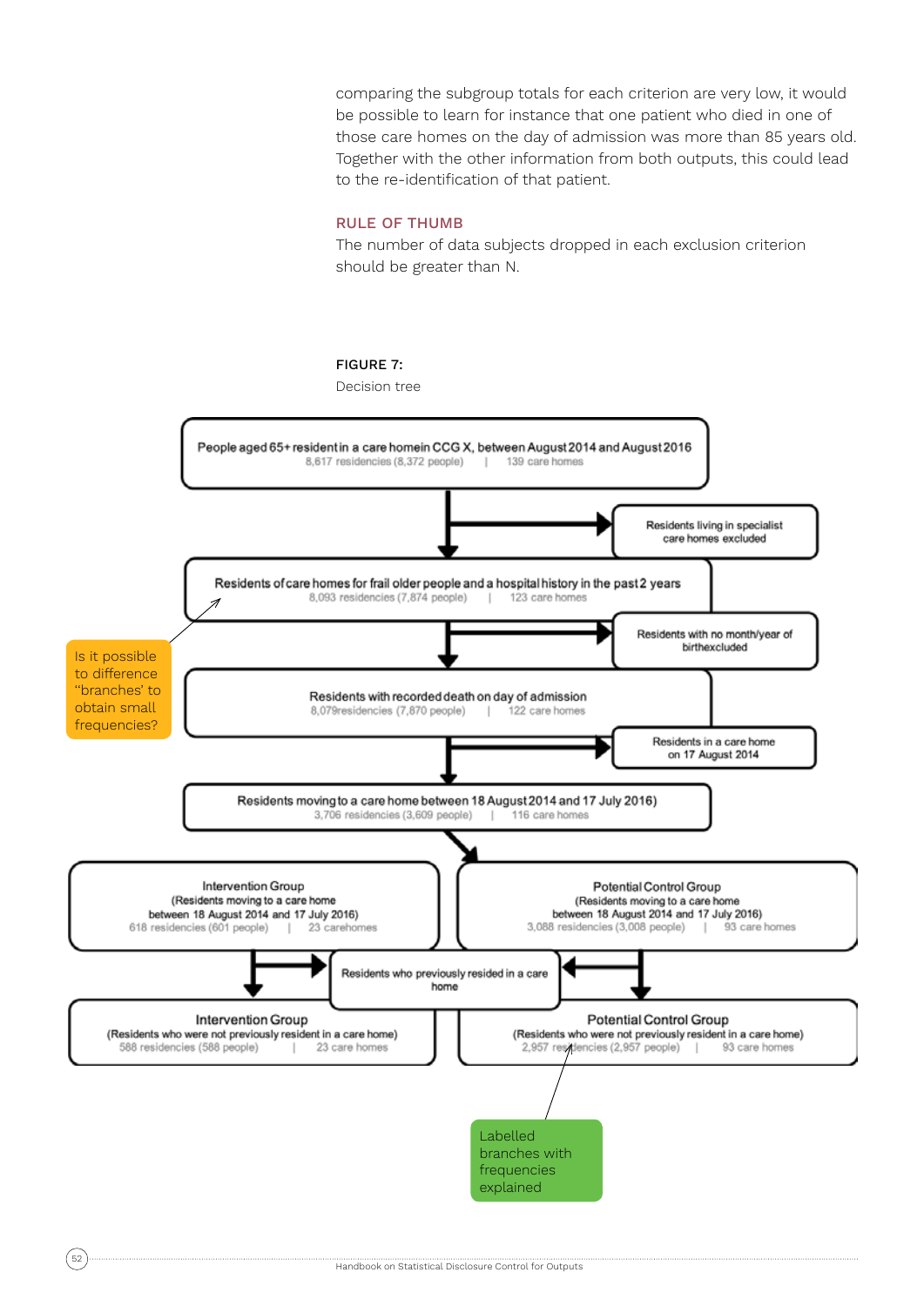comparing the subgroup totals for each criterion are very low, it would be possible to learn for instance that one patient who died in one of those care homes on the day of admission was more than 85 years old. Together with the other information from both outputs, this could lead to the re-identification of that patient.

#### RULE OF THUMB

The number of data subjects dropped in each exclusion criterion should be greater than N.



Decision tree

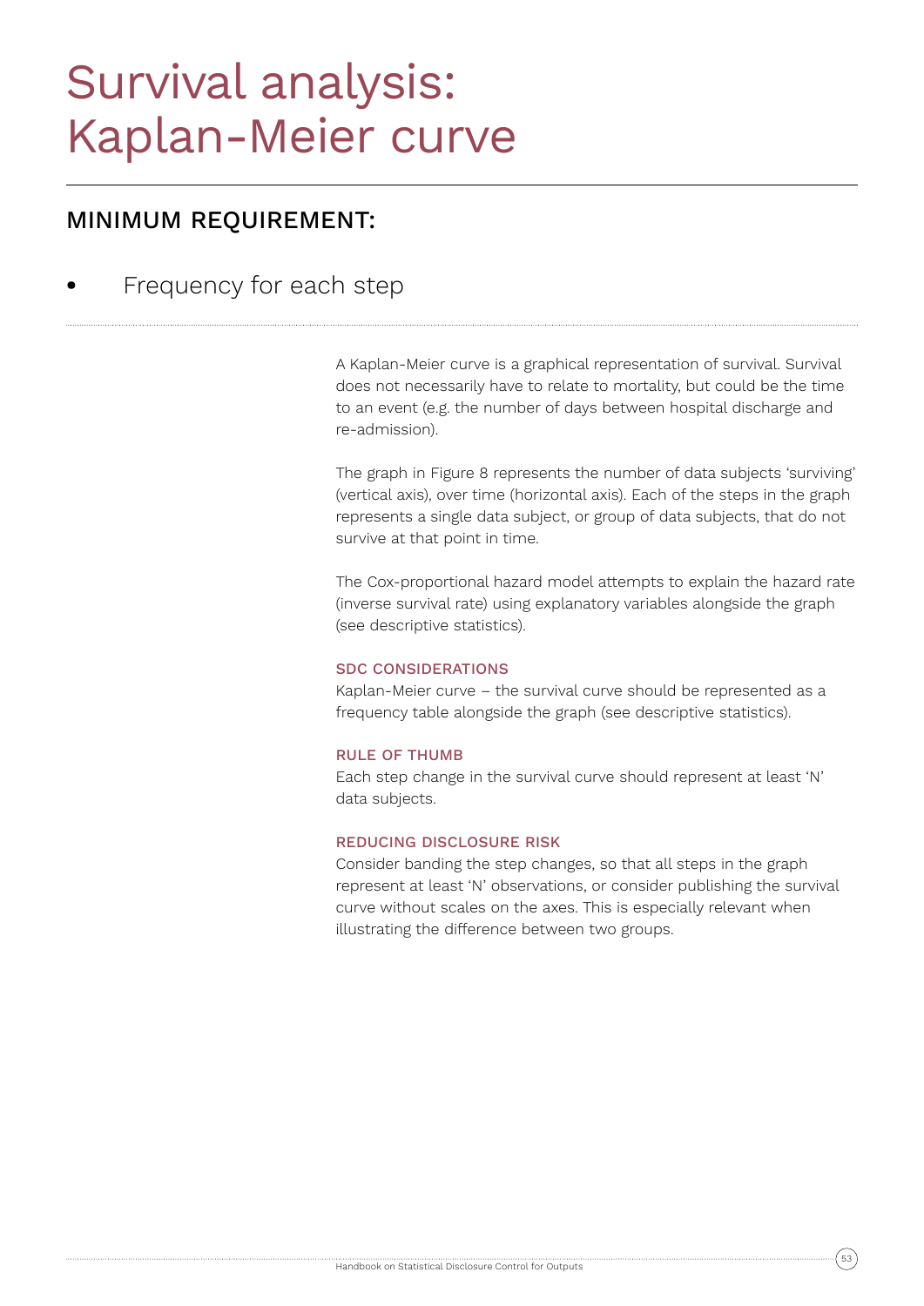## Survival analysis: Kaplan-Meier curve

## MINIMUM REQUIREMENT:

**•** Frequency for each step

A Kaplan-Meier curve is a graphical representation of survival. Survival does not necessarily have to relate to mortality, but could be the time to an event (e.g. the number of days between hospital discharge and re-admission).

The graph in Figure 8 represents the number of data subjects 'surviving' (vertical axis), over time (horizontal axis). Each of the steps in the graph represents a single data subject, or group of data subjects, that do not survive at that point in time.

The Cox-proportional hazard model attempts to explain the hazard rate (inverse survival rate) using explanatory variables alongside the graph (see descriptive statistics).

## SDC CONSIDERATIONS

Kaplan-Meier curve – the survival curve should be represented as a frequency table alongside the graph (see descriptive statistics).

## RULE OF THUMB

Each step change in the survival curve should represent at least 'N' data subjects.

## REDUCING DISCLOSURE RISK

Consider banding the step changes, so that all steps in the graph represent at least 'N' observations, or consider publishing the survival curve without scales on the axes. This is especially relevant when illustrating the difference between two groups.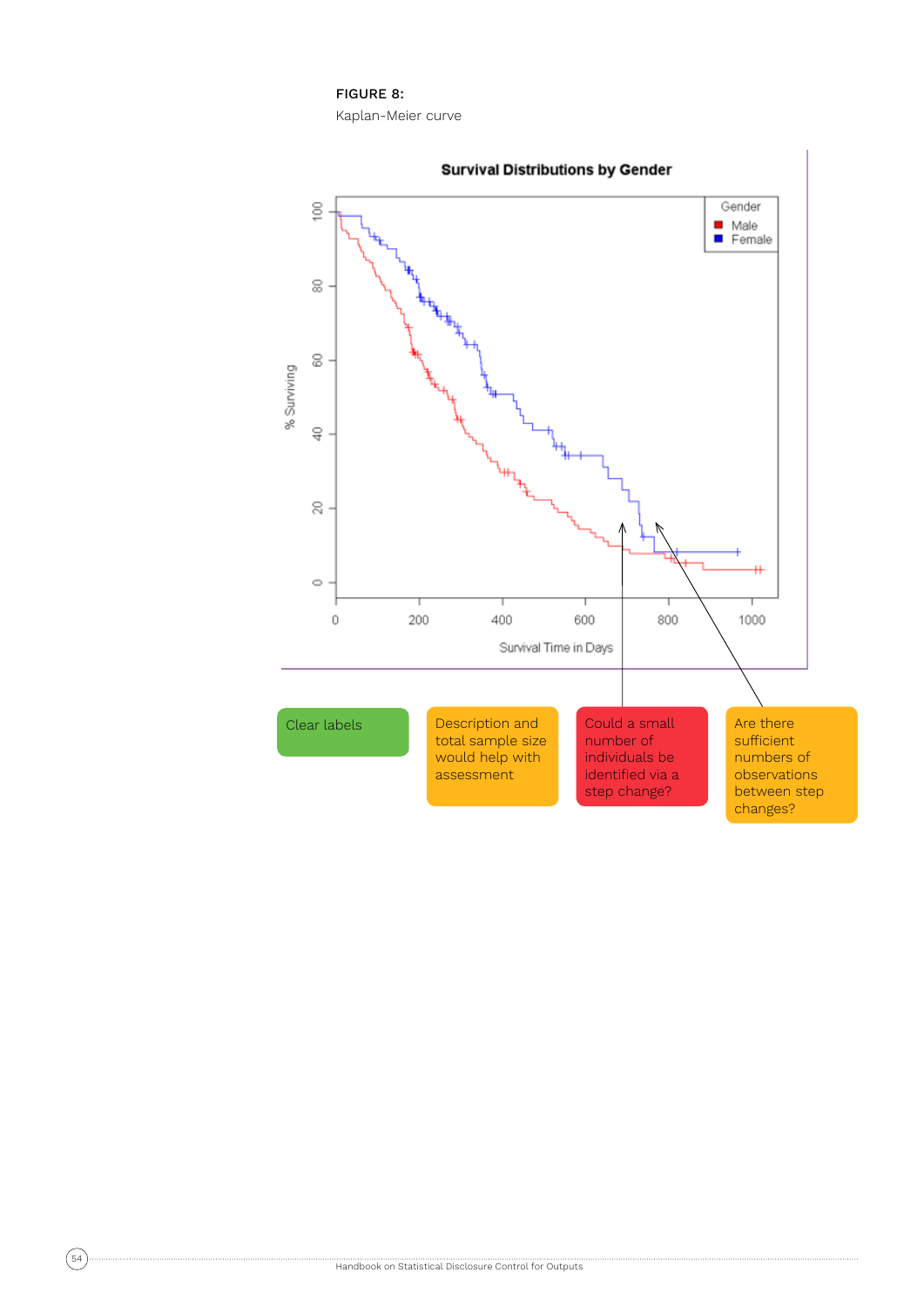## FIGURE 8:

Kaplan-Meier curve

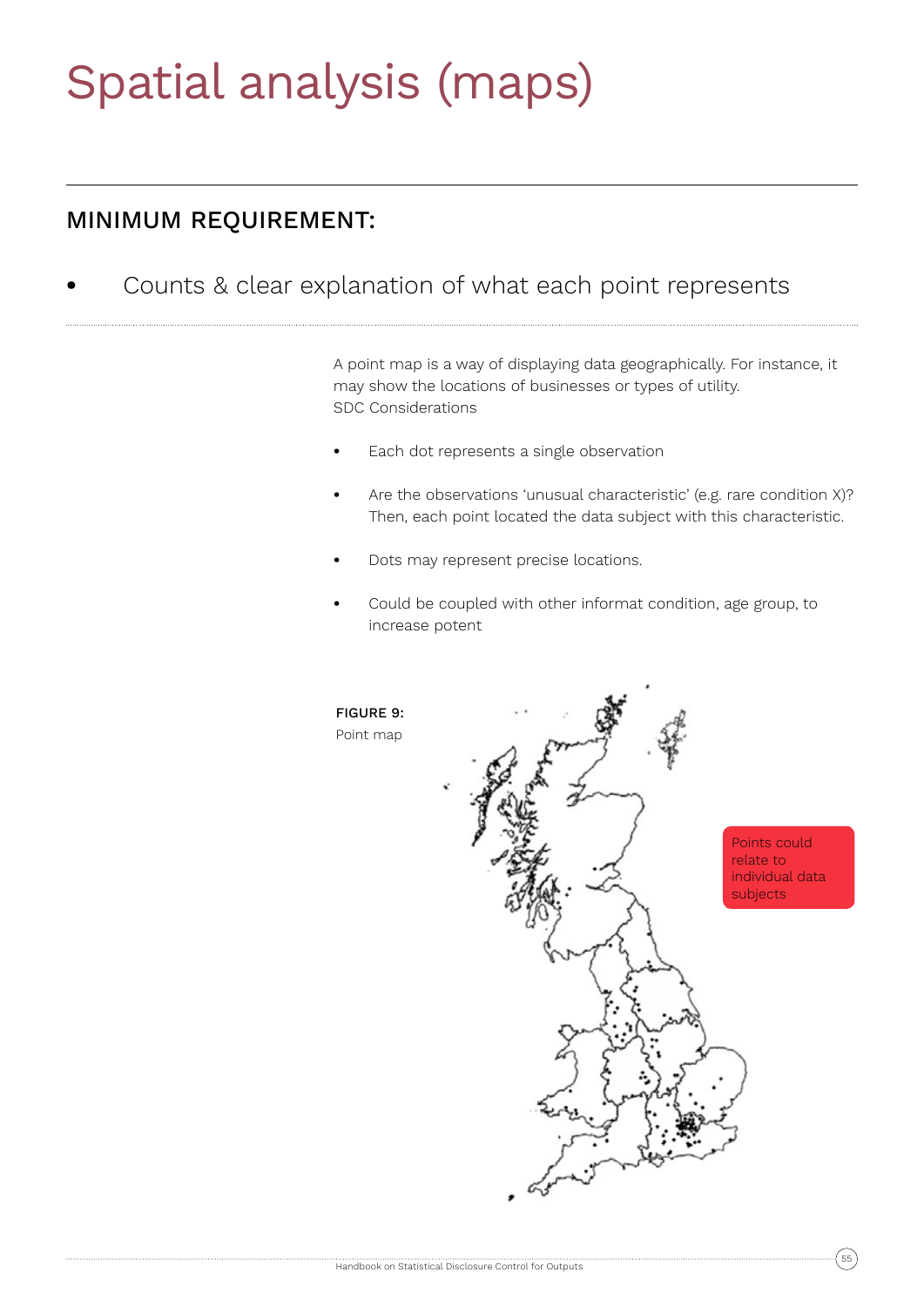## Spatial analysis (maps)

## MINIMUM REQUIREMENT:

**•** Counts & clear explanation of what each point represents

A point map is a way of displaying data geographically. For instance, it may show the locations of businesses or types of utility. SDC Considerations

- **•** Each dot represents a single observation
- **•** Are the observations 'unusual characteristic' (e.g. rare condition X)? Then, each point located the data subject with this characteristic.
- **•** Dots may represent precise locations.
- **•** Could be coupled with other informat condition, age group, to increase potent

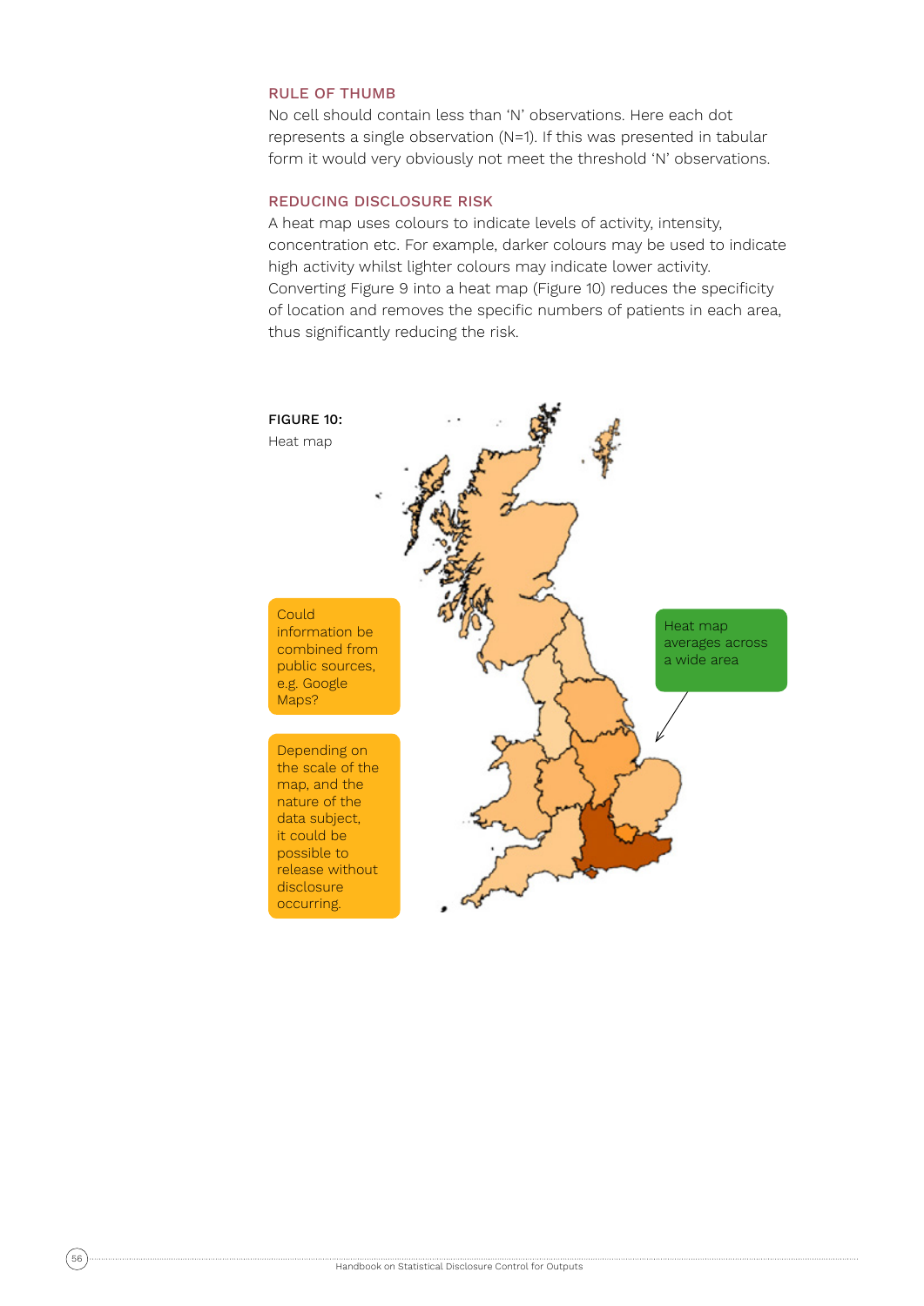## RULE OF THUMB

No cell should contain less than 'N' observations. Here each dot represents a single observation (N=1). If this was presented in tabular form it would very obviously not meet the threshold 'N' observations.

### REDUCING DISCLOSURE RISK

A heat map uses colours to indicate levels of activity, intensity, concentration etc. For example, darker colours may be used to indicate high activity whilst lighter colours may indicate lower activity. Converting Figure 9 into a heat map (Figure 10) reduces the specificity of location and removes the specific numbers of patients in each area, thus significantly reducing the risk.

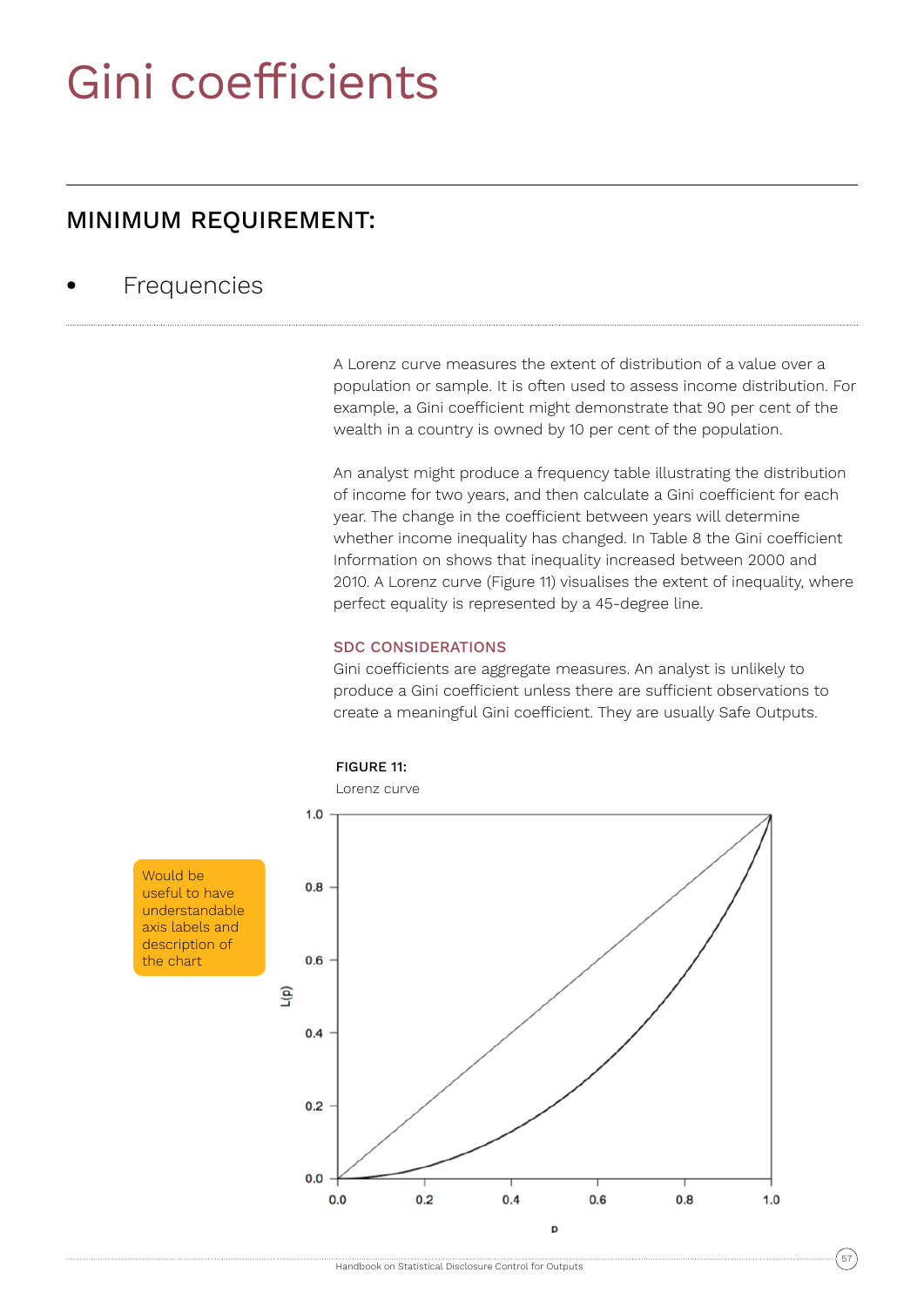## Gini coefficients

## MINIMUM REQUIREMENT:

## **•** Frequencies

A Lorenz curve measures the extent of distribution of a value over a population or sample. It is often used to assess income distribution. For example, a Gini coefficient might demonstrate that 90 per cent of the wealth in a country is owned by 10 per cent of the population.

An analyst might produce a frequency table illustrating the distribution of income for two years, and then calculate a Gini coefficient for each year. The change in the coefficient between years will determine whether income inequality has changed. In Table 8 the Gini coefficient Information on shows that inequality increased between 2000 and 2010. A Lorenz curve (Figure 11) visualises the extent of inequality, where perfect equality is represented by a 45-degree line.

## SDC CONSIDERATIONS

Gini coefficients are aggregate measures. An analyst is unlikely to produce a Gini coefficient unless there are sufficient observations to create a meaningful Gini coefficient. They are usually Safe Outputs.



Would be useful to have understandable axis labels and description of the chart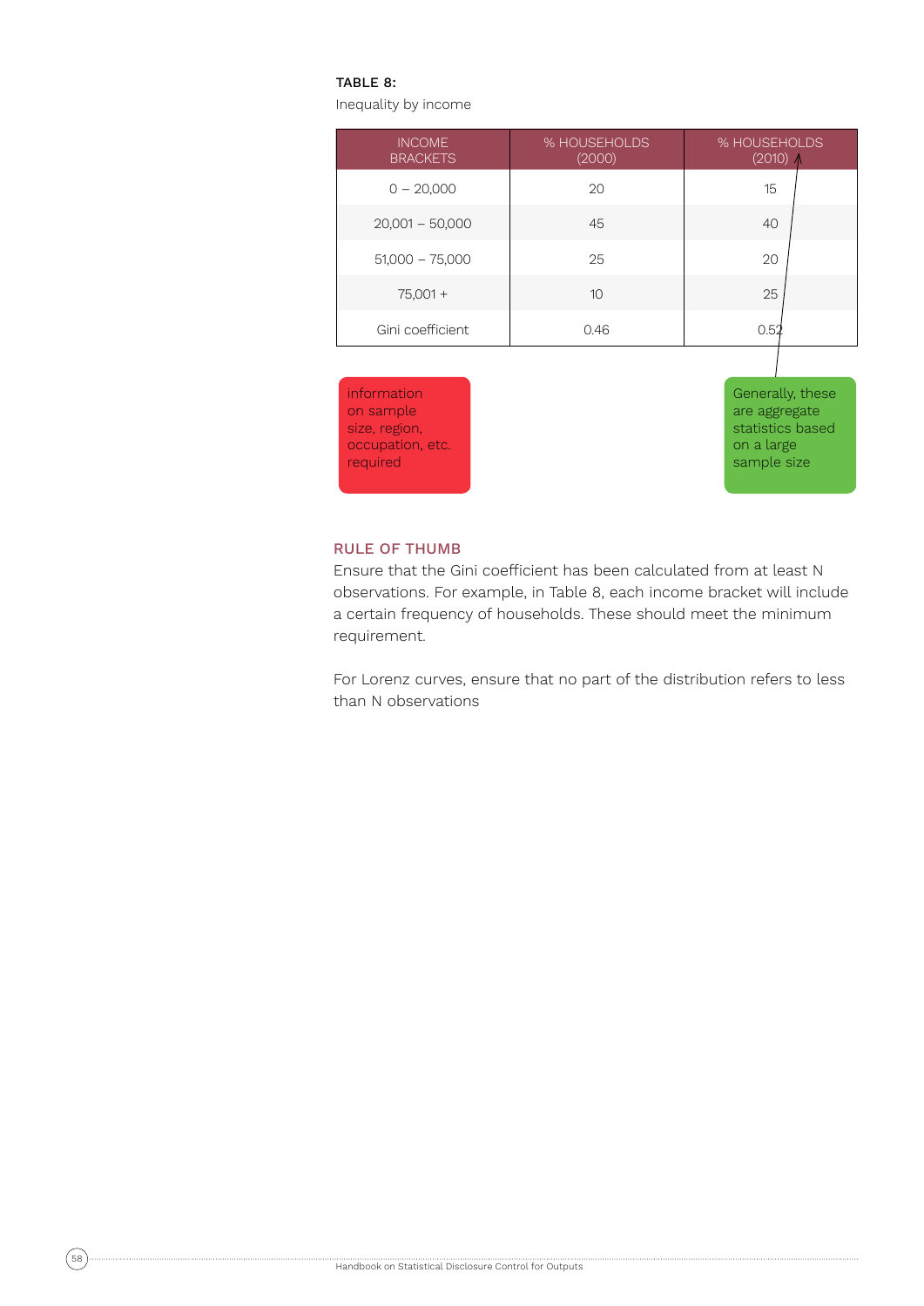#### TABLE 8:

Inequality by income

| <b>INCOME</b><br><b>BRACKETS</b> | % HOUSEHOLDS<br>(2000) | % HOUSEHOLDS<br>$(2010)$ $\Lambda$ |
|----------------------------------|------------------------|------------------------------------|
| $0 - 20,000$                     | 20                     | 15                                 |
| $20,001 - 50,000$                | 45                     | 40                                 |
| $51,000 - 75,000$                | 25                     | 20                                 |
| $75,001 +$                       | 10                     | 25                                 |
| Gini coefficient                 | 0.46                   | 0.52                               |
|                                  |                        |                                    |



Generally, these are aggregate statistics based on a large sample size

#### RULE OF THUMB

Ensure that the Gini coefficient has been calculated from at least N observations. For example, in Table 8, each income bracket will include a certain frequency of households. These should meet the minimum requirement.

For Lorenz curves, ensure that no part of the distribution refers to less than N observations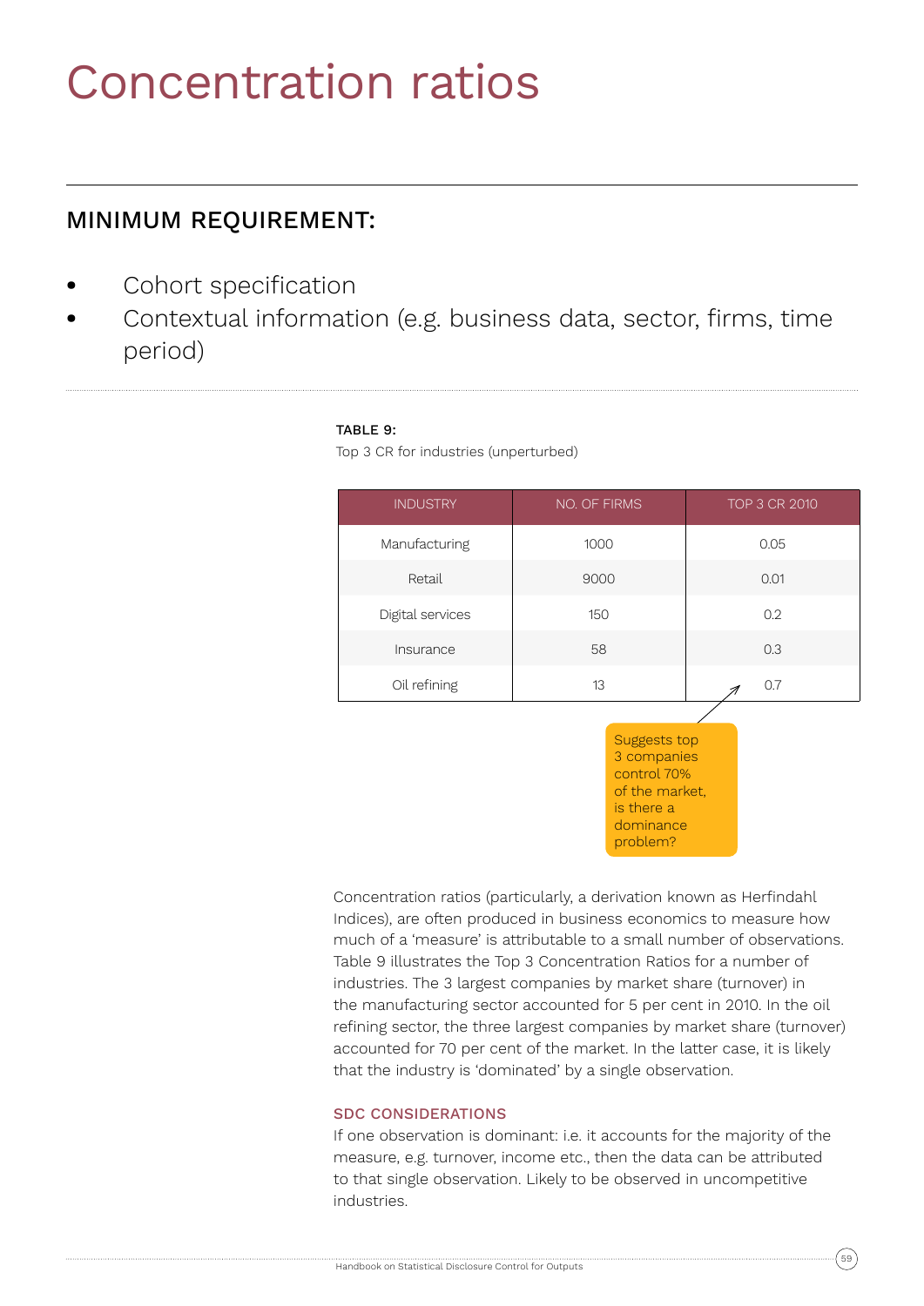## Concentration ratios

## MINIMUM REQUIREMENT:

- **•** Cohort specification
- **•** Contextual information (e.g. business data, sector, firms, time period)

## TABLE 9:

Top 3 CR for industries (unperturbed)

| <b>INDUSTRY</b>  | <b>NO. OF FIRMS</b> | TOP 3 CR 2010 |
|------------------|---------------------|---------------|
| Manufacturing    | 1000                | 0.05          |
| Retail           | 9000                | 0.01          |
| Digital services | 150                 | 0.2           |
| Insurance        | 58                  | 0.3           |
| Oil refining     | 13                  | 0.7           |

Suggests top 3 companies control 70% of the market, is there a dominance problem?

Concentration ratios (particularly, a derivation known as Herfindahl Indices), are often produced in business economics to measure how much of a 'measure' is attributable to a small number of observations. Table 9 illustrates the Top 3 Concentration Ratios for a number of industries. The 3 largest companies by market share (turnover) in the manufacturing sector accounted for 5 per cent in 2010. In the oil refining sector, the three largest companies by market share (turnover) accounted for 70 per cent of the market. In the latter case, it is likely that the industry is 'dominated' by a single observation.

## SDC CONSIDERATIONS

If one observation is dominant: i.e. it accounts for the majority of the measure, e.g. turnover, income etc., then the data can be attributed to that single observation. Likely to be observed in uncompetitive industries.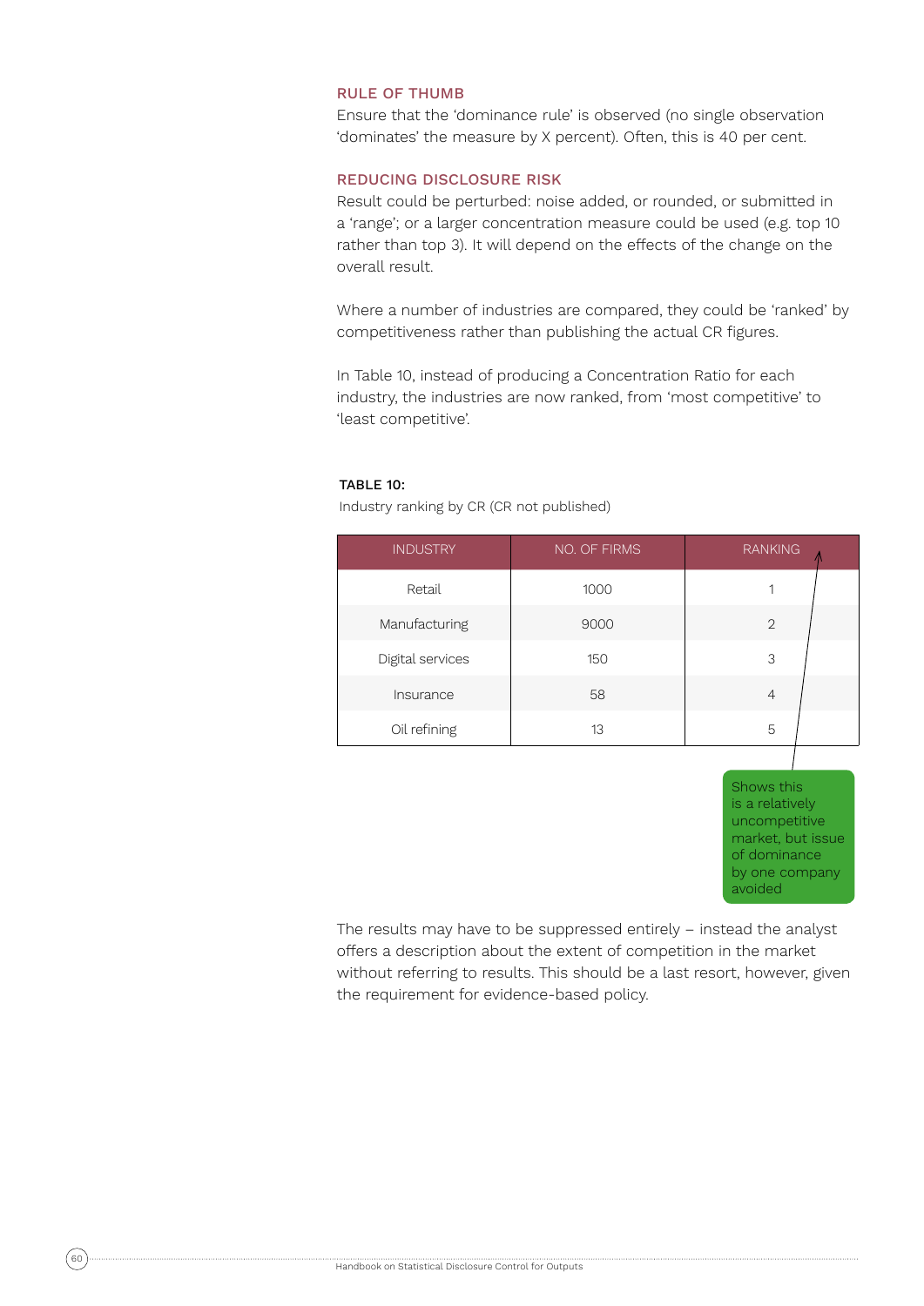### RULE OF THUMB

Ensure that the 'dominance rule' is observed (no single observation 'dominates' the measure by X percent). Often, this is 40 per cent.

## REDUCING DISCLOSURE RISK

Result could be perturbed: noise added, or rounded, or submitted in a 'range'; or a larger concentration measure could be used (e.g. top 10 rather than top 3). It will depend on the effects of the change on the overall result.

Where a number of industries are compared, they could be 'ranked' by competitiveness rather than publishing the actual CR figures.

In Table 10, instead of producing a Concentration Ratio for each industry, the industries are now ranked, from 'most competitive' to 'least competitive'.

#### TABLE 10:

INDUSTRY NO. OF FIRMS RANKING Retail 1000 1 Manufacturing 19000 2 Digital services and the 150 and 150 and 150 and 150 and 150 and 150 and 150 and 150 and 150 and 150 and 150 and 150 and 150 and 150 and 150 and 150 and 150 and 150 and 150 and 150 and 150 and 150 and 150 and 150 and 150 a Insurance 58 4 Oil refining 13 13 5

Industry ranking by CR (CR not published)

Shows this is a relatively uncompetitive market, but issue of dominance by one company avoided

The results may have to be suppressed entirely – instead the analyst offers a description about the extent of competition in the market without referring to results. This should be a last resort, however, given the requirement for evidence-based policy.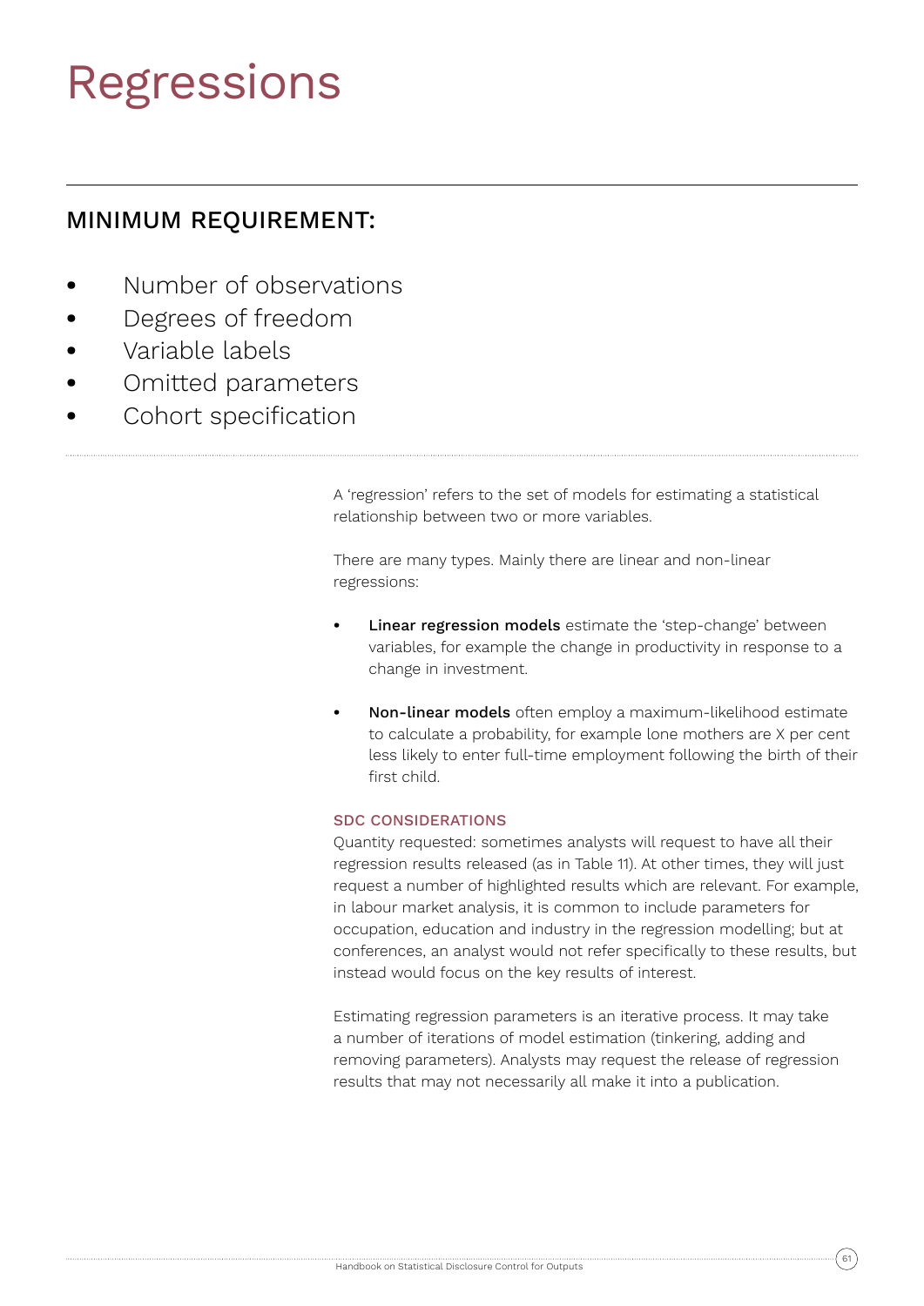## Regressions

## MINIMUM REQUIREMENT:

- **•** Number of observations
- **•** Degrees of freedom
- **•** Variable labels
- **•** Omitted parameters
- **•** Cohort specification

A 'regression' refers to the set of models for estimating a statistical relationship between two or more variables.

There are many types. Mainly there are linear and non-linear regressions:

- **Linear regression models** estimate the 'step-change' between variables, for example the change in productivity in response to a change in investment.
- **•** Non-linear models often employ a maximum-likelihood estimate to calculate a probability, for example lone mothers are X per cent less likely to enter full-time employment following the birth of their first child.

## SDC CONSIDERATIONS

Quantity requested: sometimes analysts will request to have all their regression results released (as in Table 11). At other times, they will just request a number of highlighted results which are relevant. For example, in labour market analysis, it is common to include parameters for occupation, education and industry in the regression modelling; but at conferences, an analyst would not refer specifically to these results, but instead would focus on the key results of interest.

Estimating regression parameters is an iterative process. It may take a number of iterations of model estimation (tinkering, adding and removing parameters). Analysts may request the release of regression results that may not necessarily all make it into a publication.

$$
\widehat{\mathbf{61}}
$$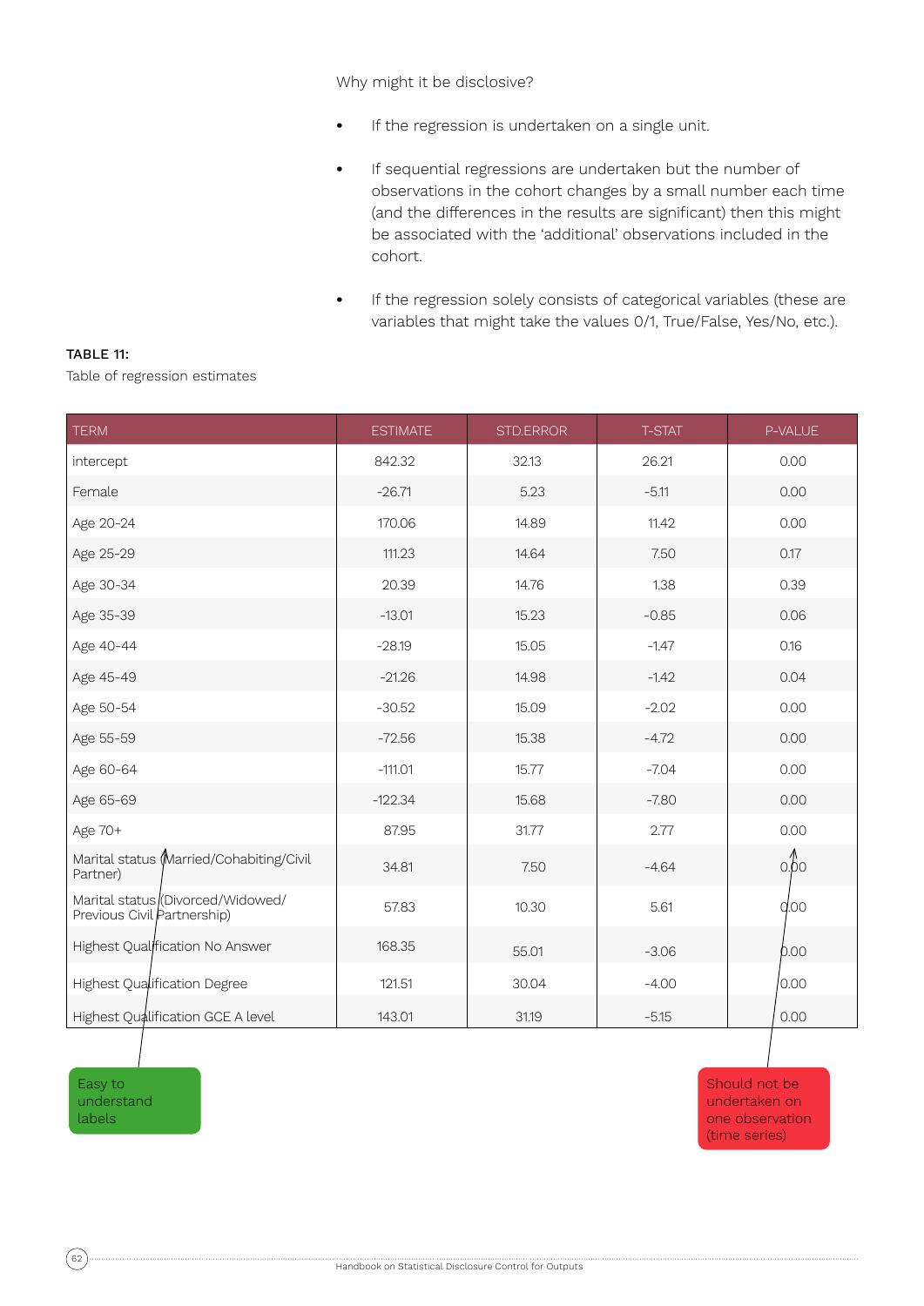Why might it be disclosive?

- **•** If the regression is undertaken on a single unit.
- **•** If sequential regressions are undertaken but the number of observations in the cohort changes by a small number each time (and the differences in the results are significant) then this might be associated with the 'additional' observations included in the cohort.
- **•** If the regression solely consists of categorical variables (these are variables that might take the values 0/1, True/False, Yes/No, etc.).

Table of regression estimates

| <b>TERM</b>                                                      | <b>ESTIMATE</b> | STD.ERROR | <b>T-STAT</b> | P-VALUE         |
|------------------------------------------------------------------|-----------------|-----------|---------------|-----------------|
| intercept                                                        | 842.32          | 32.13     | 26.21         | 0.00            |
| Female                                                           | $-26.71$        | 5.23      | $-5.11$       | 0.00            |
| Age 20-24                                                        | 170.06          | 14.89     | 11.42         | 0.00            |
| Age 25-29                                                        | 111.23          | 14.64     | 7.50          | 0.17            |
| Age 30-34                                                        | 20.39           | 14.76     | 1.38          | 0.39            |
| Age 35-39                                                        | $-13.01$        | 15.23     | $-0.85$       | 0.06            |
| Age 40-44                                                        | $-28.19$        | 15.05     | $-1.47$       | 0.16            |
| Age 45-49                                                        | $-21.26$        | 14.98     | $-1.42$       | 0.04            |
| Age 50-54                                                        | $-30.52$        | 15.09     | $-2.02$       | 0.00            |
| Age 55-59                                                        | $-72.56$        | 15.38     | $-4.72$       | 0.00            |
| Age 60-64                                                        | $-111.01$       | 15.77     | $-7.04$       | 0.00            |
| Age 65-69                                                        | $-122.34$       | 15.68     | $-7.80$       | 0.00            |
| Age 70+                                                          | 87.95           | 31.77     | 2.77          | 0.00            |
| Marital status (Married/Cohabiting/Civil<br>Partner)             | 34.81           | 7.50      | $-4.64$       | $\circ$ -60     |
| Marital status (Divorced/Widowed/<br>Previous Civil Partnership) | 57.83           | 10.30     | 5.61          | q <sub>00</sub> |
| Highest Qualffication No Answer                                  | 168.35          | 55.01     | $-3.06$       | 0.00            |
| Highest Qualification Degree                                     | 121.51          | 30.04     | $-4.00$       | 0.00            |
| Highest Qualification GCE A level                                | 143.01          | 31.19     | $-5.15$       | 0.00            |

Easy to understand labels

Should not be undertaken on one observation (time series)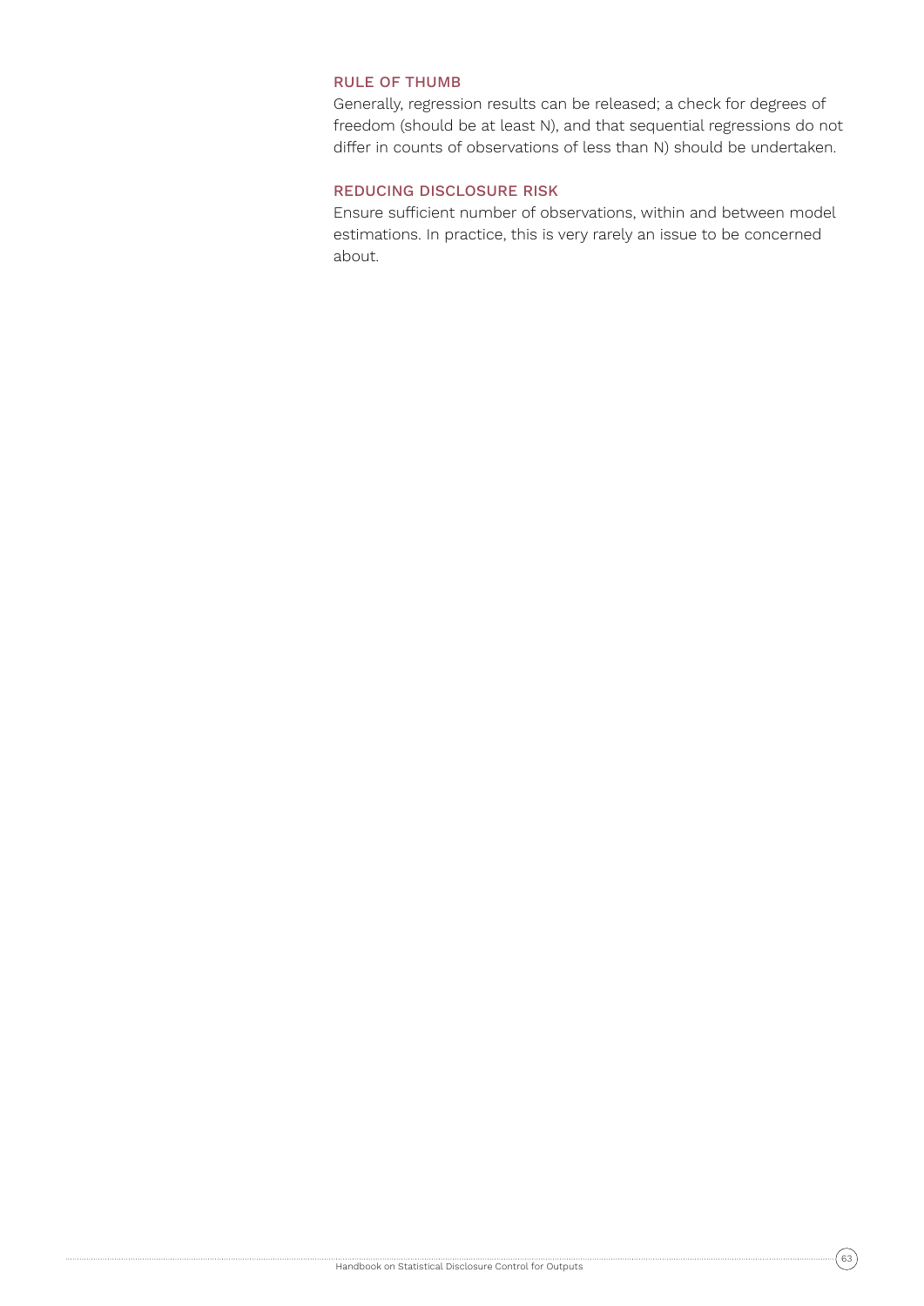## RULE OF THUMB

Generally, regression results can be released; a check for degrees of freedom (should be at least N), and that sequential regressions do not differ in counts of observations of less than N) should be undertaken.

## REDUCING DISCLOSURE RISK

Ensure sufficient number of observations, within and between model estimations. In practice, this is very rarely an issue to be concerned about.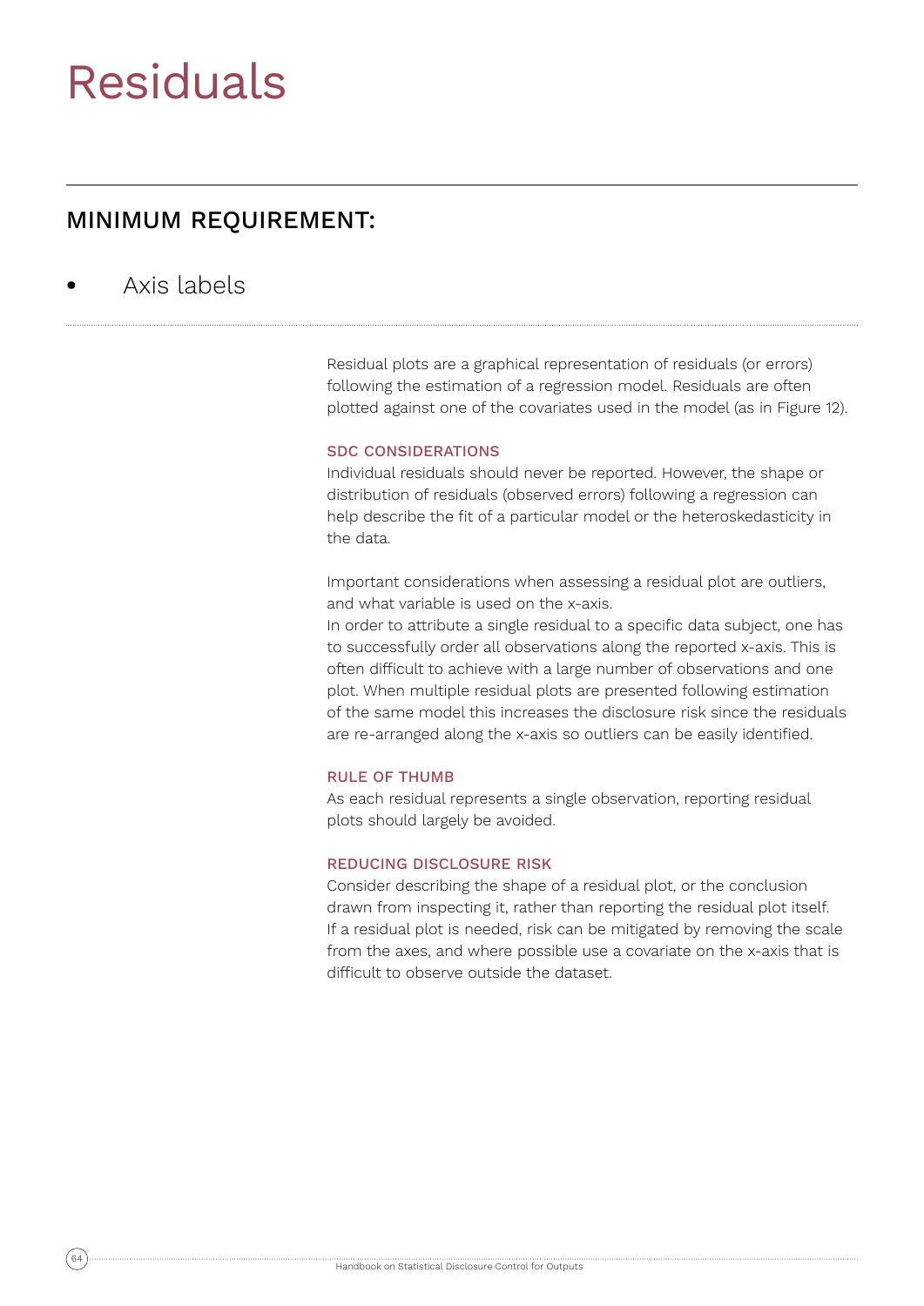## Residuals

## MINIMUM REQUIREMENT:

## **•** Axis labels

Residual plots are a graphical representation of residuals (or errors) following the estimation of a regression model. Residuals are often plotted against one of the covariates used in the model (as in Figure 12).

## SDC CONSIDERATIONS

Individual residuals should never be reported. However, the shape or distribution of residuals (observed errors) following a regression can help describe the fit of a particular model or the heteroskedasticity in the data.

Important considerations when assessing a residual plot are outliers, and what variable is used on the x-axis.

In order to attribute a single residual to a specific data subject, one has to successfully order all observations along the reported x-axis. This is often difficult to achieve with a large number of observations and one plot. When multiple residual plots are presented following estimation of the same model this increases the disclosure risk since the residuals are re-arranged along the x-axis so outliers can be easily identified.

### RULE OF THUMB

As each residual represents a single observation, reporting residual plots should largely be avoided.

#### REDUCING DISCLOSURE RISK

Consider describing the shape of a residual plot, or the conclusion drawn from inspecting it, rather than reporting the residual plot itself. If a residual plot is needed, risk can be mitigated by removing the scale from the axes, and where possible use a covariate on the x-axis that is difficult to observe outside the dataset.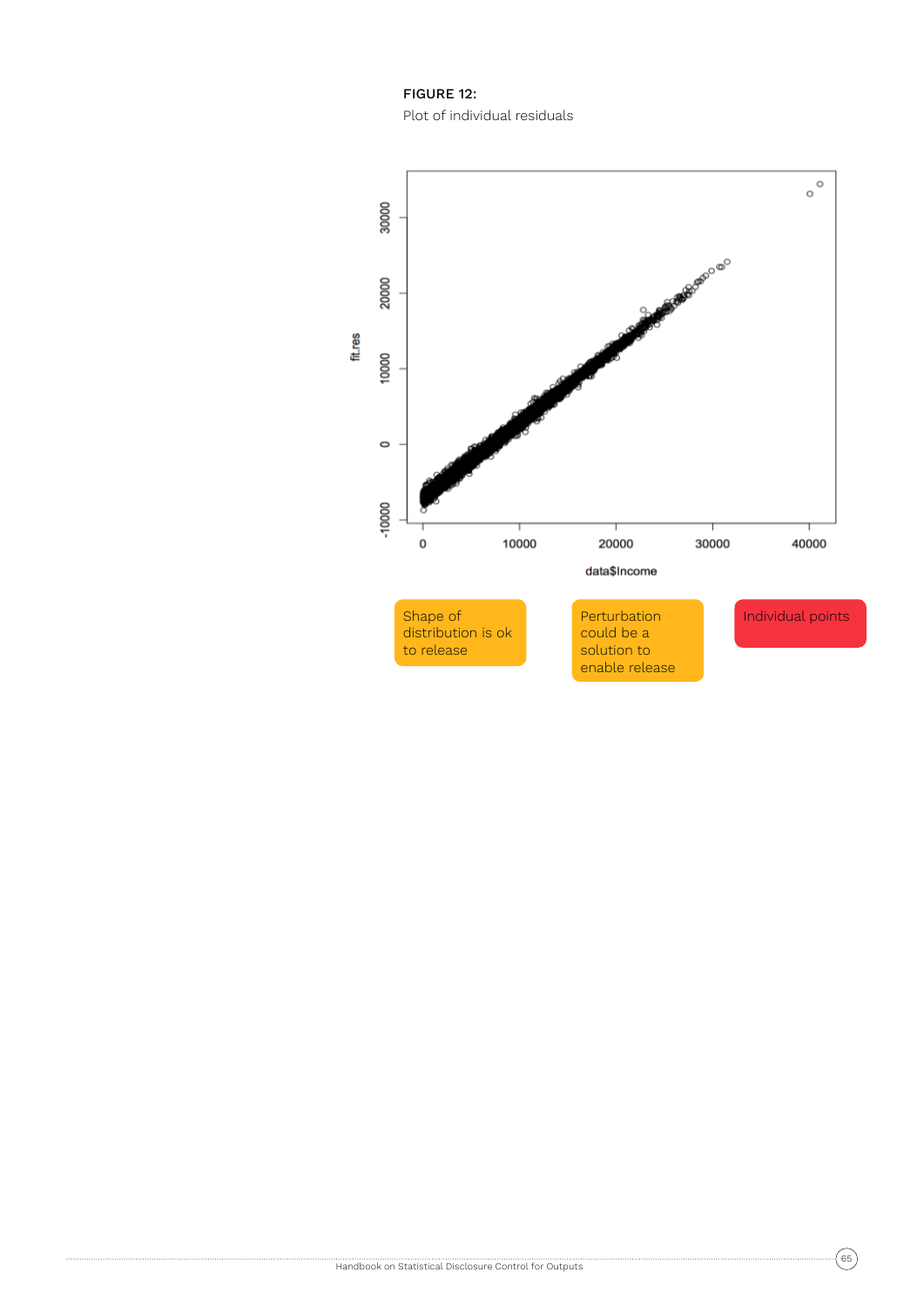FIGURE 12: Plot of individual residuals



$$
(\mathsf{65}
$$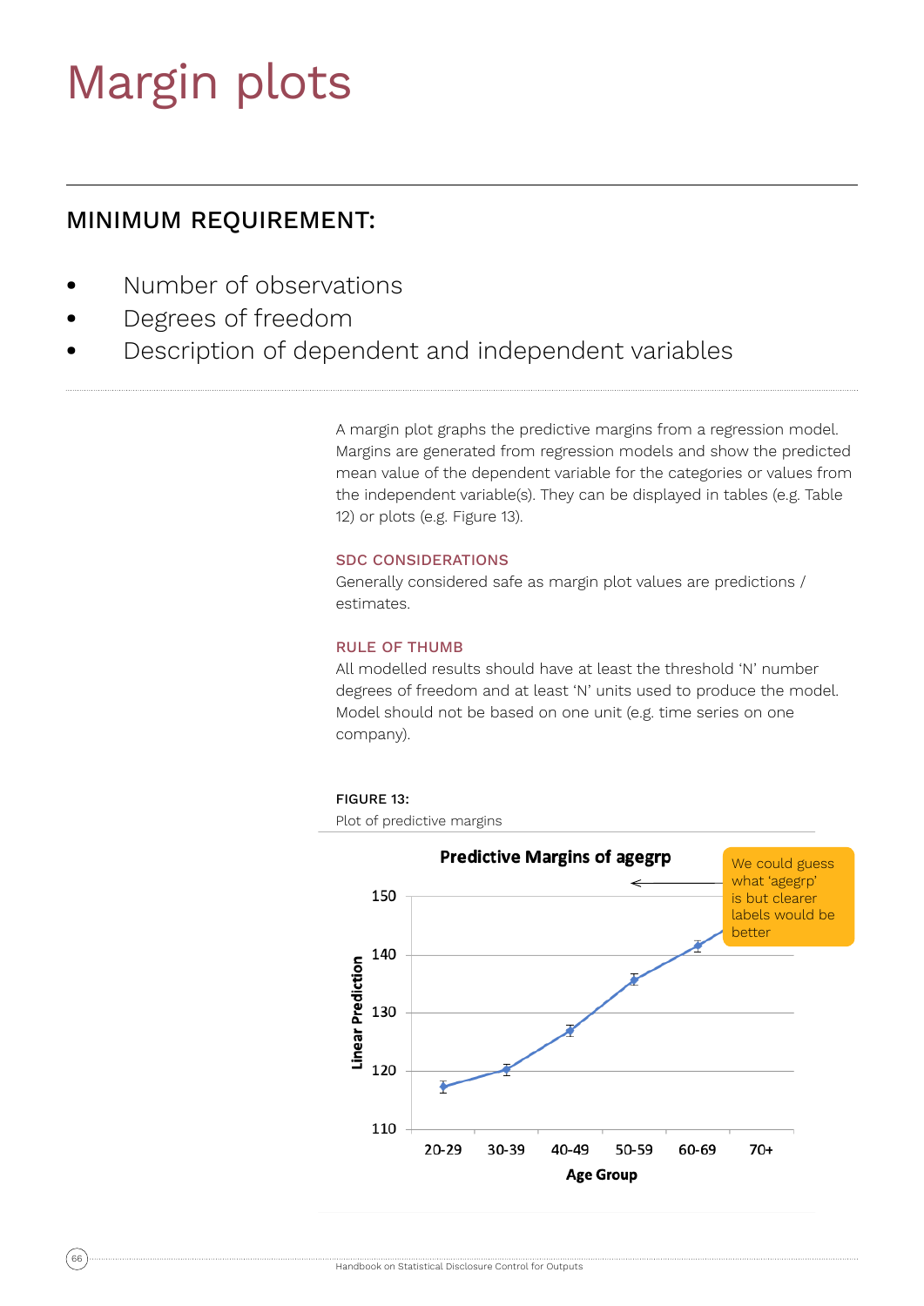## Margin plots

## MINIMUM REQUIREMENT:

- **•** Number of observations
- **•** Degrees of freedom
- **•** Description of dependent and independent variables

A margin plot graphs the predictive margins from a regression model. Margins are generated from regression models and show the predicted mean value of the dependent variable for the categories or values from the independent variable(s). They can be displayed in tables (e.g. Table 12) or plots (e.g. Figure 13).

## SDC CONSIDERATIONS

Generally considered safe as margin plot values are predictions / estimates.

## RULE OF THUMB

All modelled results should have at least the threshold 'N' number degrees of freedom and at least 'N' units used to produce the model. Model should not be based on one unit (e.g. time series on one company).

## FIGURE 13:

Plot of predictive margins

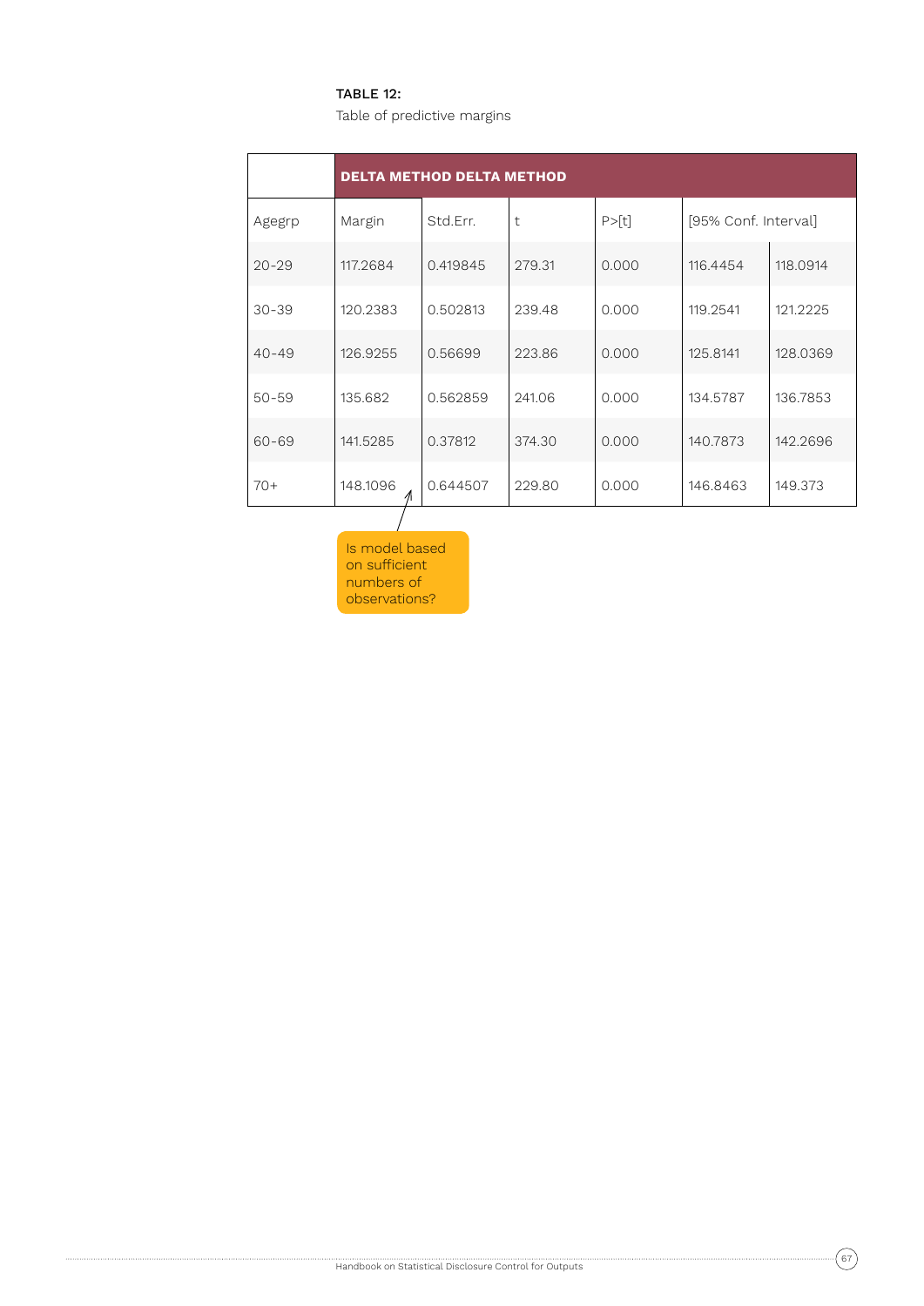## TABLE 12:

Table of predictive margins

|           | <b>DELTA METHOD DELTA METHOD</b> |          |            |         |                      |          |  |
|-----------|----------------------------------|----------|------------|---------|----------------------|----------|--|
| Agegrp    | Margin                           | Std.Err. | $\ddagger$ | P > [t] | [95% Conf. Interval] |          |  |
| $20 - 29$ | 117.2684                         | 0.419845 | 279.31     | 0.000   | 116.4454             | 118.0914 |  |
| $30 - 39$ | 120.2383                         | 0.502813 | 239.48     | 0.000   | 119.2541             | 121.2225 |  |
| $40 - 49$ | 126.9255                         | 0.56699  | 223.86     | 0.000   | 125.8141             | 128.0369 |  |
| $50 - 59$ | 135.682                          | 0.562859 | 241.06     | 0.000   | 134.5787             | 136.7853 |  |
| $60 - 69$ | 141.5285                         | 0.37812  | 374.30     | 0.000   | 140.7873             | 142.2696 |  |
| $70+$     | 148.1096                         | 0.644507 | 229.80     | 0.000   | 146.8463             | 149.373  |  |

Is model based on sufficient numbers of observations?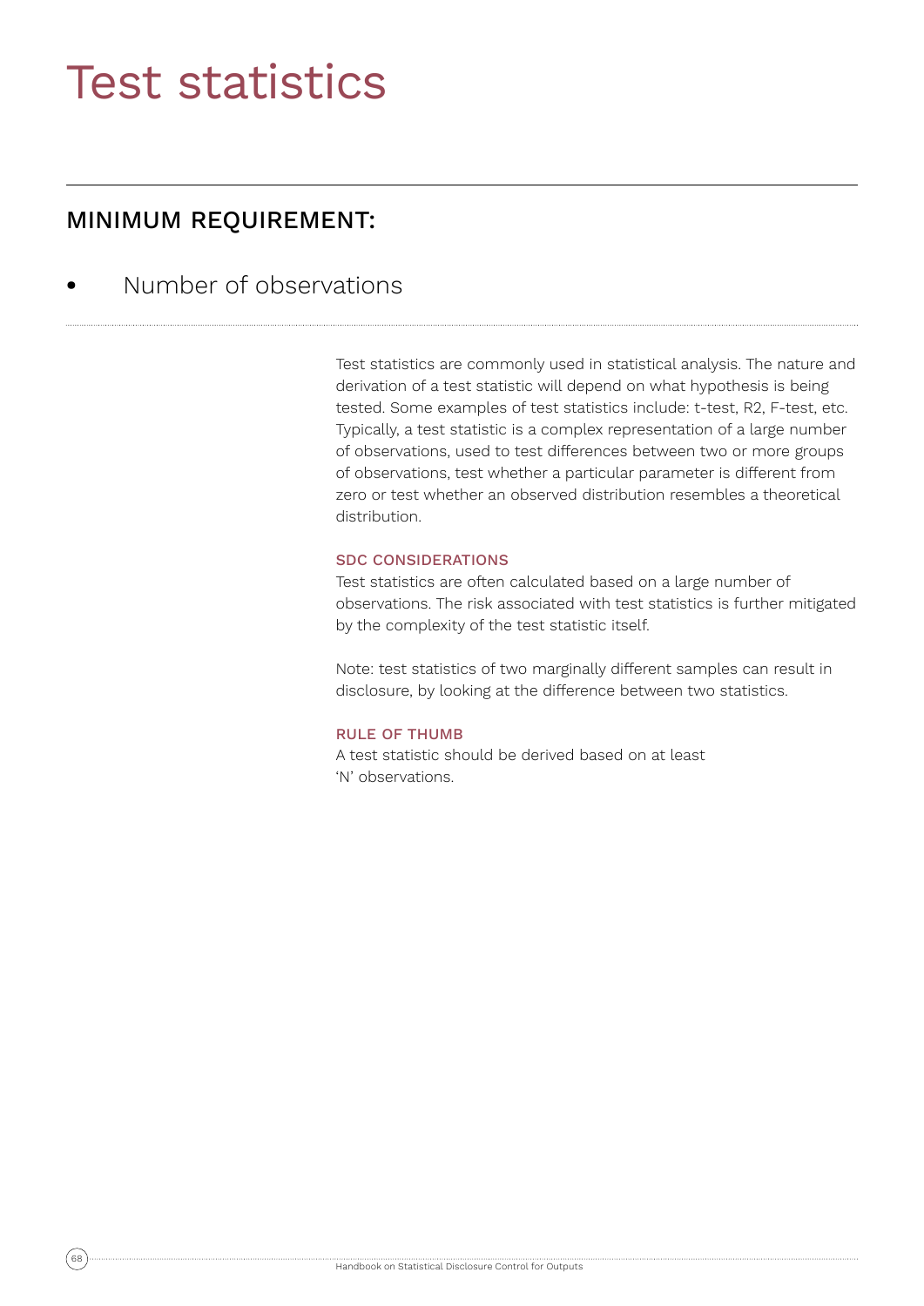## Test statistics

## MINIMUM REQUIREMENT:

**•** Number of observations

Test statistics are commonly used in statistical analysis. The nature and derivation of a test statistic will depend on what hypothesis is being tested. Some examples of test statistics include: t-test, R2, F-test, etc. Typically, a test statistic is a complex representation of a large number of observations, used to test differences between two or more groups of observations, test whether a particular parameter is different from zero or test whether an observed distribution resembles a theoretical distribution.

### SDC CONSIDERATIONS

Test statistics are often calculated based on a large number of observations. The risk associated with test statistics is further mitigated by the complexity of the test statistic itself.

Note: test statistics of two marginally different samples can result in disclosure, by looking at the difference between two statistics.

#### RULE OF THUMB

A test statistic should be derived based on at least 'N' observations.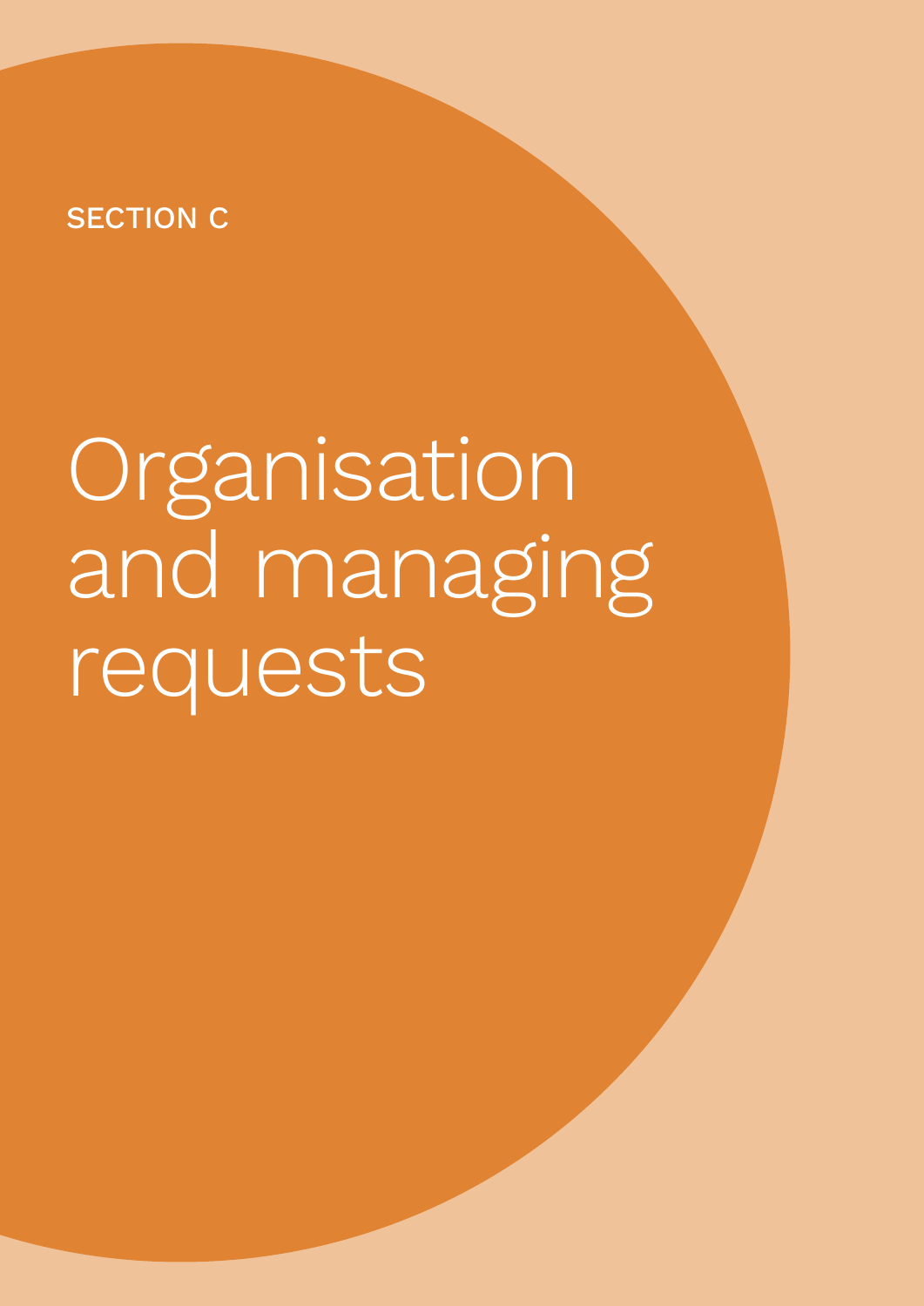## SECTION C

# Organisation and managing requests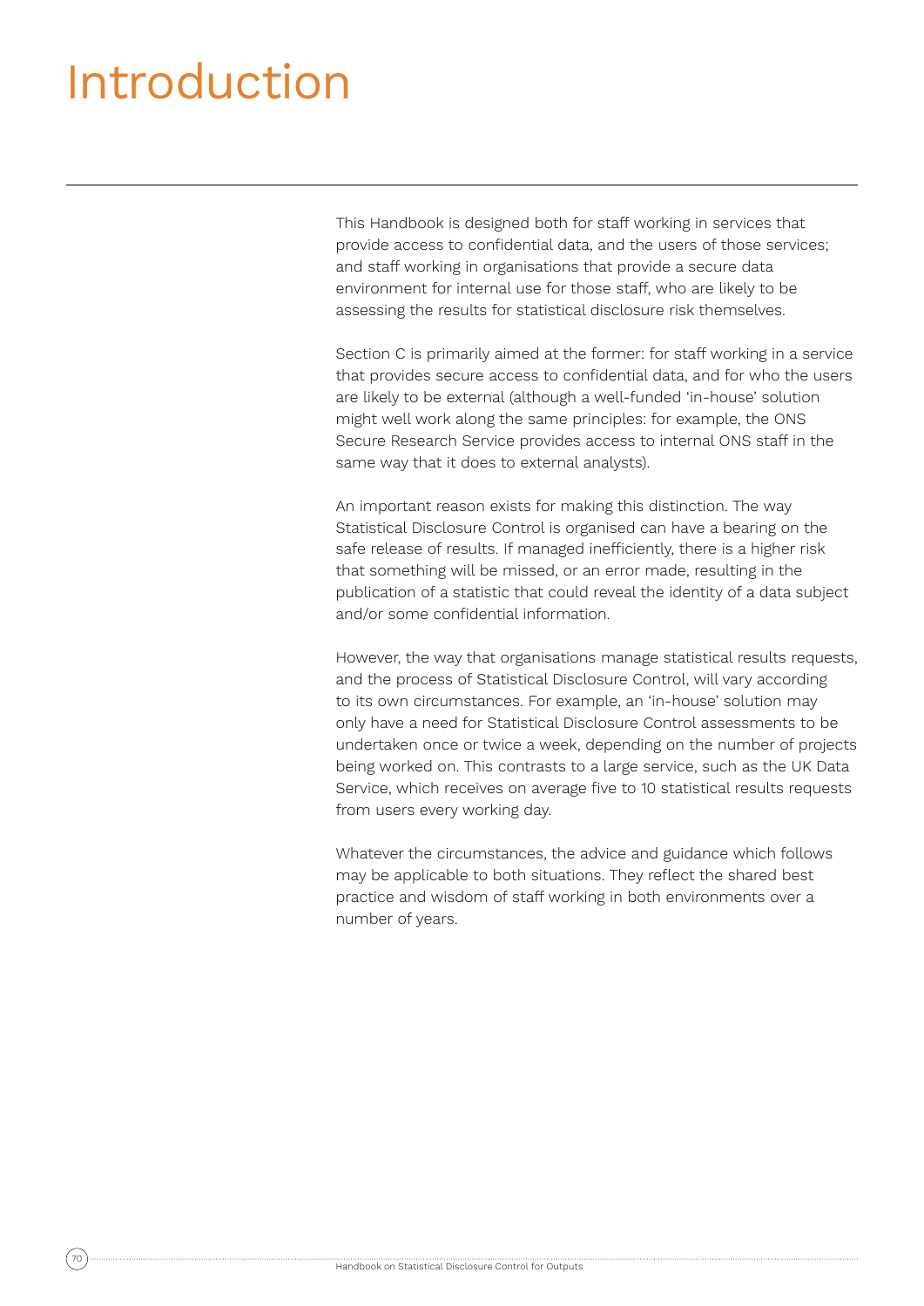## Introduction

This Handbook is designed both for staff working in services that provide access to confidential data, and the users of those services; and staff working in organisations that provide a secure data environment for internal use for those staff, who are likely to be assessing the results for statistical disclosure risk themselves.

Section C is primarily aimed at the former: for staff working in a service that provides secure access to confidential data, and for who the users are likely to be external (although a well-funded 'in-house' solution might well work along the same principles: for example, the ONS Secure Research Service provides access to internal ONS staff in the same way that it does to external analysts).

An important reason exists for making this distinction. The way Statistical Disclosure Control is organised can have a bearing on the safe release of results. If managed inefficiently, there is a higher risk that something will be missed, or an error made, resulting in the publication of a statistic that could reveal the identity of a data subject and/or some confidential information.

However, the way that organisations manage statistical results requests. and the process of Statistical Disclosure Control, will vary according to its own circumstances. For example, an 'in-house' solution may only have a need for Statistical Disclosure Control assessments to be undertaken once or twice a week, depending on the number of projects being worked on. This contrasts to a large service, such as the UK Data Service, which receives on average five to 10 statistical results requests from users every working day.

Whatever the circumstances, the advice and guidance which follows may be applicable to both situations. They reflect the shared best practice and wisdom of staff working in both environments over a number of years.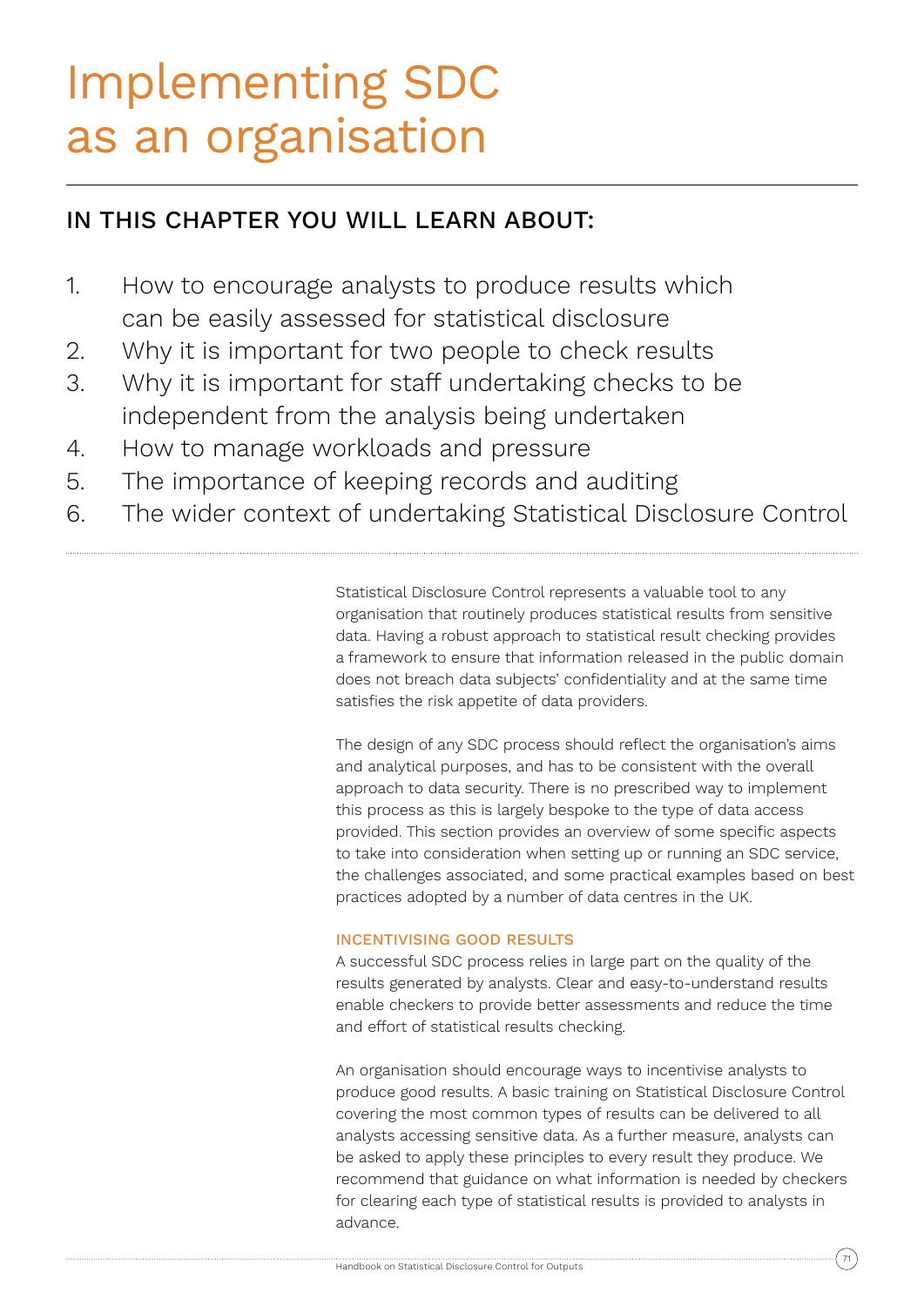## Implementing SDC as an organisation

## IN THIS CHAPTER YOU WILL LEARN ABOUT:

- 1. How to encourage analysts to produce results which can be easily assessed for statistical disclosure
- 2. Why it is important for two people to check results
- 3. Why it is important for staff undertaking checks to be independent from the analysis being undertaken
- 4. How to manage workloads and pressure
- 5. The importance of keeping records and auditing
- 6. The wider context of undertaking Statistical Disclosure Control

Statistical Disclosure Control represents a valuable tool to any organisation that routinely produces statistical results from sensitive data. Having a robust approach to statistical result checking provides a framework to ensure that information released in the public domain does not breach data subjects' confidentiality and at the same time satisfies the risk appetite of data providers.

The design of any SDC process should reflect the organisation's aims and analytical purposes, and has to be consistent with the overall approach to data security. There is no prescribed way to implement this process as this is largely bespoke to the type of data access provided. This section provides an overview of some specific aspects to take into consideration when setting up or running an SDC service, the challenges associated, and some practical examples based on best practices adopted by a number of data centres in the UK.

## INCENTIVISING GOOD RESULTS

A successful SDC process relies in large part on the quality of the results generated by analysts. Clear and easy-to-understand results enable checkers to provide better assessments and reduce the time and effort of statistical results checking.

An organisation should encourage ways to incentivise analysts to produce good results. A basic training on Statistical Disclosure Control covering the most common types of results can be delivered to all analysts accessing sensitive data. As a further measure, analysts can be asked to apply these principles to every result they produce. We recommend that guidance on what information is needed by checkers for clearing each type of statistical results is provided to analysts in advance.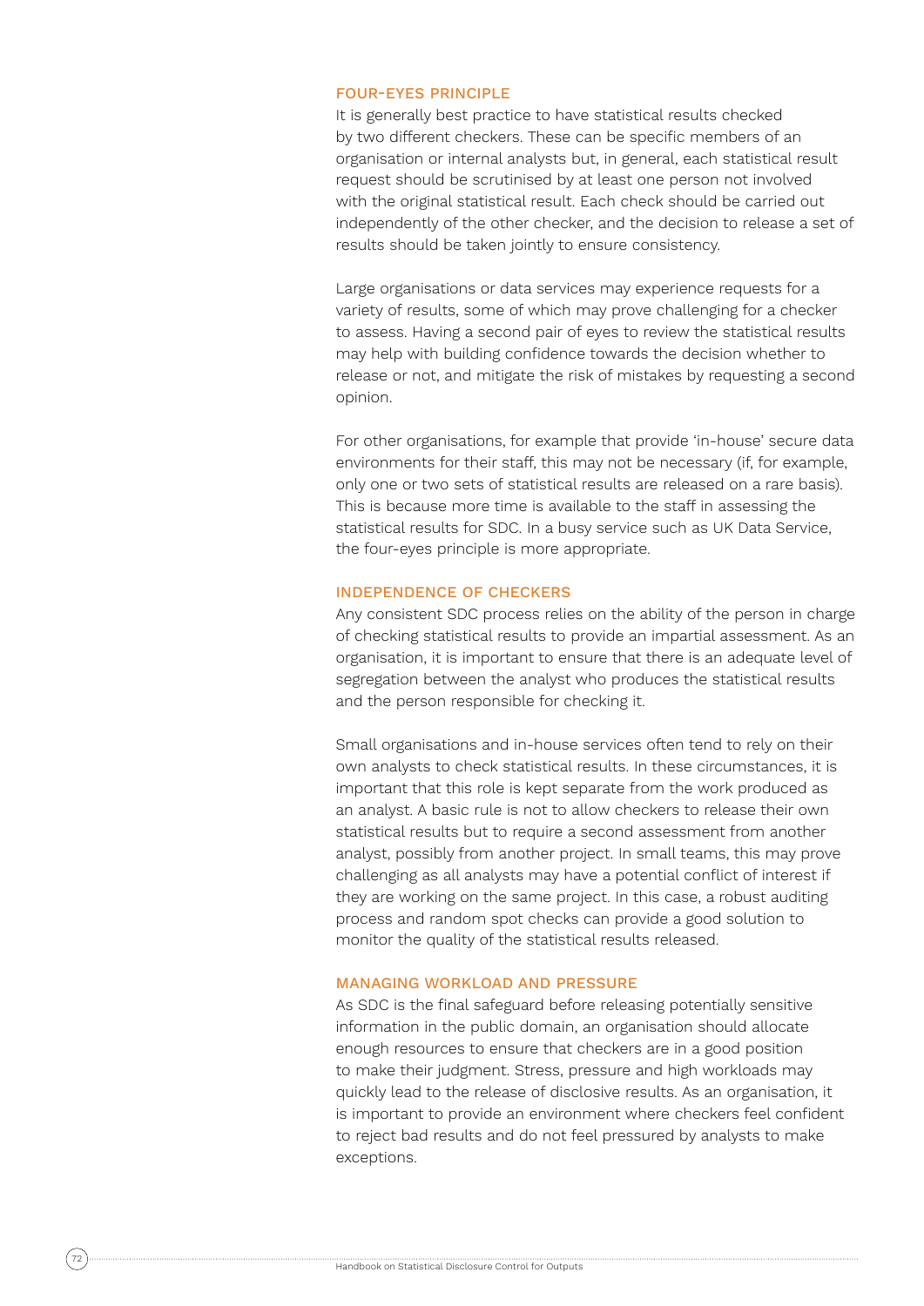### FOUR-EYES PRINCIPLE

It is generally best practice to have statistical results checked by two different checkers. These can be specific members of an organisation or internal analysts but, in general, each statistical result request should be scrutinised by at least one person not involved with the original statistical result. Each check should be carried out independently of the other checker, and the decision to release a set of results should be taken jointly to ensure consistency.

Large organisations or data services may experience requests for a variety of results, some of which may prove challenging for a checker to assess. Having a second pair of eyes to review the statistical results may help with building confidence towards the decision whether to release or not, and mitigate the risk of mistakes by requesting a second opinion.

For other organisations, for example that provide 'in-house' secure data environments for their staff, this may not be necessary (if, for example, only one or two sets of statistical results are released on a rare basis). This is because more time is available to the staff in assessing the statistical results for SDC. In a busy service such as UK Data Service, the four-eyes principle is more appropriate.

#### INDEPENDENCE OF CHECKERS

Any consistent SDC process relies on the ability of the person in charge of checking statistical results to provide an impartial assessment. As an organisation, it is important to ensure that there is an adequate level of segregation between the analyst who produces the statistical results and the person responsible for checking it.

Small organisations and in-house services often tend to rely on their own analysts to check statistical results. In these circumstances, it is important that this role is kept separate from the work produced as an analyst. A basic rule is not to allow checkers to release their own statistical results but to require a second assessment from another analyst, possibly from another project. In small teams, this may prove challenging as all analysts may have a potential conflict of interest if they are working on the same project. In this case, a robust auditing process and random spot checks can provide a good solution to monitor the quality of the statistical results released.

#### MANAGING WORKLOAD AND PRESSURE

As SDC is the final safeguard before releasing potentially sensitive information in the public domain, an organisation should allocate enough resources to ensure that checkers are in a good position to make their judgment. Stress, pressure and high workloads may quickly lead to the release of disclosive results. As an organisation, it is important to provide an environment where checkers feel confident to reject bad results and do not feel pressured by analysts to make exceptions.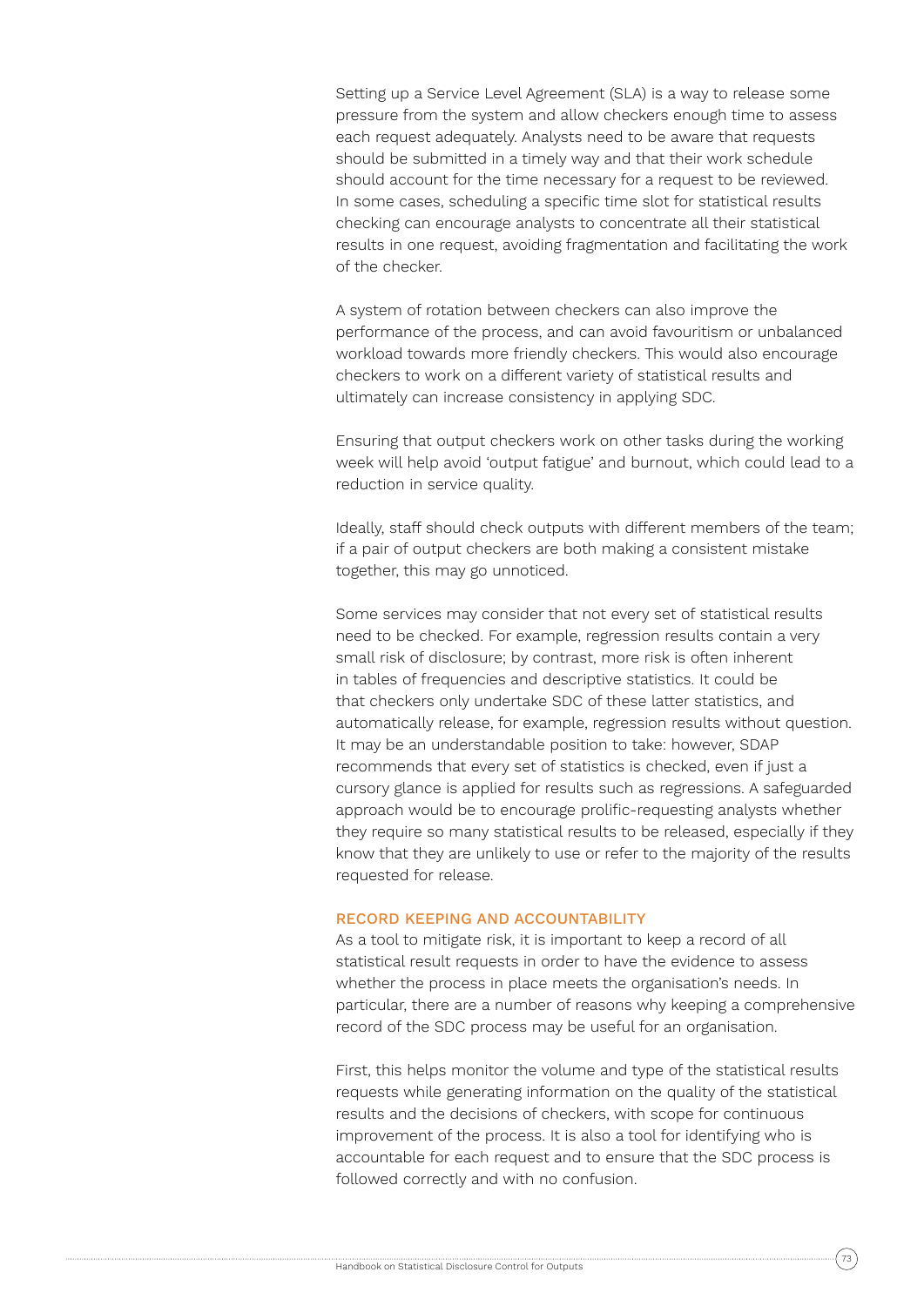Setting up a Service Level Agreement (SLA) is a way to release some pressure from the system and allow checkers enough time to assess each request adequately. Analysts need to be aware that requests should be submitted in a timely way and that their work schedule should account for the time necessary for a request to be reviewed. In some cases, scheduling a specific time slot for statistical results checking can encourage analysts to concentrate all their statistical results in one request, avoiding fragmentation and facilitating the work of the checker.

A system of rotation between checkers can also improve the performance of the process, and can avoid favouritism or unbalanced workload towards more friendly checkers. This would also encourage checkers to work on a different variety of statistical results and ultimately can increase consistency in applying SDC.

Ensuring that output checkers work on other tasks during the working week will help avoid 'output fatigue' and burnout, which could lead to a reduction in service quality.

Ideally, staff should check outputs with different members of the team; if a pair of output checkers are both making a consistent mistake together, this may go unnoticed.

Some services may consider that not every set of statistical results need to be checked. For example, regression results contain a very small risk of disclosure; by contrast, more risk is often inherent in tables of frequencies and descriptive statistics. It could be that checkers only undertake SDC of these latter statistics, and automatically release, for example, regression results without question. It may be an understandable position to take: however, SDAP recommends that every set of statistics is checked, even if just a cursory glance is applied for results such as regressions. A safeguarded approach would be to encourage prolific-requesting analysts whether they require so many statistical results to be released, especially if they know that they are unlikely to use or refer to the majority of the results requested for release.

#### RECORD KEEPING AND ACCOUNTABILITY

As a tool to mitigate risk, it is important to keep a record of all statistical result requests in order to have the evidence to assess whether the process in place meets the organisation's needs. In particular, there are a number of reasons why keeping a comprehensive record of the SDC process may be useful for an organisation.

First, this helps monitor the volume and type of the statistical results requests while generating information on the quality of the statistical results and the decisions of checkers, with scope for continuous improvement of the process. It is also a tool for identifying who is accountable for each request and to ensure that the SDC process is followed correctly and with no confusion.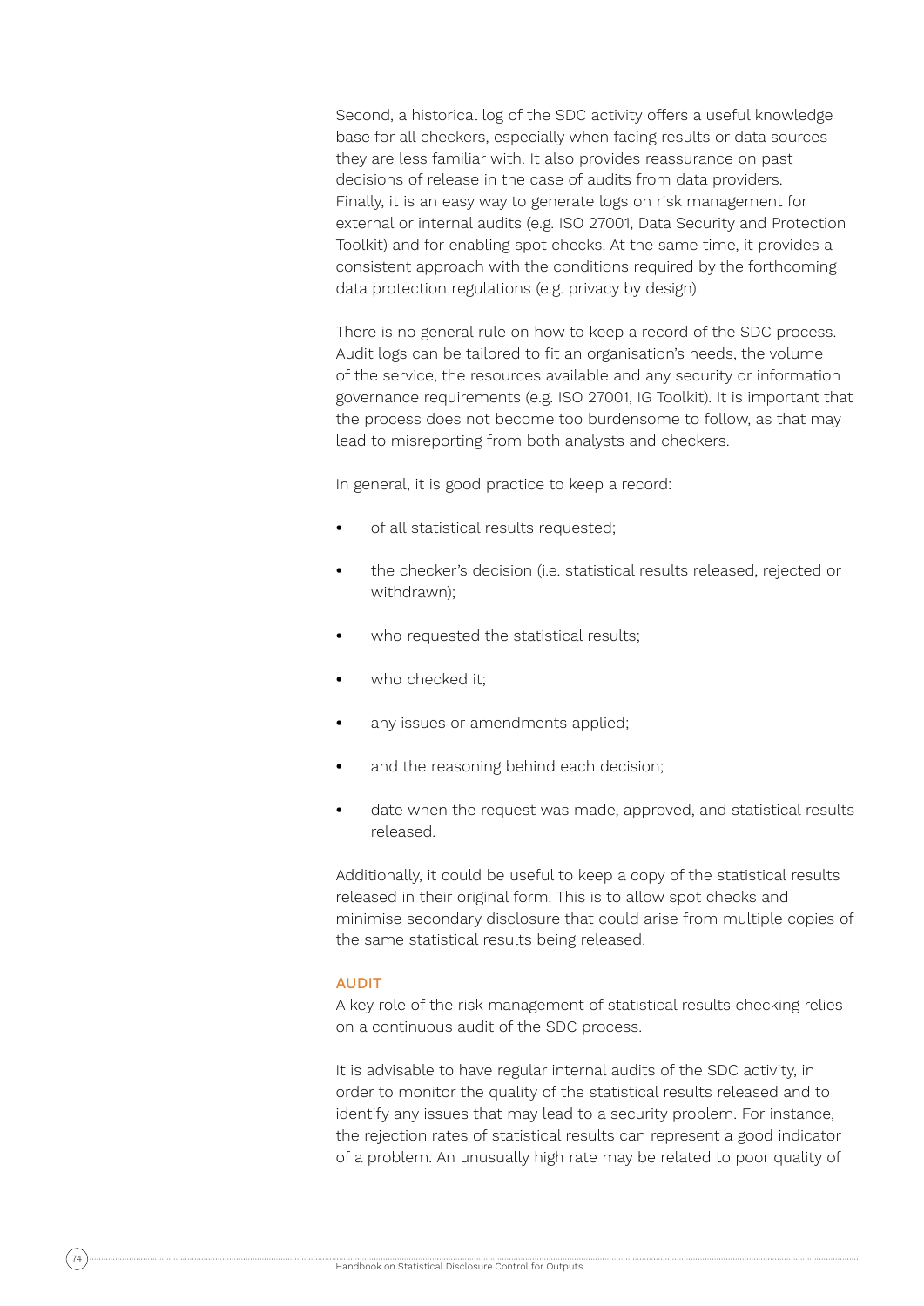Second, a historical log of the SDC activity offers a useful knowledge base for all checkers, especially when facing results or data sources they are less familiar with. It also provides reassurance on past decisions of release in the case of audits from data providers. Finally, it is an easy way to generate logs on risk management for external or internal audits (e.g. ISO 27001, Data Security and Protection Toolkit) and for enabling spot checks. At the same time, it provides a consistent approach with the conditions required by the forthcoming data protection regulations (e.g. privacy by design).

There is no general rule on how to keep a record of the SDC process. Audit logs can be tailored to fit an organisation's needs, the volume of the service, the resources available and any security or information governance requirements (e.g. ISO 27001, IG Toolkit). It is important that the process does not become too burdensome to follow, as that may lead to misreporting from both analysts and checkers.

In general, it is good practice to keep a record:

- **•** of all statistical results requested;
- **•** the checker's decision (i.e. statistical results released, rejected or withdrawn);
- **•** who requested the statistical results;
- **•** who checked it;
- **•** any issues or amendments applied;
- **•** and the reasoning behind each decision;
- **•** date when the request was made, approved, and statistical results released.

Additionally, it could be useful to keep a copy of the statistical results released in their original form. This is to allow spot checks and minimise secondary disclosure that could arise from multiple copies of the same statistical results being released.

#### AUDIT

A key role of the risk management of statistical results checking relies on a continuous audit of the SDC process.

It is advisable to have regular internal audits of the SDC activity, in order to monitor the quality of the statistical results released and to identify any issues that may lead to a security problem. For instance, the rejection rates of statistical results can represent a good indicator of a problem. An unusually high rate may be related to poor quality of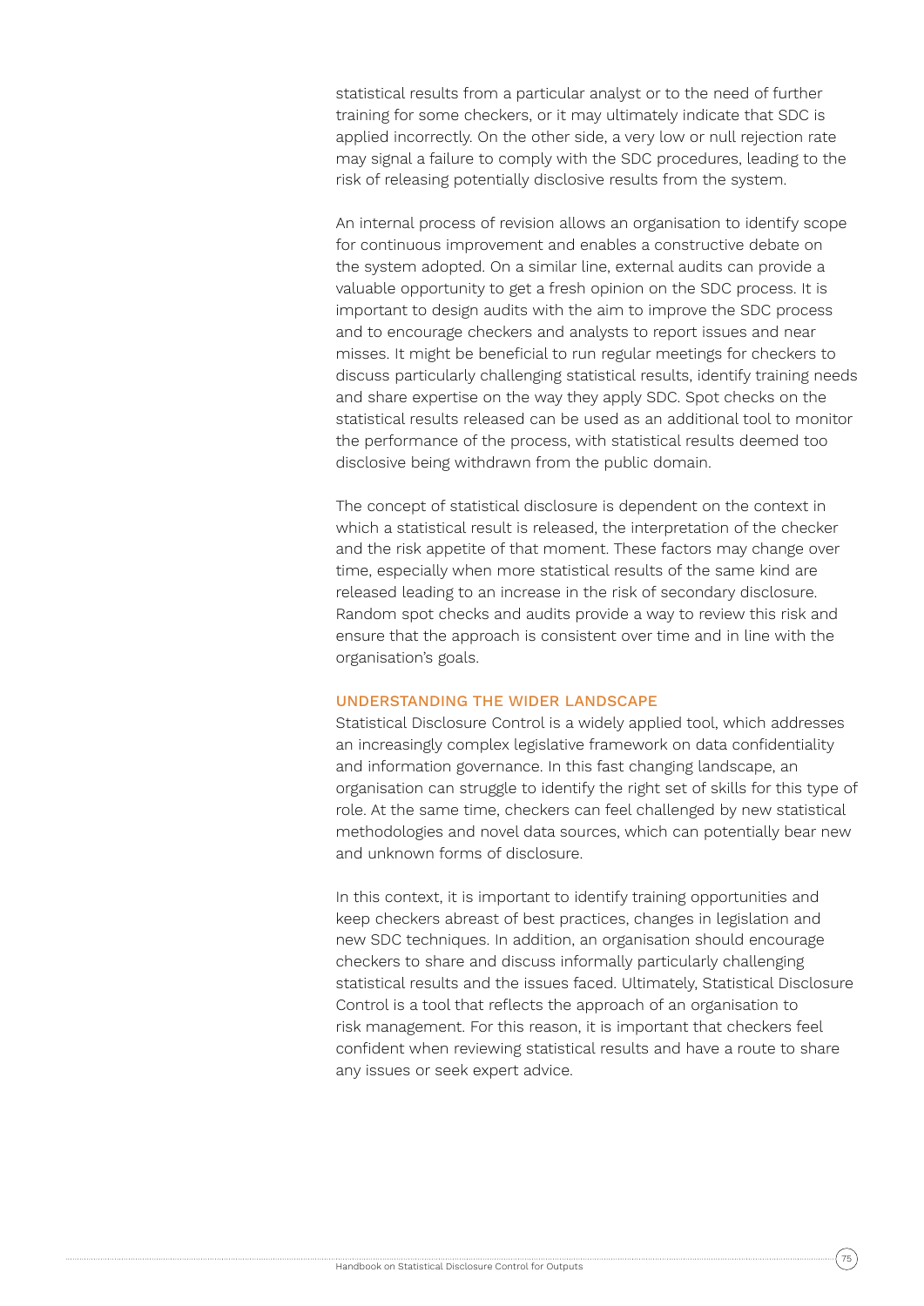statistical results from a particular analyst or to the need of further training for some checkers, or it may ultimately indicate that SDC is applied incorrectly. On the other side, a very low or null rejection rate may signal a failure to comply with the SDC procedures, leading to the risk of releasing potentially disclosive results from the system.

An internal process of revision allows an organisation to identify scope for continuous improvement and enables a constructive debate on the system adopted. On a similar line, external audits can provide a valuable opportunity to get a fresh opinion on the SDC process. It is important to design audits with the aim to improve the SDC process and to encourage checkers and analysts to report issues and near misses. It might be beneficial to run regular meetings for checkers to discuss particularly challenging statistical results, identify training needs and share expertise on the way they apply SDC. Spot checks on the statistical results released can be used as an additional tool to monitor the performance of the process, with statistical results deemed too disclosive being withdrawn from the public domain.

The concept of statistical disclosure is dependent on the context in which a statistical result is released, the interpretation of the checker and the risk appetite of that moment. These factors may change over time, especially when more statistical results of the same kind are released leading to an increase in the risk of secondary disclosure. Random spot checks and audits provide a way to review this risk and ensure that the approach is consistent over time and in line with the organisation's goals.

#### UNDERSTANDING THE WIDER LANDSCAPE

Statistical Disclosure Control is a widely applied tool, which addresses an increasingly complex legislative framework on data confidentiality and information governance. In this fast changing landscape, an organisation can struggle to identify the right set of skills for this type of role. At the same time, checkers can feel challenged by new statistical methodologies and novel data sources, which can potentially bear new and unknown forms of disclosure.

In this context, it is important to identify training opportunities and keep checkers abreast of best practices, changes in legislation and new SDC techniques. In addition, an organisation should encourage checkers to share and discuss informally particularly challenging statistical results and the issues faced. Ultimately, Statistical Disclosure Control is a tool that reflects the approach of an organisation to risk management. For this reason, it is important that checkers feel confident when reviewing statistical results and have a route to share any issues or seek expert advice.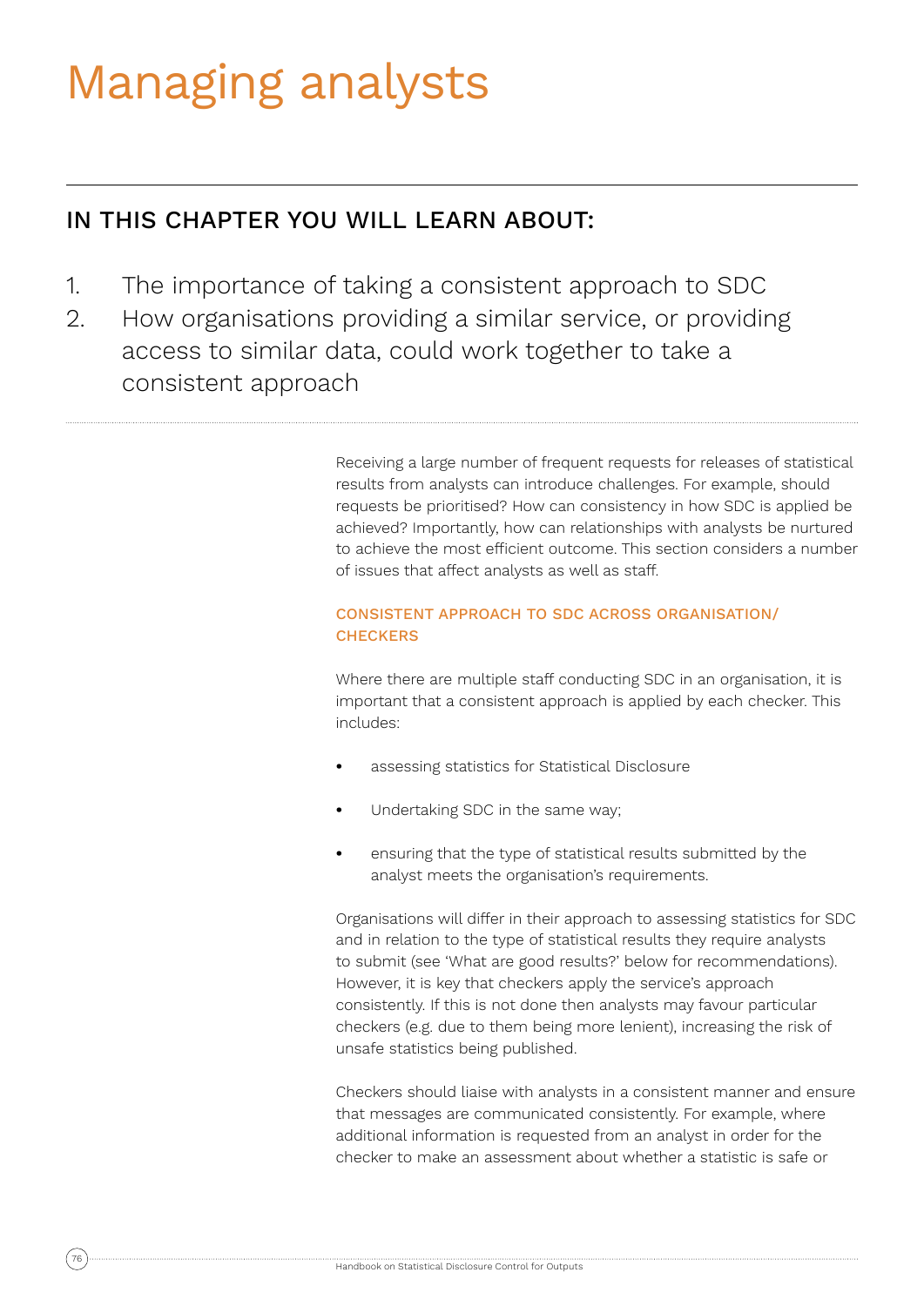## Managing analysts

### IN THIS CHAPTER YOU WILL LEARN ABOUT:

- 1. The importance of taking a consistent approach to SDC
- 2. How organisations providing a similar service, or providing access to similar data, could work together to take a consistent approach

Receiving a large number of frequent requests for releases of statistical results from analysts can introduce challenges. For example, should requests be prioritised? How can consistency in how SDC is applied be achieved? Importantly, how can relationships with analysts be nurtured to achieve the most efficient outcome. This section considers a number of issues that affect analysts as well as staff.

#### CONSISTENT APPROACH TO SDC ACROSS ORGANISATION/ **CHECKERS**

Where there are multiple staff conducting SDC in an organisation, it is important that a consistent approach is applied by each checker. This includes:

- **•** assessing statistics for Statistical Disclosure
- **•** Undertaking SDC in the same way;
- **•** ensuring that the type of statistical results submitted by the analyst meets the organisation's requirements.

Organisations will differ in their approach to assessing statistics for SDC and in relation to the type of statistical results they require analysts to submit (see 'What are good results?' below for recommendations). However, it is key that checkers apply the service's approach consistently. If this is not done then analysts may favour particular checkers (e.g. due to them being more lenient), increasing the risk of unsafe statistics being published.

Checkers should liaise with analysts in a consistent manner and ensure that messages are communicated consistently. For example, where additional information is requested from an analyst in order for the checker to make an assessment about whether a statistic is safe or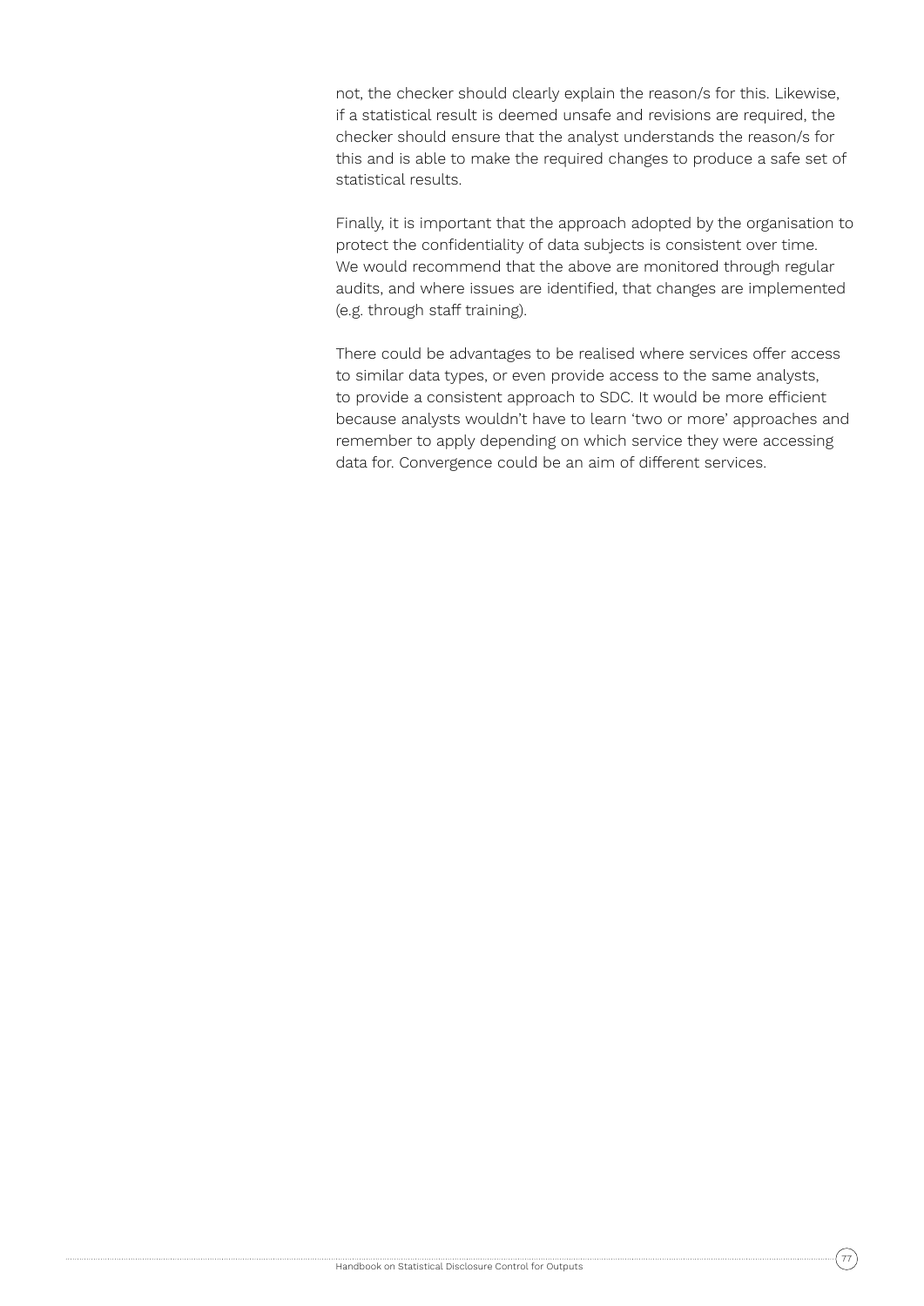not, the checker should clearly explain the reason/s for this. Likewise, if a statistical result is deemed unsafe and revisions are required, the checker should ensure that the analyst understands the reason/s for this and is able to make the required changes to produce a safe set of statistical results.

Finally, it is important that the approach adopted by the organisation to protect the confidentiality of data subjects is consistent over time. We would recommend that the above are monitored through regular audits, and where issues are identified, that changes are implemented (e.g. through staff training).

There could be advantages to be realised where services offer access to similar data types, or even provide access to the same analysts, to provide a consistent approach to SDC. It would be more efficient because analysts wouldn't have to learn 'two or more' approaches and remember to apply depending on which service they were accessing data for. Convergence could be an aim of different services.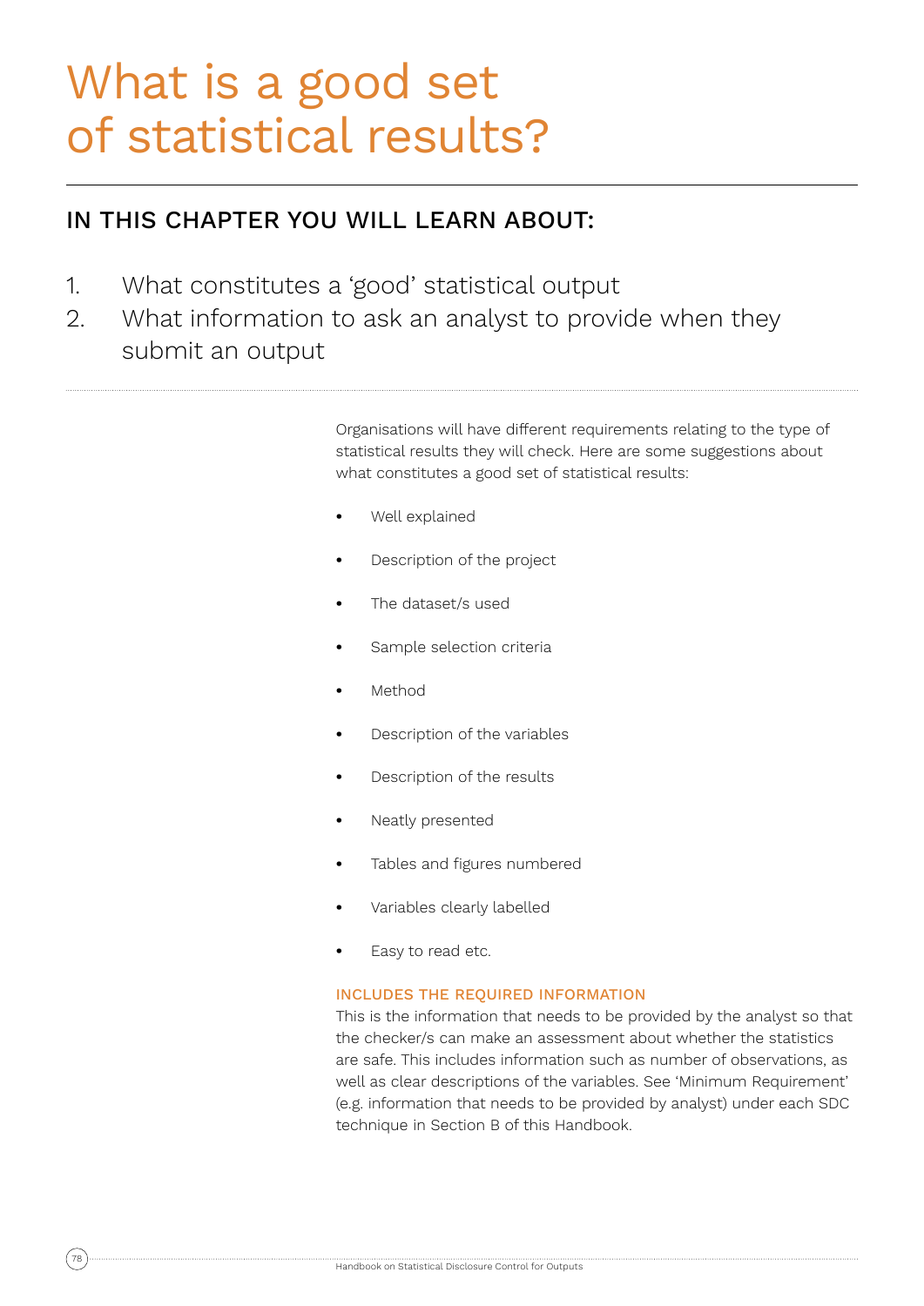### What is a good set of statistical results?

### IN THIS CHAPTER YOU WILL LEARN ABOUT:

- 1. What constitutes a 'good' statistical output
- 2. What information to ask an analyst to provide when they submit an output

Organisations will have different requirements relating to the type of statistical results they will check. Here are some suggestions about what constitutes a good set of statistical results:

- **•** Well explained
- **•** Description of the project
- **•** The dataset/s used
- **•** Sample selection criteria
- **•** Method
- **•** Description of the variables
- **•** Description of the results
- **•** Neatly presented
- **•** Tables and figures numbered
- **•** Variables clearly labelled
- **•** Easy to read etc.

#### INCLUDES THE REQUIRED INFORMATION

This is the information that needs to be provided by the analyst so that the checker/s can make an assessment about whether the statistics are safe. This includes information such as number of observations, as well as clear descriptions of the variables. See 'Minimum Requirement' (e.g. information that needs to be provided by analyst) under each SDC technique in Section B of this Handbook.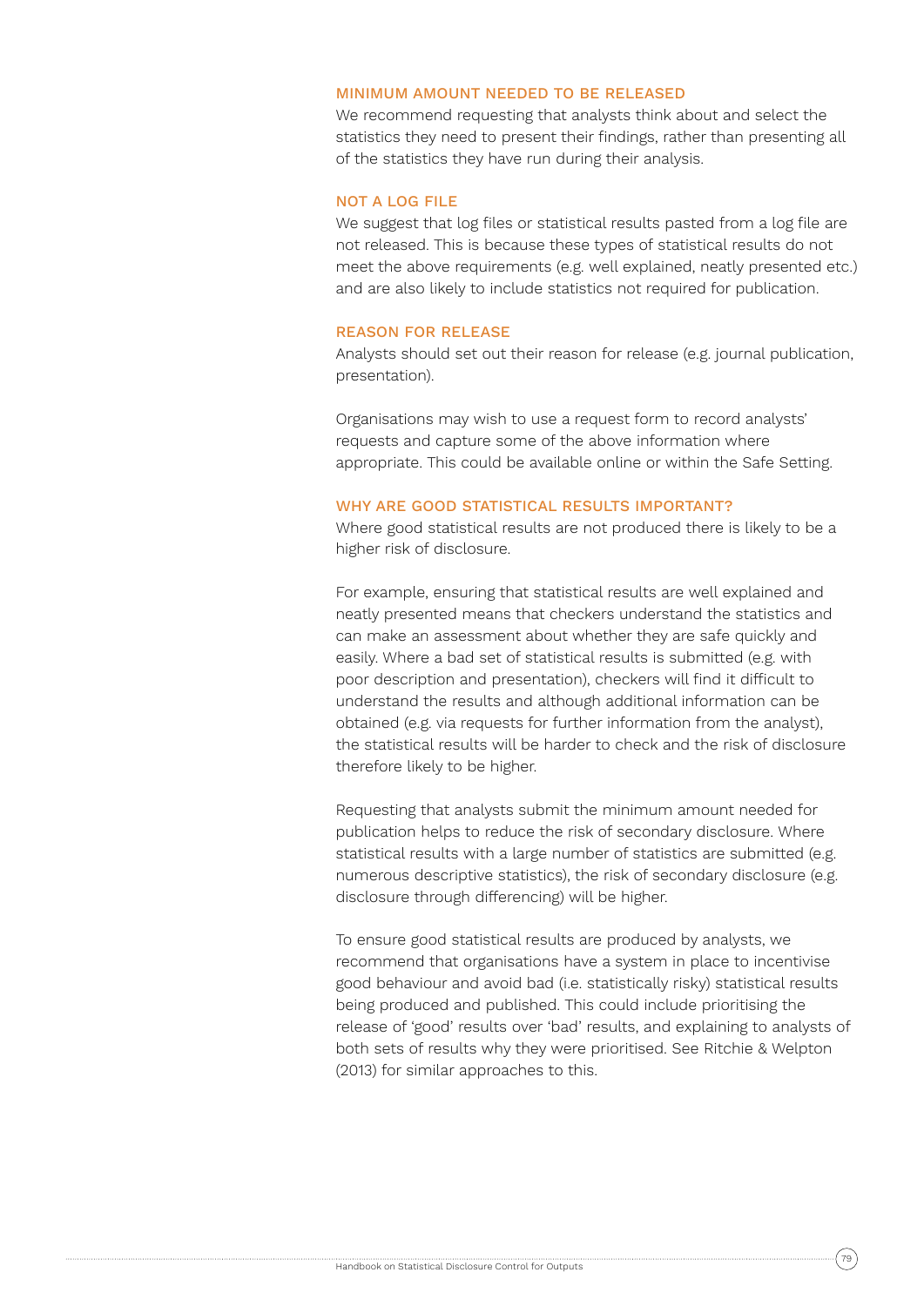#### MINIMUM AMOUNT NEEDED TO BE RELEASED

We recommend requesting that analysts think about and select the statistics they need to present their findings, rather than presenting all of the statistics they have run during their analysis.

#### NOT A LOG FILE

We suggest that log files or statistical results pasted from a log file are not released. This is because these types of statistical results do not meet the above requirements (e.g. well explained, neatly presented etc.) and are also likely to include statistics not required for publication.

#### REASON FOR RELEASE

Analysts should set out their reason for release (e.g. journal publication, presentation).

Organisations may wish to use a request form to record analysts' requests and capture some of the above information where appropriate. This could be available online or within the Safe Setting.

#### WHY ARE GOOD STATISTICAL RESULTS IMPORTANT?

Where good statistical results are not produced there is likely to be a higher risk of disclosure.

For example, ensuring that statistical results are well explained and neatly presented means that checkers understand the statistics and can make an assessment about whether they are safe quickly and easily. Where a bad set of statistical results is submitted (e.g. with poor description and presentation), checkers will find it difficult to understand the results and although additional information can be obtained (e.g. via requests for further information from the analyst), the statistical results will be harder to check and the risk of disclosure therefore likely to be higher.

Requesting that analysts submit the minimum amount needed for publication helps to reduce the risk of secondary disclosure. Where statistical results with a large number of statistics are submitted (e.g. numerous descriptive statistics), the risk of secondary disclosure (e.g. disclosure through differencing) will be higher.

To ensure good statistical results are produced by analysts, we recommend that organisations have a system in place to incentivise good behaviour and avoid bad (i.e. statistically risky) statistical results being produced and published. This could include prioritising the release of 'good' results over 'bad' results, and explaining to analysts of both sets of results why they were prioritised. See Ritchie & Welpton (2013) for similar approaches to this.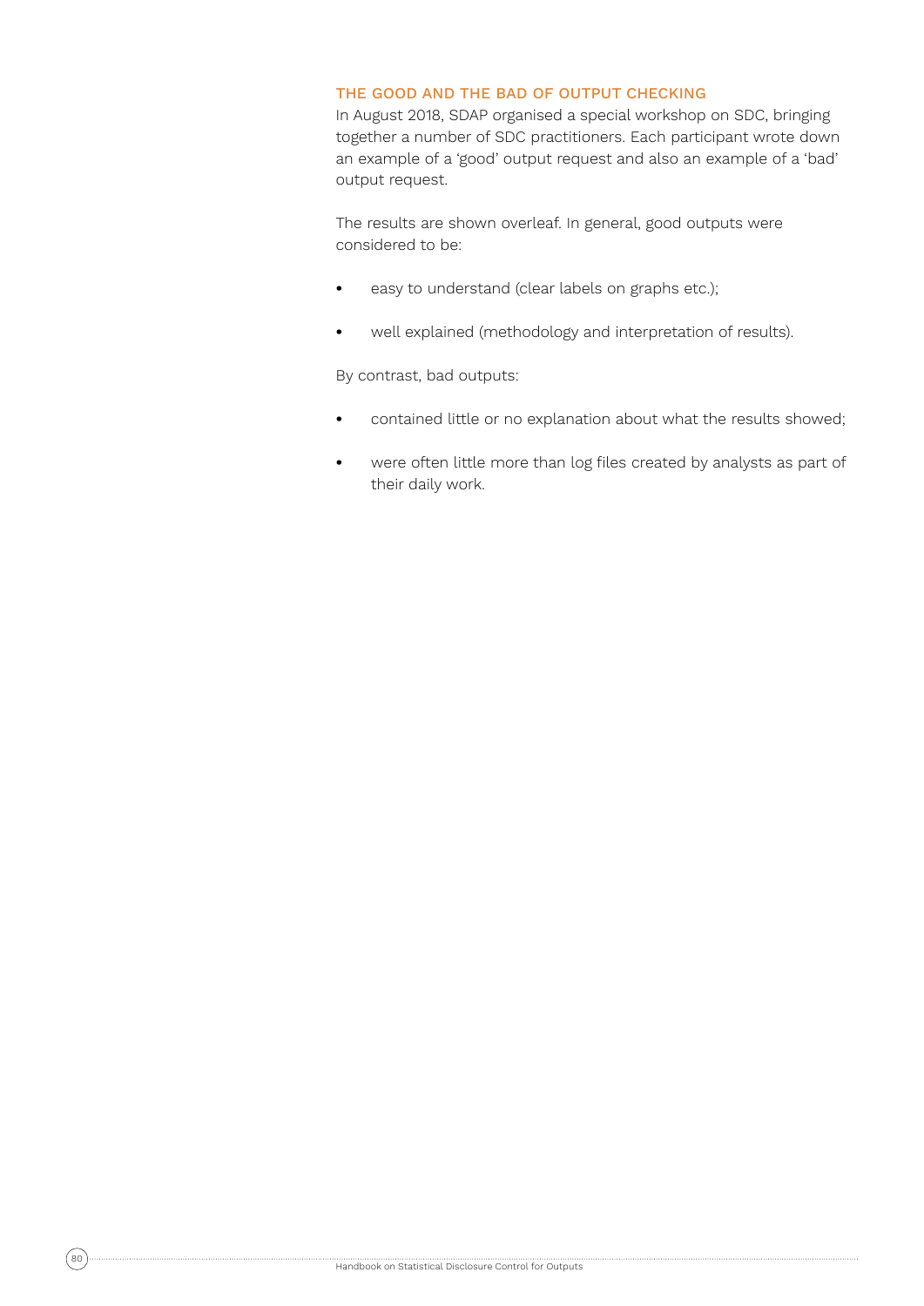#### THE GOOD AND THE BAD OF OUTPUT CHECKING

In August 2018, SDAP organised a special workshop on SDC, bringing together a number of SDC practitioners. Each participant wrote down an example of a 'good' output request and also an example of a 'bad' output request.

The results are shown overleaf. In general, good outputs were considered to be:

- **•** easy to understand (clear labels on graphs etc.);
- **•** well explained (methodology and interpretation of results).

By contrast, bad outputs:

- **•** contained little or no explanation about what the results showed;
- **•** were often little more than log files created by analysts as part of their daily work.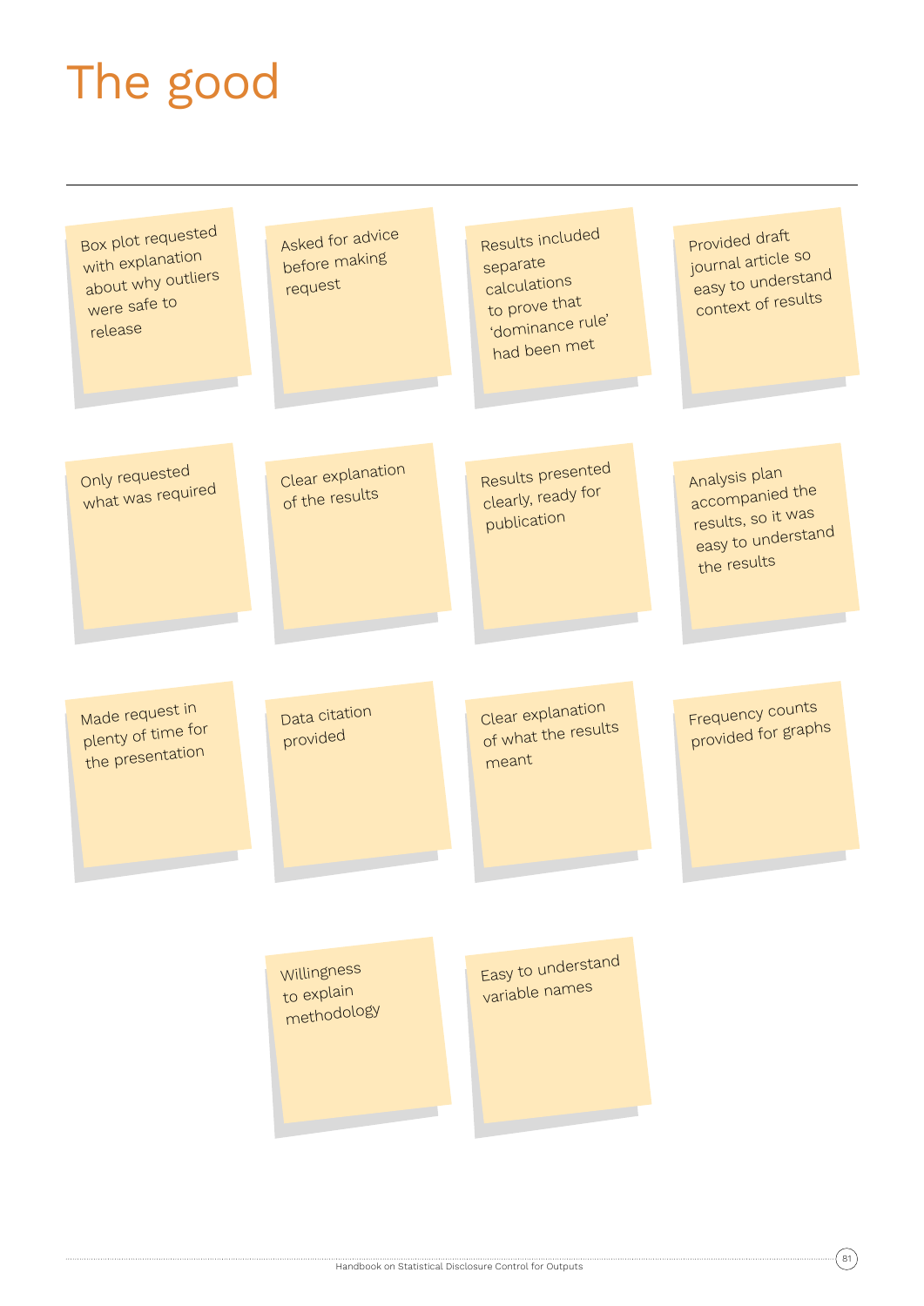# The good

| Box plot requested<br>with explanation<br>about why outliers<br>were safe to<br>release | Asked for advice<br>before making<br>request | Results included<br>separate<br>calculations<br>to prove that<br>'dominance rule'<br>had been met | Provided draft<br>journal article so<br>easy to understand<br>context of results            |
|-----------------------------------------------------------------------------------------|----------------------------------------------|---------------------------------------------------------------------------------------------------|---------------------------------------------------------------------------------------------|
| Only requested<br>what was required                                                     | Clear explanation<br>of the results          | Results presented<br>clearly, ready for<br>publication                                            | Analysis plan<br>accompanied the<br>results, so it was<br>easy to understand<br>the results |
| Made request in<br>plenty of time for<br>the presentation                               | Data citation<br>provided                    | Clear explanation<br>of what the results<br>meant                                                 | Frequency counts<br>provided for graphs                                                     |
|                                                                                         | Willingness<br>to explain<br>methodology     | Easy to understand<br>variable names                                                              |                                                                                             |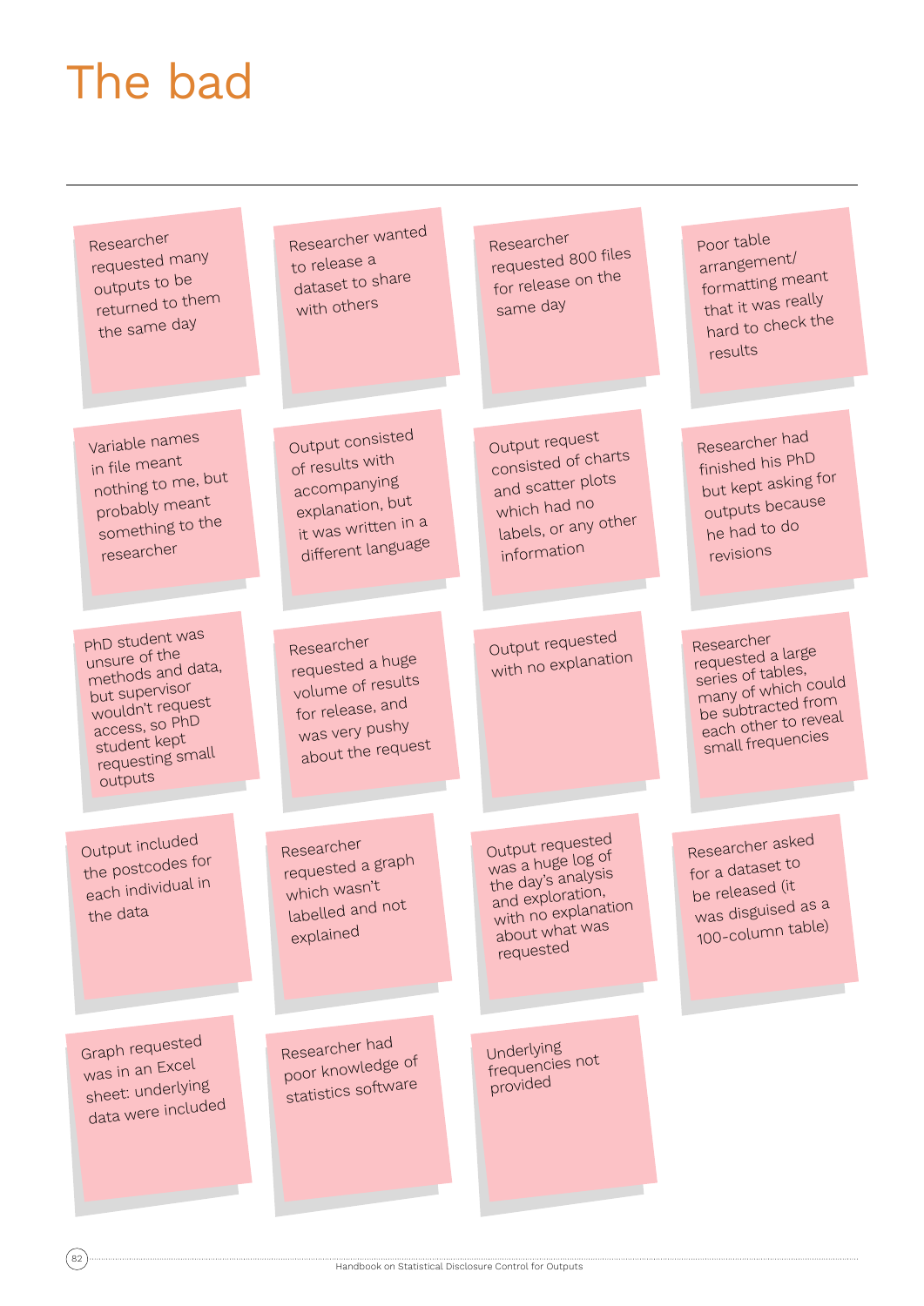### The bad

Researcher requested many outputs to be returned to them the same day Variable names in file mean<sup>t</sup> nothing to me, but probably mean<sup>t</sup> something to the researcher PhD student was unsure of the methods and data, but supervisor wouldn't request access, so PhD student kept requesting small outputs Researcher wanted to release a dataset to share with others Output consisted of results with accompanying explanation, but it was written in a different language Researcher requested a huge volume of results for release, an<sup>d</sup> was very pushy about the reques<sup>t</sup> Output included the postcodes for each individual in the data Graph requested was in an Exce<sup>l</sup> sheet: underlying data were included Researcher requested 800 files for release on the same day Output reques<sup>t</sup> consisted of charts and scatter plots which had no labels, or any other information Output requested with no explanation Researcher requested a grap<sup>h</sup> which wasn't labelled and not explaine<sup>d</sup> Researcher had poor knowledge of statistics software Output requeste<sup>d</sup> was a huge log of the day's analysis and exploration, with no explanation about what was requeste<sup>d</sup> Underlying frequencies not provided

Handbook on Statistical Disclosure Control for Outputs

Researcher asked for a dataset to be released (it was disguised as a 100-column table)

Researcher requested a large series of tables, many of which could be subtracted from each other to revea<sup>l</sup> small frequencies

Poor table arrangement/ formatting mean<sup>t</sup> that it was really hard to check the

results

Researcher had finished his PhD but kept asking for outputs because he had to do revisions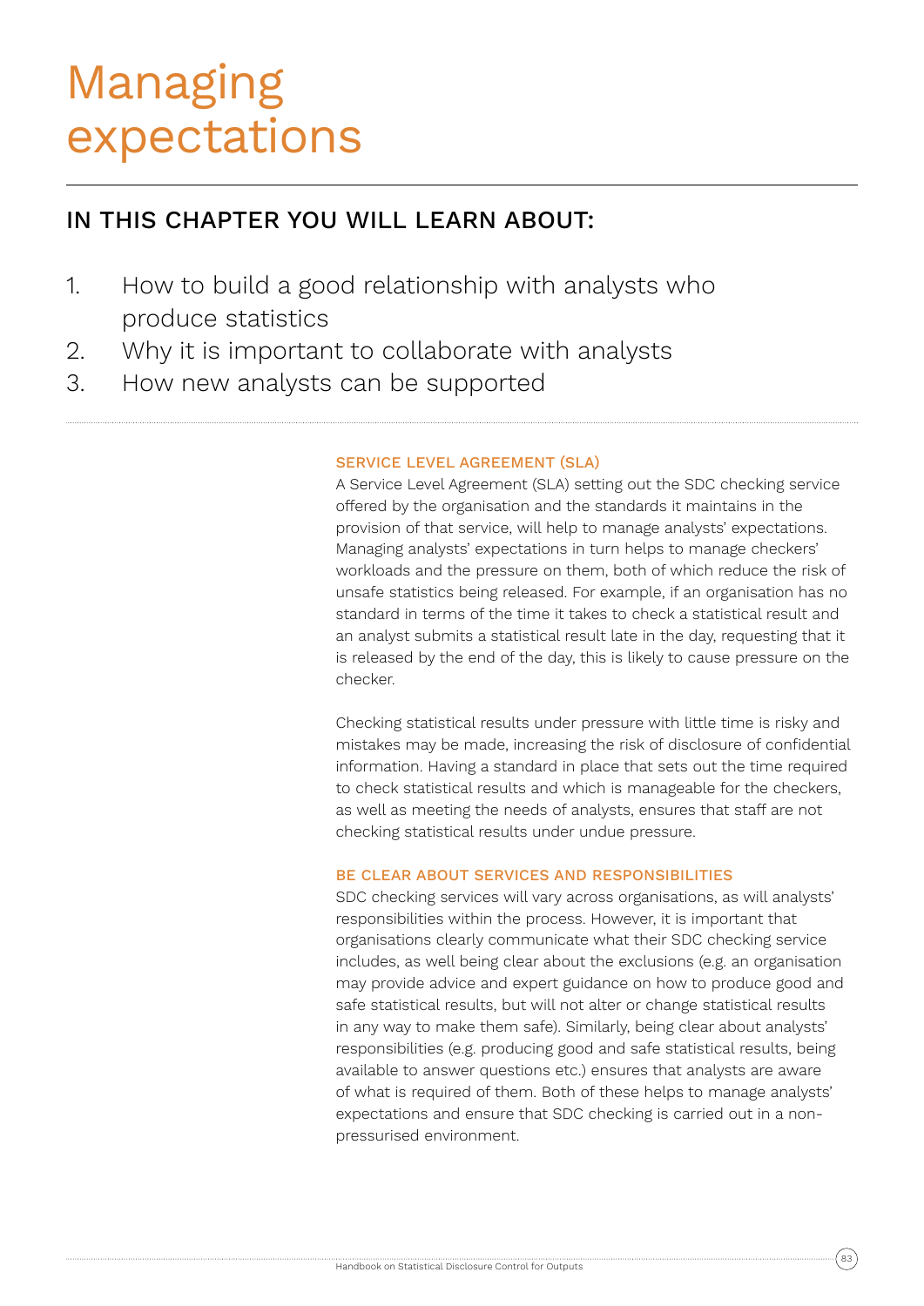### Managing expectations

### IN THIS CHAPTER YOU WILL LEARN ABOUT:

- 1. How to build a good relationship with analysts who produce statistics
- 2. Why it is important to collaborate with analysts
- 3. How new analysts can be supported

#### SERVICE LEVEL AGREEMENT (SLA)

A Service Level Agreement (SLA) setting out the SDC checking service offered by the organisation and the standards it maintains in the provision of that service, will help to manage analysts' expectations. Managing analysts' expectations in turn helps to manage checkers' workloads and the pressure on them, both of which reduce the risk of unsafe statistics being released. For example, if an organisation has no standard in terms of the time it takes to check a statistical result and an analyst submits a statistical result late in the day, requesting that it is released by the end of the day, this is likely to cause pressure on the checker.

Checking statistical results under pressure with little time is risky and mistakes may be made, increasing the risk of disclosure of confidential information. Having a standard in place that sets out the time required to check statistical results and which is manageable for the checkers, as well as meeting the needs of analysts, ensures that staff are not checking statistical results under undue pressure.

#### BE CLEAR ABOUT SERVICES AND RESPONSIBILITIES

SDC checking services will vary across organisations, as will analysts' responsibilities within the process. However, it is important that organisations clearly communicate what their SDC checking service includes, as well being clear about the exclusions (e.g. an organisation may provide advice and expert guidance on how to produce good and safe statistical results, but will not alter or change statistical results in any way to make them safe). Similarly, being clear about analysts' responsibilities (e.g. producing good and safe statistical results, being available to answer questions etc.) ensures that analysts are aware of what is required of them. Both of these helps to manage analysts' expectations and ensure that SDC checking is carried out in a nonpressurised environment.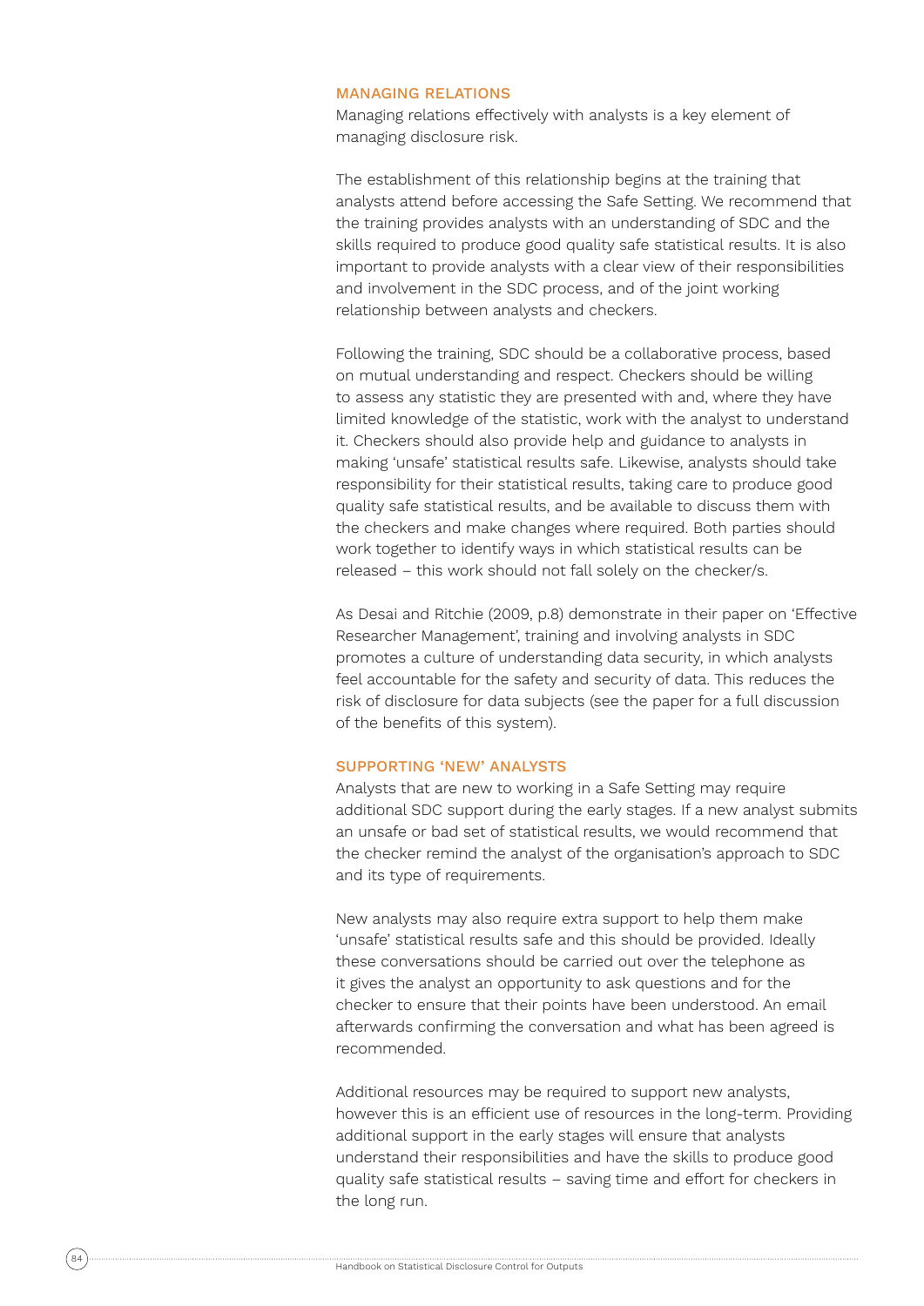#### MANAGING RELATIONS

Managing relations effectively with analysts is a key element of managing disclosure risk.

The establishment of this relationship begins at the training that analysts attend before accessing the Safe Setting. We recommend that the training provides analysts with an understanding of SDC and the skills required to produce good quality safe statistical results. It is also important to provide analysts with a clear view of their responsibilities and involvement in the SDC process, and of the joint working relationship between analysts and checkers.

Following the training, SDC should be a collaborative process, based on mutual understanding and respect. Checkers should be willing to assess any statistic they are presented with and, where they have limited knowledge of the statistic, work with the analyst to understand it. Checkers should also provide help and guidance to analysts in making 'unsafe' statistical results safe. Likewise, analysts should take responsibility for their statistical results, taking care to produce good quality safe statistical results, and be available to discuss them with the checkers and make changes where required. Both parties should work together to identify ways in which statistical results can be released – this work should not fall solely on the checker/s.

As Desai and Ritchie (2009, p.8) demonstrate in their paper on 'Effective Researcher Management', training and involving analysts in SDC promotes a culture of understanding data security, in which analysts feel accountable for the safety and security of data. This reduces the risk of disclosure for data subjects (see the paper for a full discussion of the benefits of this system).

#### SUPPORTING 'NEW' ANALYSTS

Analysts that are new to working in a Safe Setting may require additional SDC support during the early stages. If a new analyst submits an unsafe or bad set of statistical results, we would recommend that the checker remind the analyst of the organisation's approach to SDC and its type of requirements.

New analysts may also require extra support to help them make 'unsafe' statistical results safe and this should be provided. Ideally these conversations should be carried out over the telephone as it gives the analyst an opportunity to ask questions and for the checker to ensure that their points have been understood. An email afterwards confirming the conversation and what has been agreed is recommended.

Additional resources may be required to support new analysts, however this is an efficient use of resources in the long-term. Providing additional support in the early stages will ensure that analysts understand their responsibilities and have the skills to produce good quality safe statistical results – saving time and effort for checkers in the long run.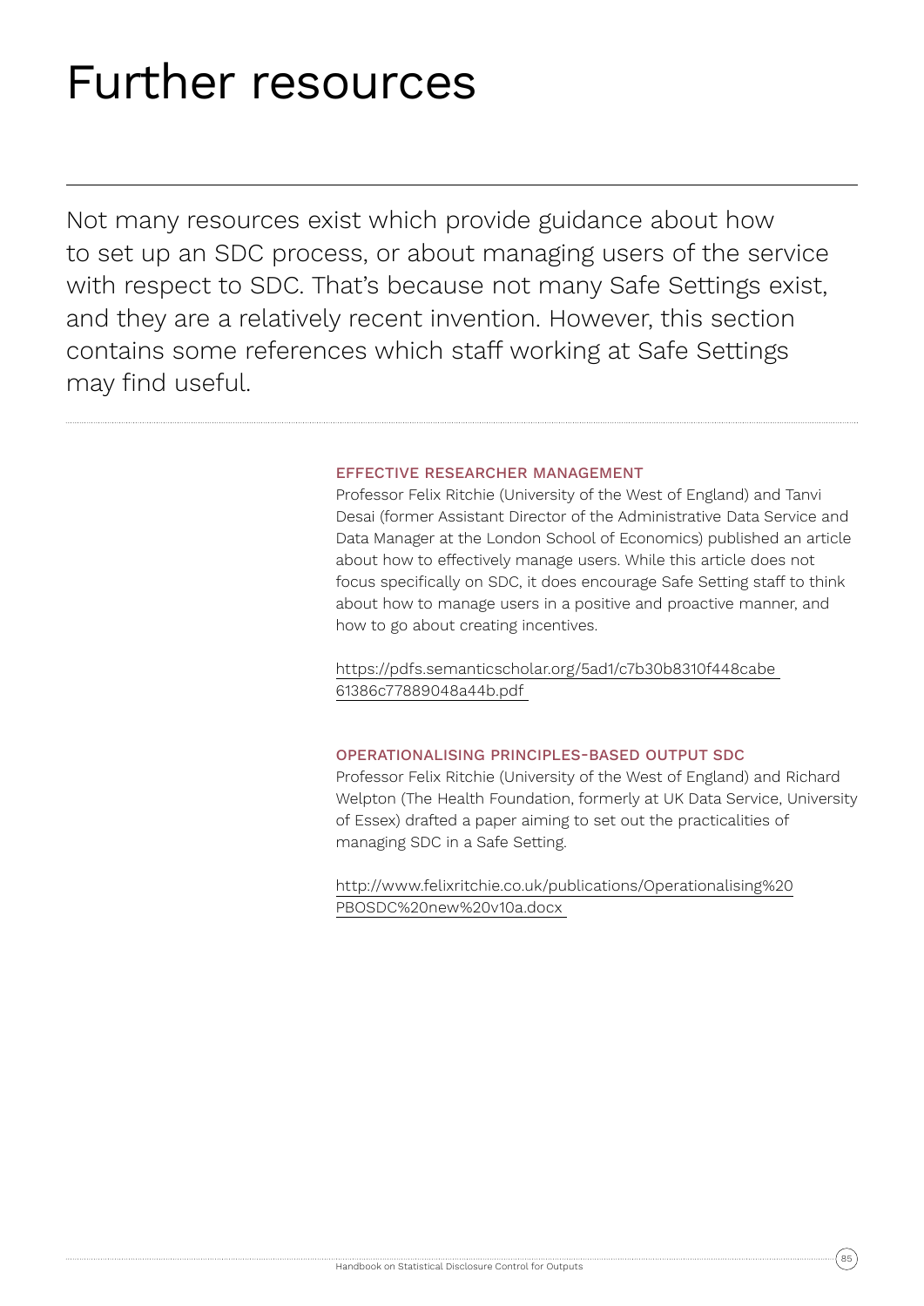## Further resources

Not many resources exist which provide guidance about how to set up an SDC process, or about managing users of the service with respect to SDC. That's because not many Safe Settings exist, and they are a relatively recent invention. However, this section contains some references which staff working at Safe Settings may find useful.

#### EFFECTIVE RESEARCHER MANAGEMENT

Professor Felix Ritchie (University of the West of England) and Tanvi Desai (former Assistant Director of the Administrative Data Service and Data Manager at the London School of Economics) published an article about how to effectively manage users. While this article does not focus specifically on SDC, it does encourage Safe Setting staff to think about how to manage users in a positive and proactive manner, and how to go about creating incentives.

https://pdfs.semanticscholar.org/5ad1/c7b30b8310f448cabe 61386c77889048a44b.pdf

#### OPERATIONALISING PRINCIPLES-BASED OUTPUT SDC

Professor Felix Ritchie (University of the West of England) and Richard Welpton (The Health Foundation, formerly at UK Data Service, University of Essex) drafted a paper aiming to set out the practicalities of managing SDC in a Safe Setting.

http://www.felixritchie.co.uk/publications/Operationalising%20 PBOSDC%20new%20v10a.docx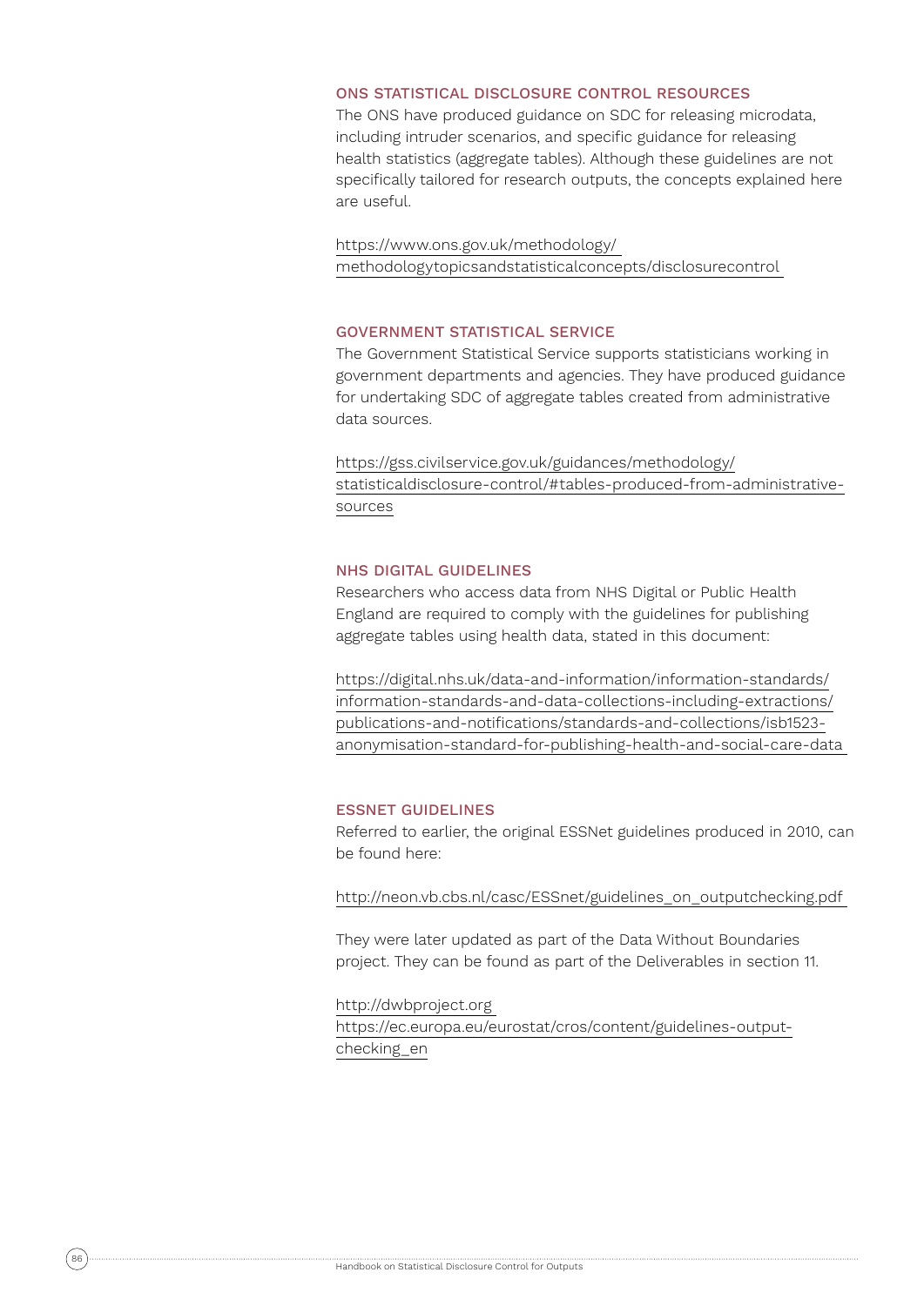#### ONS STATISTICAL DISCLOSURE CONTROL RESOURCES

The ONS have produced guidance on SDC for releasing microdata, including intruder scenarios, and specific guidance for releasing health statistics (aggregate tables). Although these guidelines are not specifically tailored for research outputs, the concepts explained here are useful.

https://www.ons.gov.uk/methodology/ methodologytopicsandstatisticalconcepts/disclosurecontrol

#### GOVERNMENT STATISTICAL SERVICE

The Government Statistical Service supports statisticians working in government departments and agencies. They have produced guidance for undertaking SDC of aggregate tables created from administrative data sources.

https://gss.civilservice.gov.uk/guidances/methodology/ statisticaldisclosure-control/#tables-produced-from-administrativesources

#### NHS DIGITAL GUIDELINES

Researchers who access data from NHS Digital or Public Health England are required to comply with the guidelines for publishing aggregate tables using health data, stated in this document:

https://digital.nhs.uk/data-and-information/information-standards/ information-standards-and-data-collections-including-extractions/ publications-and-notifications/standards-and-collections/isb1523 anonymisation-standard-for-publishing-health-and-social-care-data

#### ESSNET GUIDELINES

Referred to earlier, the original ESSNet guidelines produced in 2010, can be found here:

http://neon.vb.cbs.nl/casc/ESSnet/guidelines\_on\_outputchecking.pdf

They were later updated as part of the Data Without Boundaries project. They can be found as part of the Deliverables in section 11.

#### http://dwbproject.org

https://ec.europa.eu/eurostat/cros/content/guidelines-outputchecking\_en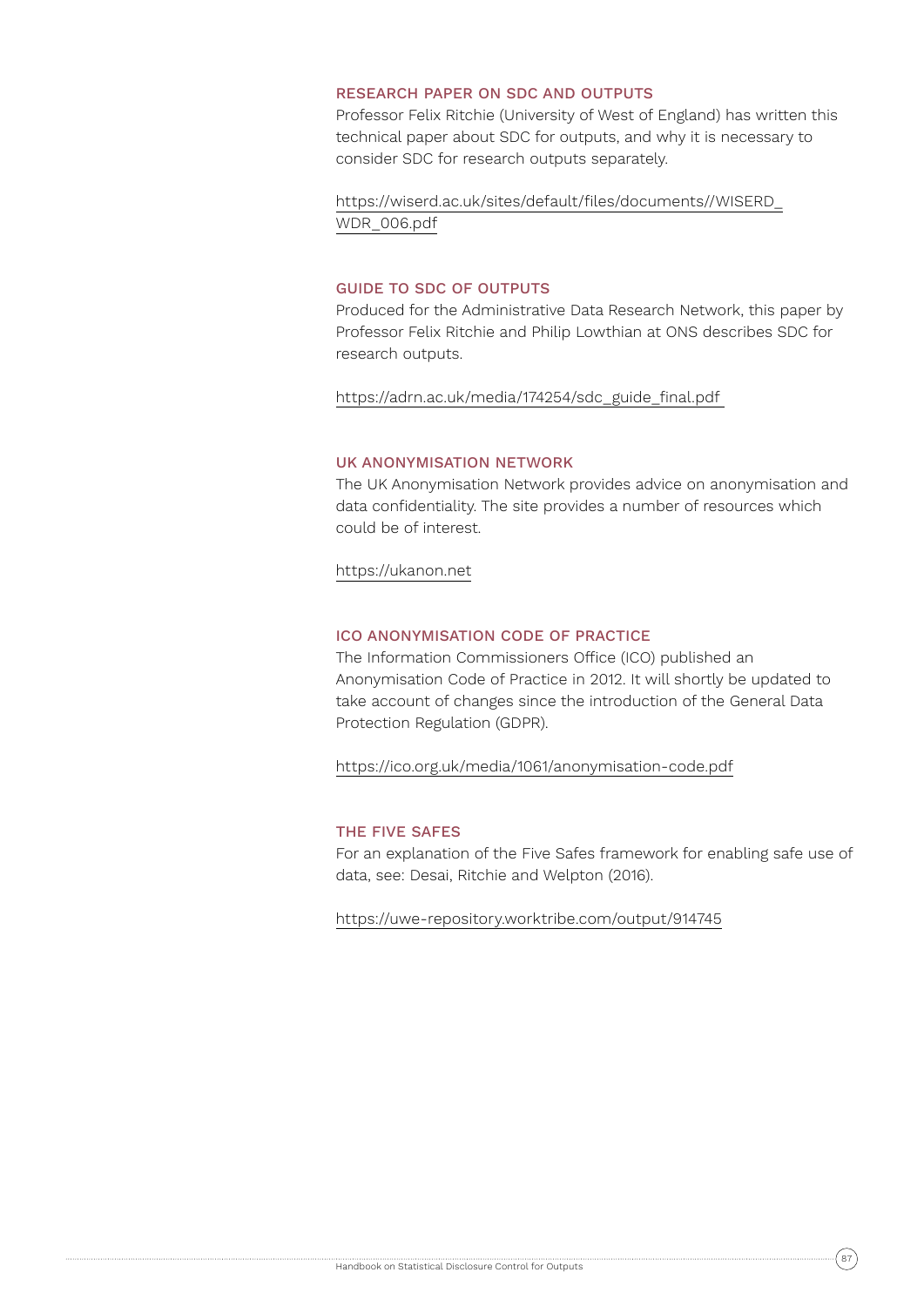#### RESEARCH PAPER ON SDC AND OUTPUTS

Professor Felix Ritchie (University of West of England) has written this technical paper about SDC for outputs, and why it is necessary to consider SDC for research outputs separately.

https://wiserd.ac.uk/sites/default/files/documents//WISERD\_ WDR\_006.pdf

#### GUIDE TO SDC OF OUTPUTS

Produced for the Administrative Data Research Network, this paper by Professor Felix Ritchie and Philip Lowthian at ONS describes SDC for research outputs.

https://adrn.ac.uk/media/174254/sdc\_guide\_final.pdf

#### UK ANONYMISATION NETWORK

The UK Anonymisation Network provides advice on anonymisation and data confidentiality. The site provides a number of resources which could be of interest.

https://ukanon.net

#### ICO ANONYMISATION CODE OF PRACTICE

The Information Commissioners Office (ICO) published an Anonymisation Code of Practice in 2012. It will shortly be updated to take account of changes since the introduction of the General Data Protection Regulation (GDPR).

https://ico.org.uk/media/1061/anonymisation-code.pdf

#### THE FIVE SAFES

For an explanation of the Five Safes framework for enabling safe use of data, see: Desai, Ritchie and Welpton (2016).

https://uwe-repository.worktribe.com/output/914745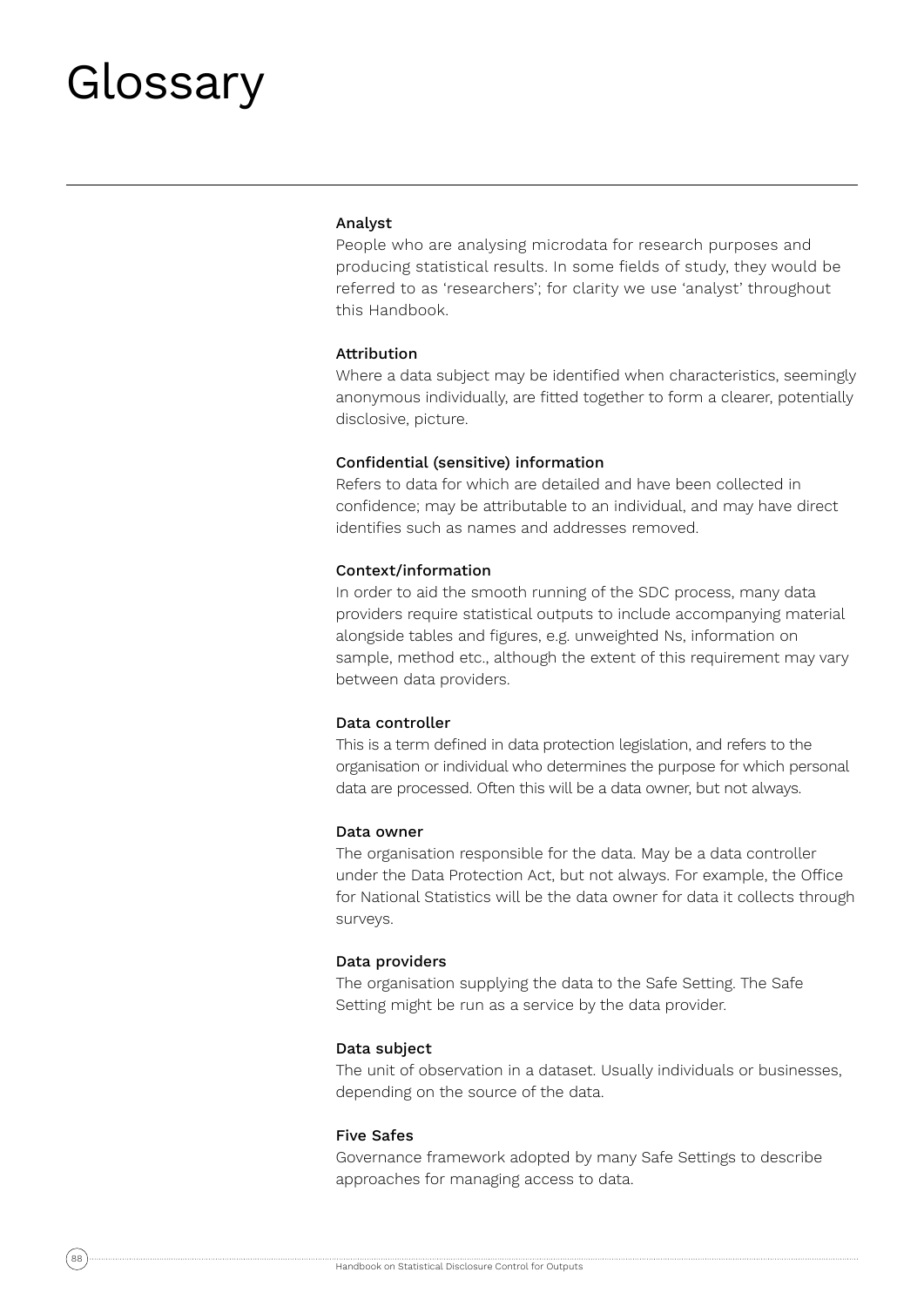## Glossary

#### Analyst

People who are analysing microdata for research purposes and producing statistical results. In some fields of study, they would be referred to as 'researchers'; for clarity we use 'analyst' throughout this Handbook.

#### Attribution

Where a data subject may be identified when characteristics, seemingly anonymous individually, are fitted together to form a clearer, potentially disclosive, picture.

#### Confidential (sensitive) information

Refers to data for which are detailed and have been collected in confidence; may be attributable to an individual, and may have direct identifies such as names and addresses removed.

#### Context/information

In order to aid the smooth running of the SDC process, many data providers require statistical outputs to include accompanying material alongside tables and figures, e.g. unweighted Ns, information on sample, method etc., although the extent of this requirement may vary between data providers.

#### Data controller

This is a term defined in data protection legislation, and refers to the organisation or individual who determines the purpose for which personal data are processed. Often this will be a data owner, but not always.

#### Data owner

The organisation responsible for the data. May be a data controller under the Data Protection Act, but not always. For example, the Office for National Statistics will be the data owner for data it collects through surveys.

#### Data providers

The organisation supplying the data to the Safe Setting. The Safe Setting might be run as a service by the data provider.

#### Data subject

The unit of observation in a dataset. Usually individuals or businesses, depending on the source of the data.

#### Five Safes

Governance framework adopted by many Safe Settings to describe approaches for managing access to data.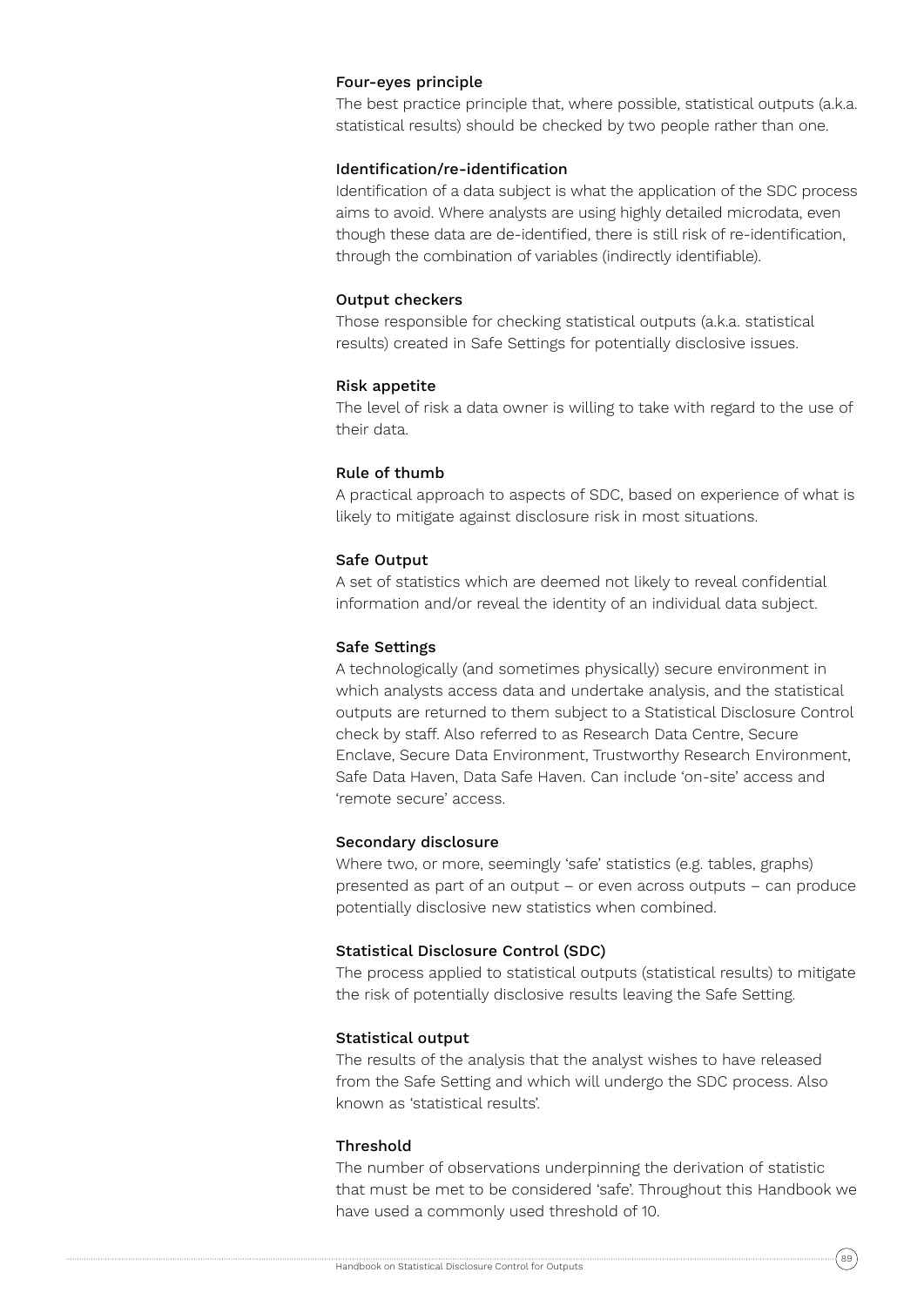#### Four-eyes principle

The best practice principle that, where possible, statistical outputs (a.k.a. statistical results) should be checked by two people rather than one.

#### Identification/re-identification

Identification of a data subject is what the application of the SDC process aims to avoid. Where analysts are using highly detailed microdata, even though these data are de-identified, there is still risk of re-identification, through the combination of variables (indirectly identifiable).

#### Output checkers

Those responsible for checking statistical outputs (a.k.a. statistical results) created in Safe Settings for potentially disclosive issues.

#### Risk appetite

The level of risk a data owner is willing to take with regard to the use of their data.

#### Rule of thumb

A practical approach to aspects of SDC, based on experience of what is likely to mitigate against disclosure risk in most situations.

#### Safe Output

A set of statistics which are deemed not likely to reveal confidential information and/or reveal the identity of an individual data subject.

#### Safe Settings

A technologically (and sometimes physically) secure environment in which analysts access data and undertake analysis, and the statistical outputs are returned to them subject to a Statistical Disclosure Control check by staff. Also referred to as Research Data Centre, Secure Enclave, Secure Data Environment, Trustworthy Research Environment, Safe Data Haven, Data Safe Haven. Can include 'on-site' access and 'remote secure' access.

#### Secondary disclosure

Where two, or more, seemingly 'safe' statistics (e.g. tables, graphs) presented as part of an output – or even across outputs – can produce potentially disclosive new statistics when combined.

#### Statistical Disclosure Control (SDC)

The process applied to statistical outputs (statistical results) to mitigate the risk of potentially disclosive results leaving the Safe Setting.

#### Statistical output

The results of the analysis that the analyst wishes to have released from the Safe Setting and which will undergo the SDC process. Also known as 'statistical results'.

#### Threshold

The number of observations underpinning the derivation of statistic that must be met to be considered 'safe'. Throughout this Handbook we have used a commonly used threshold of 10.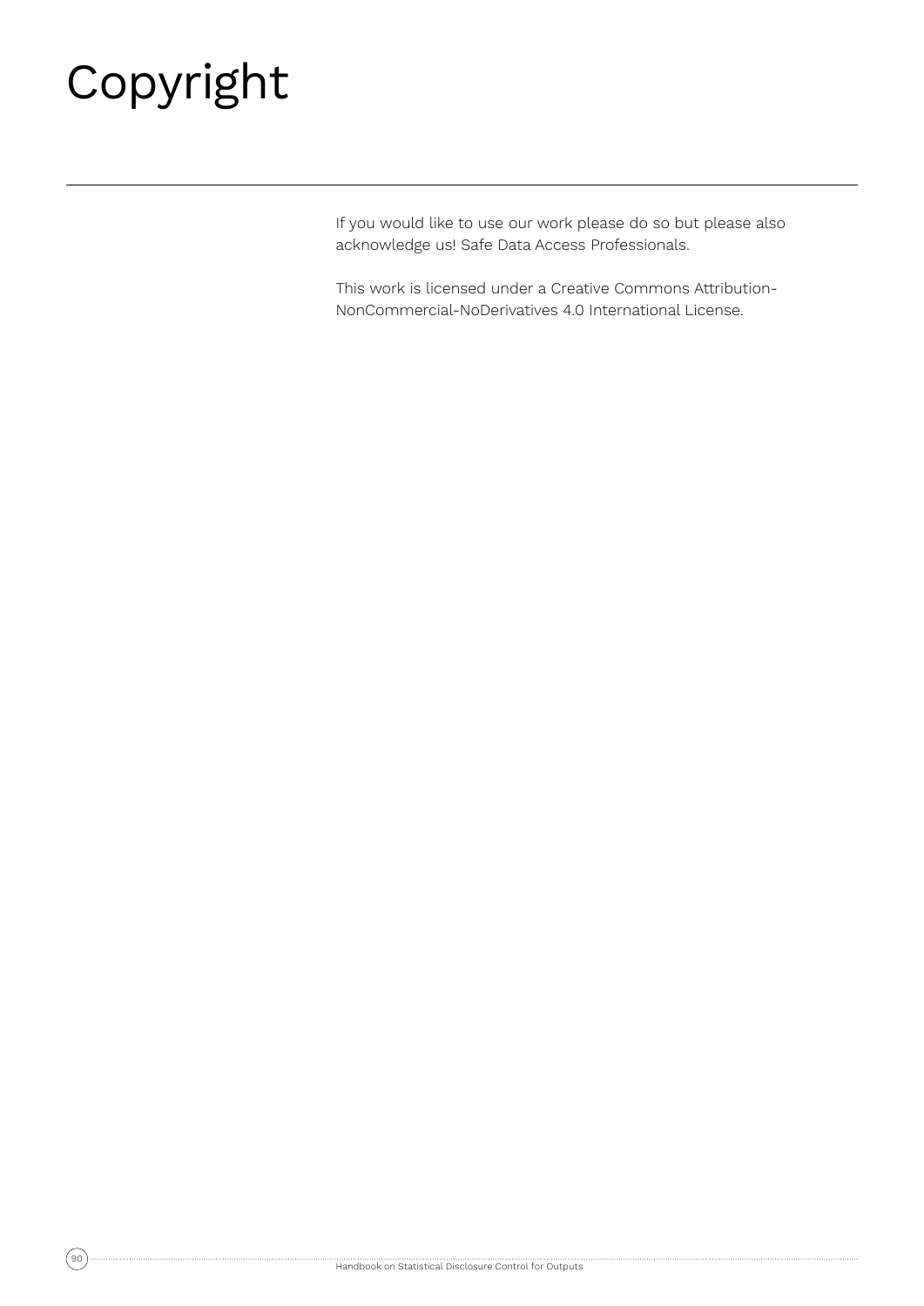# Copyright

If you would like to use our work please do so but please also acknowledge us! Safe Data Access Professionals.

This work is licensed under a Creative Commons Attribution-NonCommercial-NoDerivatives 4.0 International License.